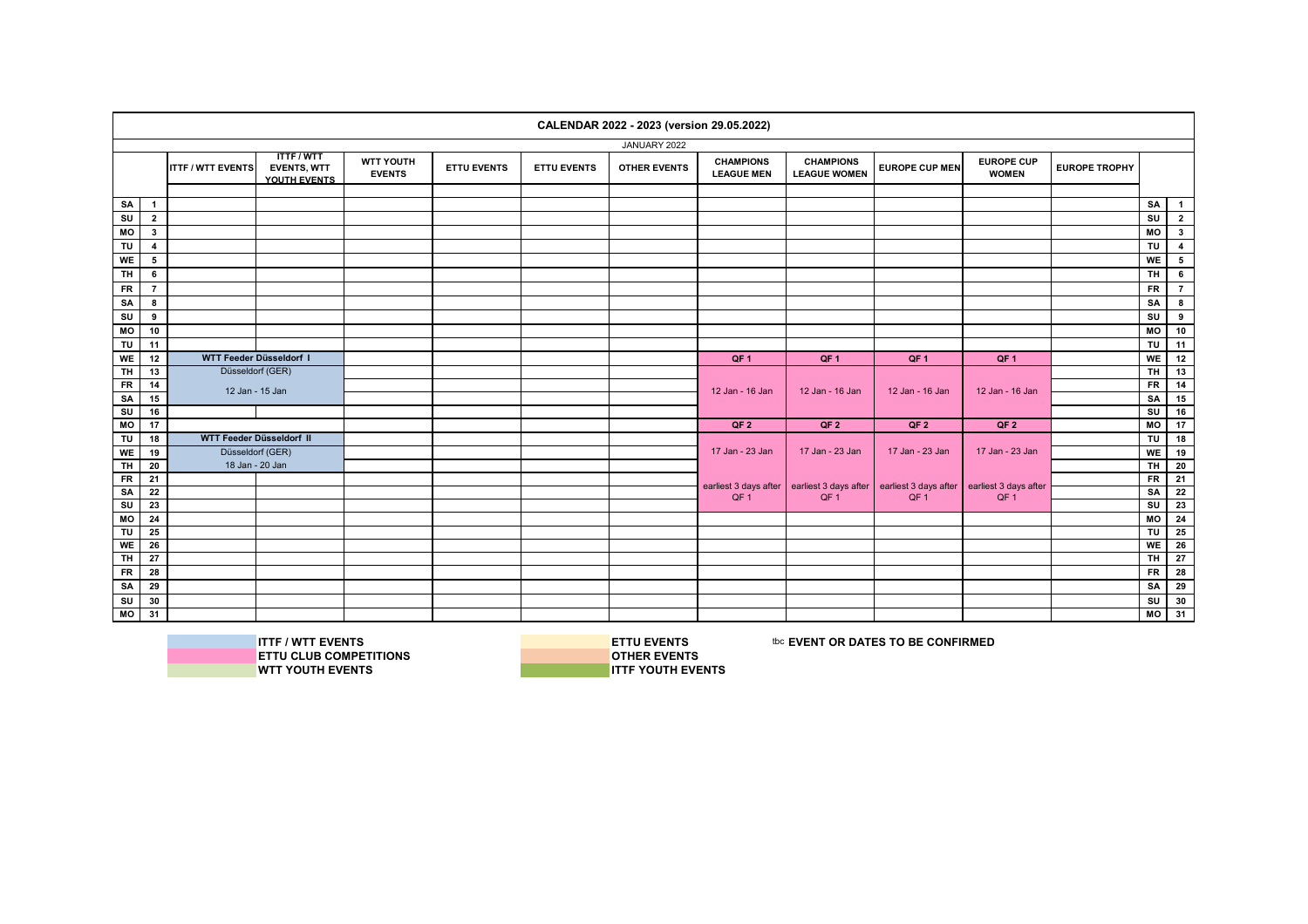|                         |                 |                          |                                                       |                                   |                    |                    | CALENDAR 2022 - 2023 (version 29.05.2022) |                                       |                                         |                       |                                   |                      |                                  |                         |
|-------------------------|-----------------|--------------------------|-------------------------------------------------------|-----------------------------------|--------------------|--------------------|-------------------------------------------|---------------------------------------|-----------------------------------------|-----------------------|-----------------------------------|----------------------|----------------------------------|-------------------------|
|                         |                 |                          |                                                       |                                   |                    |                    | JANUARY 2022                              |                                       |                                         |                       |                                   |                      |                                  |                         |
|                         |                 | <b>ITTF / WTT EVENTS</b> | <b>ITTF/WTT</b><br><b>EVENTS, WTT</b><br>YOUTH EVENTS | <b>WTT YOUTH</b><br><b>EVENTS</b> | <b>ETTU EVENTS</b> | <b>ETTU EVENTS</b> | <b>OTHER EVENTS</b>                       | <b>CHAMPIONS</b><br><b>LEAGUE MEN</b> | <b>CHAMPIONS</b><br><b>LEAGUE WOMEN</b> | <b>EUROPE CUP MEN</b> | <b>EUROPE CUP</b><br><b>WOMEN</b> | <b>EUROPE TROPHY</b> |                                  |                         |
|                         |                 |                          |                                                       |                                   |                    |                    |                                           |                                       |                                         |                       |                                   |                      |                                  |                         |
| SA                      | $\mathbf{1}$    |                          |                                                       |                                   |                    |                    |                                           |                                       |                                         |                       |                                   |                      | SA                               | $\overline{1}$          |
| SU                      | $\overline{2}$  |                          |                                                       |                                   |                    |                    |                                           |                                       |                                         |                       |                                   |                      | SU                               | $\mathbf{2}$            |
| MO                      | $3^{\circ}$     |                          |                                                       |                                   |                    |                    |                                           |                                       |                                         |                       |                                   |                      | МO                               | $\overline{\mathbf{3}}$ |
| TU                      | 4               |                          |                                                       |                                   |                    |                    |                                           |                                       |                                         |                       |                                   |                      | <b>TU</b>                        | $\overline{4}$          |
| <b>WE</b>               | 5               |                          |                                                       |                                   |                    |                    |                                           |                                       |                                         |                       |                                   |                      | WE                               | $5^{\circ}$             |
| <b>TH</b>               | 6               |                          |                                                       |                                   |                    |                    |                                           |                                       |                                         |                       |                                   |                      | <b>TH</b>                        | $6^{\circ}$             |
| <b>FR</b>               | $\overline{7}$  |                          |                                                       |                                   |                    |                    |                                           |                                       |                                         |                       |                                   |                      | <b>FR</b>                        | $7^{\circ}$             |
| SA                      | 8               |                          |                                                       |                                   |                    |                    |                                           |                                       |                                         |                       |                                   |                      | SA                               | 8                       |
| $\overline{\mathsf{s}}$ | 9               |                          |                                                       |                                   |                    |                    |                                           |                                       |                                         |                       |                                   |                      | SU                               | 9                       |
| MO                      | 10              |                          |                                                       |                                   |                    |                    |                                           |                                       |                                         |                       |                                   |                      | МO                               | 10                      |
| TU                      | 11              |                          |                                                       |                                   |                    |                    |                                           |                                       |                                         |                       |                                   |                      | $\overline{\overline{\epsilon}}$ | 11                      |
| <b>WE</b>               | 12              | WTT Feeder Düsseldorf I  |                                                       |                                   |                    |                    |                                           | QF <sub>1</sub>                       | QF <sub>1</sub>                         | QF <sub>1</sub>       | QF <sub>1</sub>                   |                      | <b>WE</b>                        | 12                      |
| TH                      | 13              | Düsseldorf (GER)         |                                                       |                                   |                    |                    |                                           |                                       |                                         |                       |                                   |                      | TH.                              | 13                      |
| $F$ R                   | 14              | 12 Jan - 15 Jan          |                                                       |                                   |                    |                    |                                           | 12 Jan - 16 Jan                       | 12 Jan - 16 Jan                         | 12 Jan - 16 Jan       | 12 Jan - 16 Jan                   |                      | <b>FR</b>                        | 14                      |
| SA                      | 15              |                          |                                                       |                                   |                    |                    |                                           |                                       |                                         |                       |                                   |                      | SA                               | 15                      |
| SU                      | 16              |                          |                                                       |                                   |                    |                    |                                           |                                       |                                         |                       |                                   |                      | SU                               | 16                      |
| MO                      | 17              |                          |                                                       |                                   |                    |                    |                                           | QF <sub>2</sub>                       | QF <sub>2</sub>                         | QF2                   | QF <sub>2</sub>                   |                      | MO                               | 17                      |
| TU                      | 18              | WTT Feeder Düsseldorf II |                                                       |                                   |                    |                    |                                           |                                       |                                         |                       |                                   |                      | TU                               | 18                      |
| WE                      | 19              | Düsseldorf (GER)         |                                                       |                                   |                    |                    |                                           | 17 Jan - 23 Jan                       | 17 Jan - 23 Jan                         | 17 Jan - 23 Jan       | 17 Jan - 23 Jan                   |                      | <b>WE</b>                        | 19                      |
| $\overline{H}$          | 20              | 18 Jan - 20 Jan          |                                                       |                                   |                    |                    |                                           |                                       |                                         |                       |                                   |                      | TH.                              | $\overline{20}$         |
| $F$ R                   | 21              |                          |                                                       |                                   |                    |                    |                                           | earliest 3 days after                 | earliest 3 days after                   | earliest 3 days after | earliest 3 days after             |                      | <b>FR</b>                        | $\overline{21}$         |
| SA                      | $\overline{22}$ |                          |                                                       |                                   |                    |                    |                                           | QF <sub>1</sub>                       | QF <sub>1</sub>                         | QF <sub>1</sub>       | QF <sub>1</sub>                   |                      | SA                               | $\overline{22}$         |
| $\overline{\mathsf{s}}$ | 23              |                          |                                                       |                                   |                    |                    |                                           |                                       |                                         |                       |                                   |                      | $\overline{\mathsf{s}}$          | 23                      |
| MO                      | 24              |                          |                                                       |                                   |                    |                    |                                           |                                       |                                         |                       |                                   |                      | <b>MO</b>                        | $\overline{24}$         |
| TU                      | 25              |                          |                                                       |                                   |                    |                    |                                           |                                       |                                         |                       |                                   |                      | TU                               | 25                      |
| WE                      | 26              |                          |                                                       |                                   |                    |                    |                                           |                                       |                                         |                       |                                   |                      | <b>WE</b>                        | 26                      |
| <b>TH</b>               | 27              |                          |                                                       |                                   |                    |                    |                                           |                                       |                                         |                       |                                   |                      | TH                               | 27                      |
| <b>FR</b>               | 28              |                          |                                                       |                                   |                    |                    |                                           |                                       |                                         |                       |                                   |                      | <b>FR</b>                        | 28                      |
| SA                      | 29              |                          |                                                       |                                   |                    |                    |                                           |                                       |                                         |                       |                                   |                      | <b>SA</b>                        | 29                      |
| SU                      | 30              |                          |                                                       |                                   |                    |                    |                                           |                                       |                                         |                       |                                   |                      | SU                               | 30                      |
| МO                      | 31              |                          |                                                       |                                   |                    |                    |                                           |                                       |                                         |                       |                                   |                      | мо                               | 31                      |



**ITTF / WTT EVENTS**<br>
IN ETTU CLUB COMPETITIONS<br> **ETTU CLUB COMPETITIONS ETTU CLUB COMPETITIONS**<br>WTT YOUTH EVENTS

**WTT YOUTH EVENTS ITTF YOUTH EVENTS**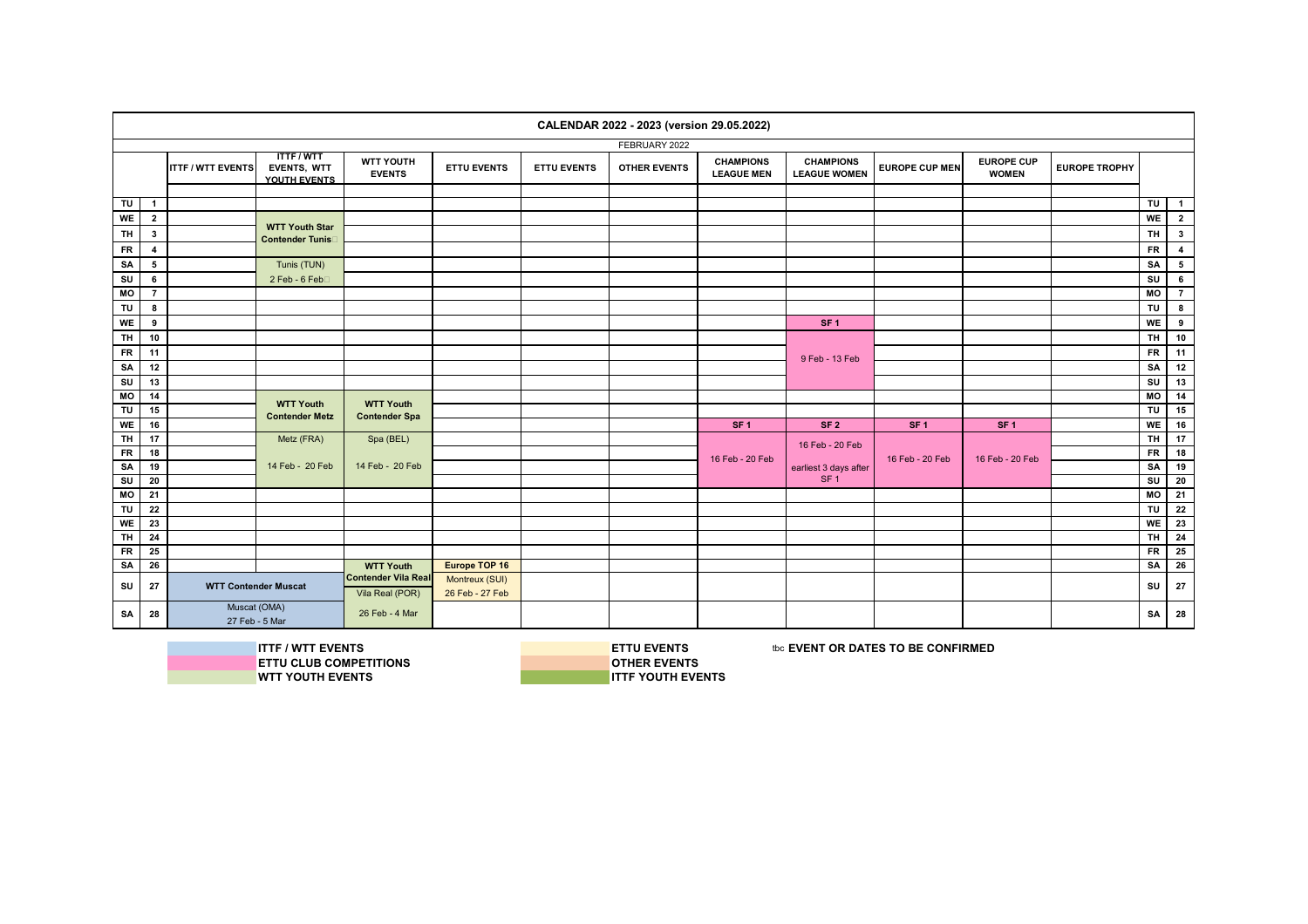|           |                |                                |                                                |                                       |                                   |                    | CALENDAR 2022 - 2023 (version 29.05.2022) |                                       |                                         |                       |                                   |                      |                |                         |
|-----------|----------------|--------------------------------|------------------------------------------------|---------------------------------------|-----------------------------------|--------------------|-------------------------------------------|---------------------------------------|-----------------------------------------|-----------------------|-----------------------------------|----------------------|----------------|-------------------------|
|           |                |                                |                                                |                                       |                                   |                    | FEBRUARY 2022                             |                                       |                                         |                       |                                   |                      |                |                         |
|           |                | <b>ITTF / WTT EVENTS</b>       | <b>ITTF/WTT</b><br>EVENTS, WTT<br>YOUTH EVENTS | <b>WTT YOUTH</b><br><b>EVENTS</b>     | <b>ETTU EVENTS</b>                | <b>ETTU EVENTS</b> | <b>OTHER EVENTS</b>                       | <b>CHAMPIONS</b><br><b>LEAGUE MEN</b> | <b>CHAMPIONS</b><br><b>LEAGUE WOMEN</b> | <b>EUROPE CUP MEN</b> | <b>EUROPE CUP</b><br><b>WOMEN</b> | <b>EUROPE TROPHY</b> |                |                         |
|           |                |                                |                                                |                                       |                                   |                    |                                           |                                       |                                         |                       |                                   |                      |                |                         |
| TU        | $\mathbf{1}$   |                                |                                                |                                       |                                   |                    |                                           |                                       |                                         |                       |                                   |                      | $T$ U          | $\blacksquare$          |
| WE        | $\overline{2}$ |                                | <b>WTT Youth Star</b>                          |                                       |                                   |                    |                                           |                                       |                                         |                       |                                   |                      | WE             | $\overline{2}$          |
| TH        | $\mathbf{3}$   |                                | <b>Contender Tunis</b>                         |                                       |                                   |                    |                                           |                                       |                                         |                       |                                   |                      | <b>TH</b>      | $\mathbf{3}$            |
| <b>FR</b> | $\overline{4}$ |                                |                                                |                                       |                                   |                    |                                           |                                       |                                         |                       |                                   |                      | <b>FR</b>      | $\overline{\mathbf{4}}$ |
| SA        | 5              |                                | Tunis (TUN)                                    |                                       |                                   |                    |                                           |                                       |                                         |                       |                                   |                      | SA             | $5\phantom{.0}$         |
| SU        | 6              |                                | 2 Feb - 6 Feb□                                 |                                       |                                   |                    |                                           |                                       |                                         |                       |                                   |                      | SU             | 6                       |
| MO        | $\overline{7}$ |                                |                                                |                                       |                                   |                    |                                           |                                       |                                         |                       |                                   |                      | M <sub>O</sub> | $\overline{7}$          |
| TU        | 8              |                                |                                                |                                       |                                   |                    |                                           |                                       |                                         |                       |                                   |                      | TU             | 8                       |
| WE        | 9              |                                |                                                |                                       |                                   |                    |                                           |                                       | SF <sub>1</sub>                         |                       |                                   |                      | WE             | 9                       |
| <b>TH</b> | 10             |                                |                                                |                                       |                                   |                    |                                           |                                       |                                         |                       |                                   |                      | <b>TH</b>      | 10                      |
| <b>FR</b> | 11             |                                |                                                |                                       |                                   |                    |                                           |                                       |                                         |                       |                                   |                      | <b>FR</b>      | 11                      |
| SA        | 12             |                                |                                                |                                       |                                   |                    |                                           |                                       | 9 Feb - 13 Feb                          |                       |                                   |                      | SA             | 12                      |
| SU        | 13             |                                |                                                |                                       |                                   |                    |                                           |                                       |                                         |                       |                                   |                      | SU             | 13                      |
| MO        | 14             |                                |                                                |                                       |                                   |                    |                                           |                                       |                                         |                       |                                   |                      | MO             | 14                      |
| TU        | 15             |                                | <b>WTT Youth</b>                               | <b>WTT Youth</b>                      |                                   |                    |                                           |                                       |                                         |                       |                                   |                      | TU             | 15                      |
| <b>WE</b> | 16             |                                | <b>Contender Metz</b>                          | <b>Contender Spa</b>                  |                                   |                    |                                           | SF <sub>1</sub>                       | SF <sub>2</sub>                         | SF <sub>1</sub>       | SF <sub>1</sub>                   |                      | WE             | 16                      |
| TH        | 17             |                                | Metz (FRA)                                     | Spa (BEL)                             |                                   |                    |                                           |                                       |                                         |                       |                                   |                      | <b>TH</b>      | 17                      |
| <b>FR</b> | 18             |                                |                                                |                                       |                                   |                    |                                           |                                       | 16 Feb - 20 Feb                         |                       |                                   |                      | <b>FR</b>      | 18                      |
| SA        | 19             |                                | 14 Feb - 20 Feb                                | 14 Feb - 20 Feb                       |                                   |                    |                                           | 16 Feb - 20 Feb                       | earliest 3 days after                   | 16 Feb - 20 Feb       | 16 Feb - 20 Feb                   |                      | SA             | 19                      |
| SU        | 20             |                                |                                                |                                       |                                   |                    |                                           |                                       | SF <sub>1</sub>                         |                       |                                   |                      | SU             | 20                      |
| MO        | 21             |                                |                                                |                                       |                                   |                    |                                           |                                       |                                         |                       |                                   |                      | MO             | 21                      |
| TU        | 22             |                                |                                                |                                       |                                   |                    |                                           |                                       |                                         |                       |                                   |                      | TU             | 22                      |
| WE        | 23             |                                |                                                |                                       |                                   |                    |                                           |                                       |                                         |                       |                                   |                      | WE             | 23                      |
| TH        | 24             |                                |                                                |                                       |                                   |                    |                                           |                                       |                                         |                       |                                   |                      | <b>TH</b>      | $\overline{24}$         |
| FR        | 25             |                                |                                                |                                       |                                   |                    |                                           |                                       |                                         |                       |                                   |                      | <b>FR</b>      | 25                      |
| SA        | 26             |                                |                                                | <b>WTT Youth</b>                      | Europe TOP 16                     |                    |                                           |                                       |                                         |                       |                                   |                      | <b>SA</b>      | 26                      |
| SU        | 27             |                                | <b>WTT Contender Muscat</b>                    | Contender Vila Rea<br>Vila Real (POR) | Montreux (SUI)<br>26 Feb - 27 Feb |                    |                                           |                                       |                                         |                       |                                   |                      | SU             | 27                      |
| SA        | 28             | Muscat (OMA)<br>27 Feb - 5 Mar |                                                | 26 Feb - 4 Mar                        |                                   |                    |                                           |                                       |                                         |                       |                                   |                      | SA             | 28                      |

**ITTF / WTT EVENTS**<br>
IN ETTU CLUB COMPETITIONS<br> **IN ETTU CLUB COMPETITIONS ETTU CLUB COMPETITIONS**<br> **OTHER EVENTS**<br> **OTHER EVENTS WTT YOUTH EVENTS**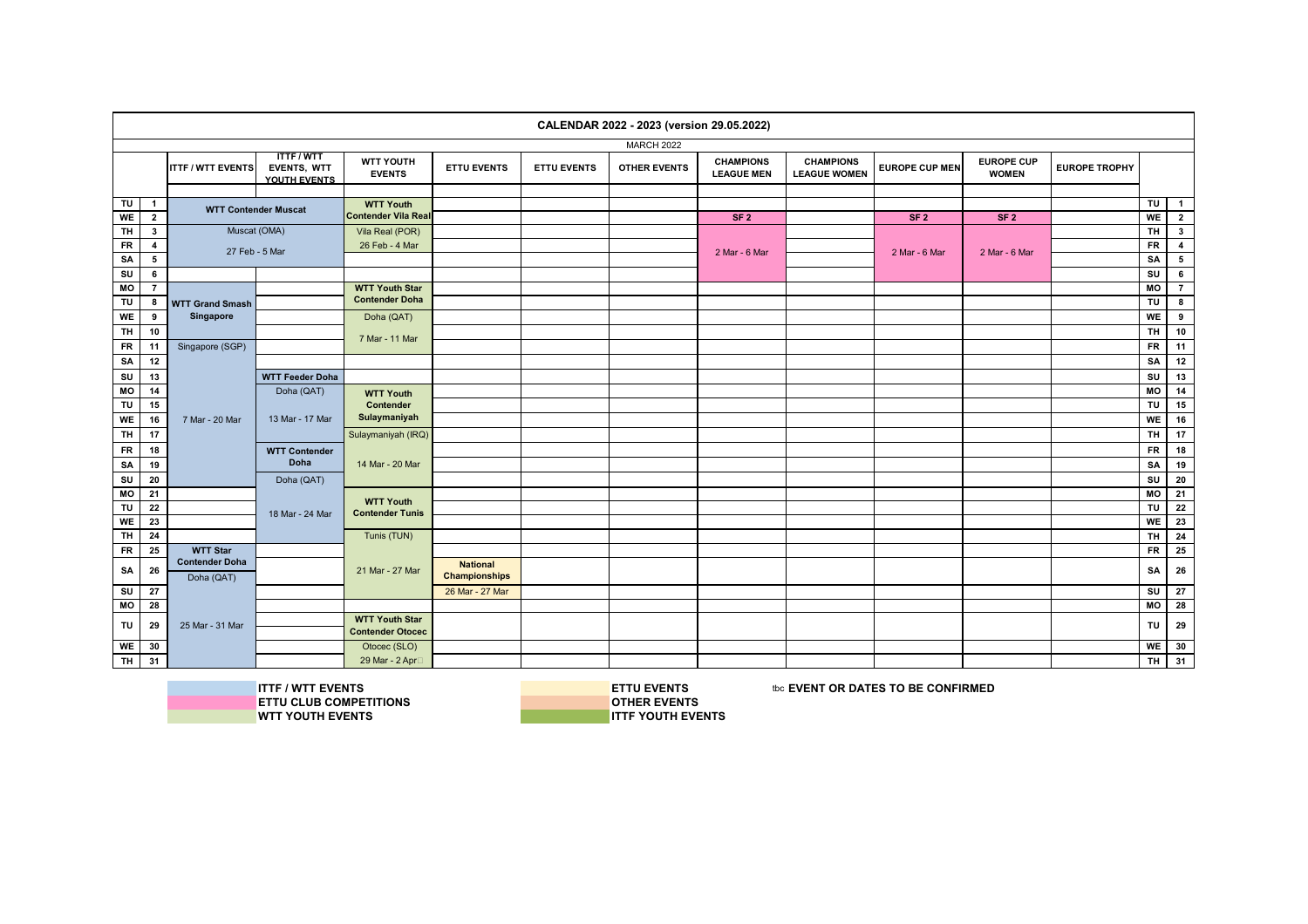|                         |                                  |                             |                                                |                                                  |                      |                    | CALENDAR 2022 - 2023 (version 29.05.2022) |                                       |                                         |                       |                                   |                      |            |                                           |
|-------------------------|----------------------------------|-----------------------------|------------------------------------------------|--------------------------------------------------|----------------------|--------------------|-------------------------------------------|---------------------------------------|-----------------------------------------|-----------------------|-----------------------------------|----------------------|------------|-------------------------------------------|
|                         |                                  |                             |                                                |                                                  |                      |                    | <b>MARCH 2022</b>                         |                                       |                                         |                       |                                   |                      |            |                                           |
|                         |                                  | <b>ITTF / WTT EVENTS</b>    | <b>ITTF/WTT</b><br>EVENTS, WTT<br>YOUTH EVENTS | WTT YOUTH<br><b>EVENTS</b>                       | <b>ETTU EVENTS</b>   | <b>ETTU EVENTS</b> | <b>OTHER EVENTS</b>                       | <b>CHAMPIONS</b><br><b>LEAGUE MEN</b> | <b>CHAMPIONS</b><br><b>LEAGUE WOMEN</b> | <b>EUROPE CUP MEN</b> | <b>EUROPE CUP</b><br><b>WOMEN</b> | <b>EUROPE TROPHY</b> |            |                                           |
|                         |                                  |                             |                                                |                                                  |                      |                    |                                           |                                       |                                         |                       |                                   |                      |            |                                           |
| TU<br>WE                | $\overline{1}$<br>$\overline{2}$ | <b>WTT Contender Muscat</b> |                                                | <b>WTT Youth</b><br><b>Contender Vila Real</b>   |                      |                    |                                           | SF <sub>2</sub>                       |                                         | SF <sub>2</sub>       | SF <sub>2</sub>                   |                      | TU  <br>WE | $\overline{1}$<br>$\overline{\mathbf{2}}$ |
| $\overline{\mathsf{H}}$ | $\mathbf{3}$                     | Muscat (OMA)                |                                                | Vila Real (POR)                                  |                      |                    |                                           |                                       |                                         |                       |                                   |                      | $T$ H      | $\overline{\mathbf{3}}$                   |
| <b>FR</b>               | $\overline{\mathbf{4}}$          |                             |                                                | 26 Feb - 4 Mar                                   |                      |                    |                                           |                                       |                                         |                       |                                   |                      | ${\sf FR}$ | $\overline{\mathbf{4}}$                   |
| SA                      | 5                                | 27 Feb - 5 Mar              |                                                |                                                  |                      |                    |                                           | 2 Mar - 6 Mar                         |                                         | 2 Mar - 6 Mar         | 2 Mar - 6 Mar                     |                      | SA         | $5\overline{ }$                           |
| SU                      | 6                                |                             |                                                |                                                  |                      |                    |                                           |                                       |                                         |                       |                                   |                      | SU         | $6\phantom{.0}$                           |
| MO                      | $\overline{7}$                   |                             |                                                | <b>WTT Youth Star</b>                            |                      |                    |                                           |                                       |                                         |                       |                                   |                      | MO         | $\overline{7}$                            |
| TU                      | 8                                | <b>WTT Grand Smash</b>      |                                                | <b>Contender Doha</b>                            |                      |                    |                                           |                                       |                                         |                       |                                   |                      | TU         | 8                                         |
| WE                      | 9                                | Singapore                   |                                                | Doha (QAT)                                       |                      |                    |                                           |                                       |                                         |                       |                                   |                      | WE         | 9                                         |
| TH                      | 10                               |                             |                                                |                                                  |                      |                    |                                           |                                       |                                         |                       |                                   |                      | TH.        | 10                                        |
| <b>FR</b>               | 11                               | Singapore (SGP)             |                                                | 7 Mar - 11 Mar                                   |                      |                    |                                           |                                       |                                         |                       |                                   |                      | <b>FR</b>  | 11                                        |
| SA                      | 12                               |                             |                                                |                                                  |                      |                    |                                           |                                       |                                         |                       |                                   |                      | SA         | 12                                        |
| SU                      | 13                               |                             | <b>WTT Feeder Doha</b>                         |                                                  |                      |                    |                                           |                                       |                                         |                       |                                   |                      | SU         | 13                                        |
| MO                      | 14                               |                             | Doha (QAT)                                     | <b>WTT Youth</b>                                 |                      |                    |                                           |                                       |                                         |                       |                                   |                      | MO         | 14                                        |
| TU                      | 15                               |                             |                                                | Contender                                        |                      |                    |                                           |                                       |                                         |                       |                                   |                      | TU         | 15                                        |
| <b>WE</b>               | 16                               | 7 Mar - 20 Mar              | 13 Mar - 17 Mar                                | Sulaymaniyah                                     |                      |                    |                                           |                                       |                                         |                       |                                   |                      | WE         | 16                                        |
| <b>TH</b>               | 17                               |                             |                                                | Sulaymaniyah (IRQ)                               |                      |                    |                                           |                                       |                                         |                       |                                   |                      | <b>TH</b>  | 17                                        |
| <b>FR</b>               | 18                               |                             | <b>WTT Contender</b>                           |                                                  |                      |                    |                                           |                                       |                                         |                       |                                   |                      | <b>FR</b>  | 18                                        |
| SA                      | 19                               |                             | Doha                                           | 14 Mar - 20 Mar                                  |                      |                    |                                           |                                       |                                         |                       |                                   |                      | SA         | 19                                        |
| SU                      | 20                               |                             | Doha (QAT)                                     |                                                  |                      |                    |                                           |                                       |                                         |                       |                                   |                      | SU         | 20                                        |
| <b>MO</b>               | 21                               |                             |                                                |                                                  |                      |                    |                                           |                                       |                                         |                       |                                   |                      | <b>MO</b>  | 21                                        |
| TU                      | 22                               |                             |                                                | <b>WTT Youth</b><br><b>Contender Tunis</b>       |                      |                    |                                           |                                       |                                         |                       |                                   |                      | TU         | 22                                        |
| <b>WE</b>               | 23                               |                             | 18 Mar - 24 Mar                                |                                                  |                      |                    |                                           |                                       |                                         |                       |                                   |                      | WE         | 23                                        |
| <b>TH</b>               | 24                               |                             |                                                | Tunis (TUN)                                      |                      |                    |                                           |                                       |                                         |                       |                                   |                      | <b>TH</b>  | 24                                        |
| <b>FR</b>               | 25                               | <b>WTT Star</b>             |                                                |                                                  |                      |                    |                                           |                                       |                                         |                       |                                   |                      | <b>FR</b>  | 25                                        |
| SA                      | 26                               | <b>Contender Doha</b>       |                                                | 21 Mar - 27 Mar                                  | <b>National</b>      |                    |                                           |                                       |                                         |                       |                                   |                      | <b>SA</b>  | 26                                        |
|                         |                                  | Doha (QAT)                  |                                                |                                                  | <b>Championships</b> |                    |                                           |                                       |                                         |                       |                                   |                      |            |                                           |
| SU                      | ${\bf 27}$                       |                             |                                                |                                                  | 26 Mar - 27 Mar      |                    |                                           |                                       |                                         |                       |                                   |                      | SU         | 27                                        |
| MO                      | 28                               |                             |                                                |                                                  |                      |                    |                                           |                                       |                                         |                       |                                   |                      | MO         | 28                                        |
| TU                      | 29                               | 25 Mar - 31 Mar             |                                                | <b>WTT Youth Star</b><br><b>Contender Otocec</b> |                      |                    |                                           |                                       |                                         |                       |                                   |                      | <b>TU</b>  | 29                                        |
|                         |                                  |                             |                                                |                                                  |                      |                    |                                           |                                       |                                         |                       |                                   |                      | WE         |                                           |
| <b>WE</b><br><b>TH</b>  | 30                               |                             |                                                | Otocec (SLO)                                     |                      |                    |                                           |                                       |                                         |                       |                                   |                      | TH.        | 30<br>31                                  |
|                         | 31                               |                             |                                                | 29 Mar - 2 Apr□                                  |                      |                    |                                           |                                       |                                         |                       |                                   |                      |            |                                           |

**ITTF / WTT EVENTS**<br> **ITTU CLUB COMPETITIONS**<br> **INSPECTIONS ETTU CLUB COMPETITIONS**<br>WTT YOUTH EVENTS

**ITTF YOUTH EVENTS**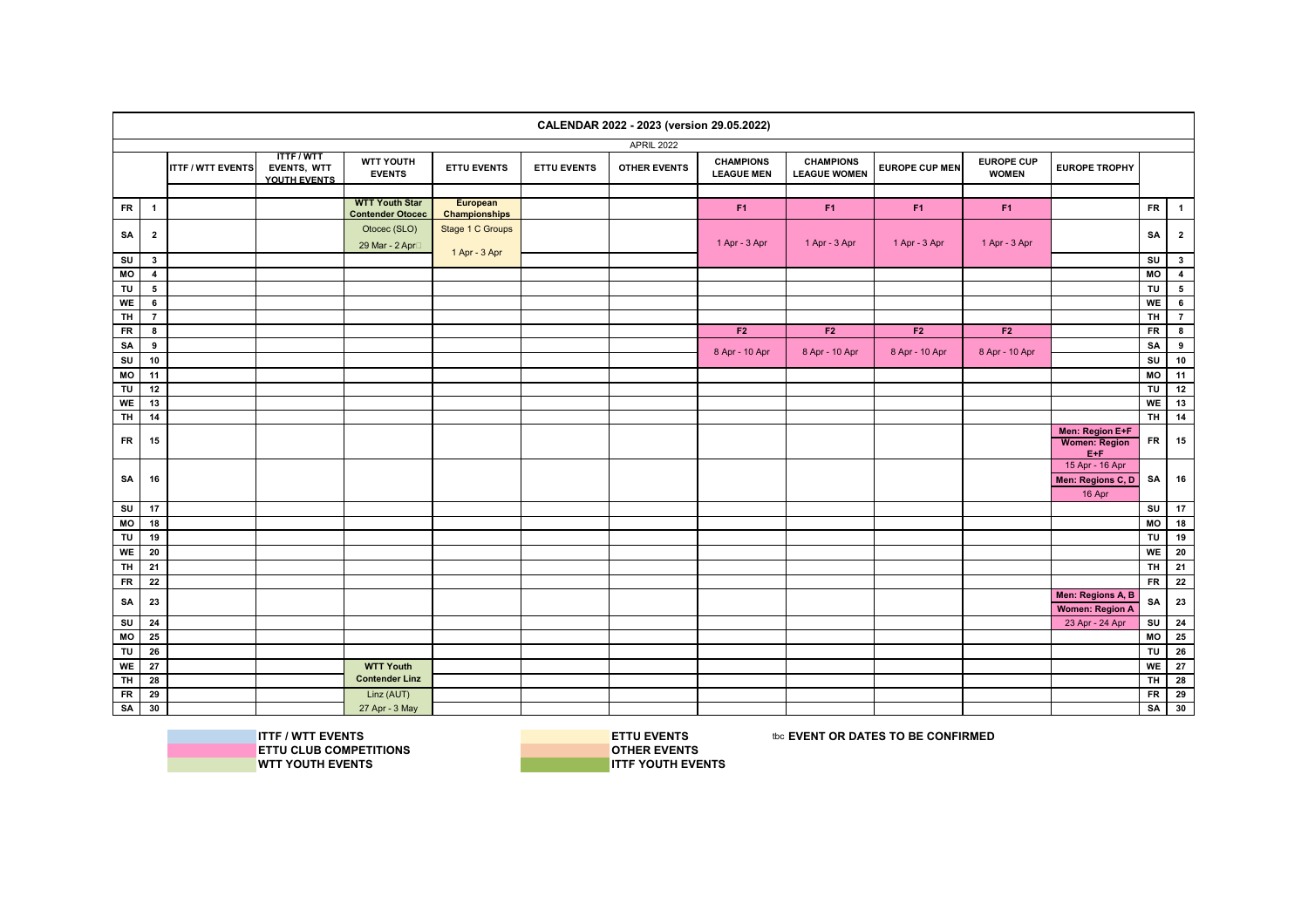|                |                         |                          |                                                |                                                  |                                  |                    | CALENDAR 2022 - 2023 (version 29.05.2022) |                                       |                                         |                       |                                   |                                                    |                         |                          |
|----------------|-------------------------|--------------------------|------------------------------------------------|--------------------------------------------------|----------------------------------|--------------------|-------------------------------------------|---------------------------------------|-----------------------------------------|-----------------------|-----------------------------------|----------------------------------------------------|-------------------------|--------------------------|
|                |                         |                          |                                                |                                                  |                                  |                    | <b>APRIL 2022</b>                         |                                       |                                         |                       |                                   |                                                    |                         |                          |
|                |                         | <b>ITTF / WTT EVENTS</b> | <b>ITTF/WTT</b><br>EVENTS, WTT<br>YOUTH EVENTS | WTT YOUTH<br><b>EVENTS</b>                       | <b>ETTU EVENTS</b>               | <b>ETTU EVENTS</b> | <b>OTHER EVENTS</b>                       | <b>CHAMPIONS</b><br><b>LEAGUE MEN</b> | <b>CHAMPIONS</b><br><b>LEAGUE WOMEN</b> | <b>EUROPE CUP MEN</b> | <b>EUROPE CUP</b><br><b>WOMEN</b> | <b>EUROPE TROPHY</b>                               |                         |                          |
|                |                         |                          |                                                |                                                  |                                  |                    |                                           |                                       |                                         |                       |                                   |                                                    |                         |                          |
| <b>FR</b>      | $\mathbf{1}$            |                          |                                                | <b>WTT Youth Star</b><br><b>Contender Otocec</b> | European<br><b>Championships</b> |                    |                                           | F <sub>1</sub>                        | F <sub>1</sub>                          | F <sub>1</sub>        | F <sub>1</sub>                    |                                                    | <b>FR</b>               | $\blacksquare$           |
|                |                         |                          |                                                | Otocec (SLO)                                     | Stage 1 C Groups                 |                    |                                           |                                       |                                         |                       |                                   |                                                    |                         |                          |
| SA             | $\mathbf{2}$            |                          |                                                | 29 Mar - 2 Apr <sup>1</sup>                      |                                  |                    |                                           | 1 Apr - 3 Apr                         | 1 Apr - 3 Apr                           | 1 Apr - 3 Apr         | 1 Apr - 3 Apr                     |                                                    | SA                      | $\overline{2}$           |
| SU             | $\mathbf{3}$            |                          |                                                |                                                  | 1 Apr - 3 Apr                    |                    |                                           |                                       |                                         |                       |                                   |                                                    | SU                      | $\overline{\mathbf{3}}$  |
| MO             | $\overline{\mathbf{4}}$ |                          |                                                |                                                  |                                  |                    |                                           |                                       |                                         |                       |                                   |                                                    | $\overline{M}$          | $\overline{4}$           |
| TU             | $5\overline{5}$         |                          |                                                |                                                  |                                  |                    |                                           |                                       |                                         |                       |                                   |                                                    | TU                      | $5\phantom{.0}$          |
| WE             | 6                       |                          |                                                |                                                  |                                  |                    |                                           |                                       |                                         |                       |                                   |                                                    | WE                      | $\overline{\phantom{a}}$ |
| <b>TH</b>      | $\overline{7}$          |                          |                                                |                                                  |                                  |                    |                                           |                                       |                                         |                       |                                   |                                                    | $\overline{H}$          | $\overline{7}$           |
| <b>FR</b>      | 8                       |                          |                                                |                                                  |                                  |                    |                                           | F2                                    | F2                                      | F2                    | F <sub>2</sub>                    |                                                    | ${\sf FR}$              | 8                        |
| SA             | 9                       |                          |                                                |                                                  |                                  |                    |                                           |                                       |                                         |                       |                                   |                                                    | SA                      | 9                        |
| su             | 10                      |                          |                                                |                                                  |                                  |                    |                                           | 8 Apr - 10 Apr                        | 8 Apr - 10 Apr                          | 8 Apr - 10 Apr        | 8 Apr - 10 Apr                    |                                                    | SU                      | 10                       |
| MO             | 11                      |                          |                                                |                                                  |                                  |                    |                                           |                                       |                                         |                       |                                   |                                                    | MO                      | 11                       |
| TU             | 12                      |                          |                                                |                                                  |                                  |                    |                                           |                                       |                                         |                       |                                   |                                                    | TU                      | 12                       |
| WE             | 13                      |                          |                                                |                                                  |                                  |                    |                                           |                                       |                                         |                       |                                   |                                                    | WE                      | 13                       |
| $\overline{H}$ | 14                      |                          |                                                |                                                  |                                  |                    |                                           |                                       |                                         |                       |                                   |                                                    | $\overline{H}$          | 14                       |
| <b>FR</b>      | 15                      |                          |                                                |                                                  |                                  |                    |                                           |                                       |                                         |                       |                                   | Men: Region E+F<br><b>Women: Region</b><br>$E + F$ | FR                      | 15                       |
| SA             | 16                      |                          |                                                |                                                  |                                  |                    |                                           |                                       |                                         |                       |                                   | 15 Apr - 16 Apr<br>Men: Regions C, D<br>16 Apr     | SA                      | 16                       |
| SU             | 17                      |                          |                                                |                                                  |                                  |                    |                                           |                                       |                                         |                       |                                   |                                                    | SU                      | 17                       |
| MO             | 18                      |                          |                                                |                                                  |                                  |                    |                                           |                                       |                                         |                       |                                   |                                                    | MO                      | 18                       |
| TU             | 19                      |                          |                                                |                                                  |                                  |                    |                                           |                                       |                                         |                       |                                   |                                                    | TU                      | 19                       |
| WE             | 20                      |                          |                                                |                                                  |                                  |                    |                                           |                                       |                                         |                       |                                   |                                                    | WE                      | ${\bf 20}$               |
| <b>TH</b>      | 21                      |                          |                                                |                                                  |                                  |                    |                                           |                                       |                                         |                       |                                   |                                                    | <b>TH</b>               | 21                       |
| <b>FR</b>      | 22                      |                          |                                                |                                                  |                                  |                    |                                           |                                       |                                         |                       |                                   |                                                    | <b>FR</b>               | 22                       |
| SA             | 23                      |                          |                                                |                                                  |                                  |                    |                                           |                                       |                                         |                       |                                   | Men: Regions A, B<br>Women: Region A               | SA                      | 23                       |
| SU             | 24                      |                          |                                                |                                                  |                                  |                    |                                           |                                       |                                         |                       |                                   | 23 Apr - 24 Apr                                    | SU                      | 24                       |
| MO             | 25                      |                          |                                                |                                                  |                                  |                    |                                           |                                       |                                         |                       |                                   |                                                    | MO                      | 25                       |
| TU             | 26                      |                          |                                                |                                                  |                                  |                    |                                           |                                       |                                         |                       |                                   |                                                    | TU                      | ${\bf 26}$               |
| WE             | 27                      |                          |                                                | <b>WTT Youth</b>                                 |                                  |                    |                                           |                                       |                                         |                       |                                   |                                                    | WE                      | 27                       |
| <b>TH</b>      | 28                      |                          |                                                | <b>Contender Linz</b>                            |                                  |                    |                                           |                                       |                                         |                       |                                   |                                                    | $\overline{\mathbf{H}}$ | 28                       |
| <b>FR</b>      | 29                      |                          |                                                | Linz (AUT)                                       |                                  |                    |                                           |                                       |                                         |                       |                                   |                                                    | ${\sf FR}$              | 29                       |
| SA             | 30                      |                          |                                                | 27 Apr - 3 May                                   |                                  |                    |                                           |                                       |                                         |                       |                                   |                                                    | SA                      | 30                       |
|                |                         |                          |                                                |                                                  |                                  |                    |                                           |                                       |                                         |                       |                                   |                                                    |                         |                          |

**WTT YOUTH EVENTS** 

**ITTF / WTT EVENTS**<br>
IN ETTU CLUB COMPETITIONS<br> **IN ETTU CLUB COMPETITIONS ETTU CLUB COMPETITIONS**<br> **OTHER EVENTS**<br> **OTHER EVENTS**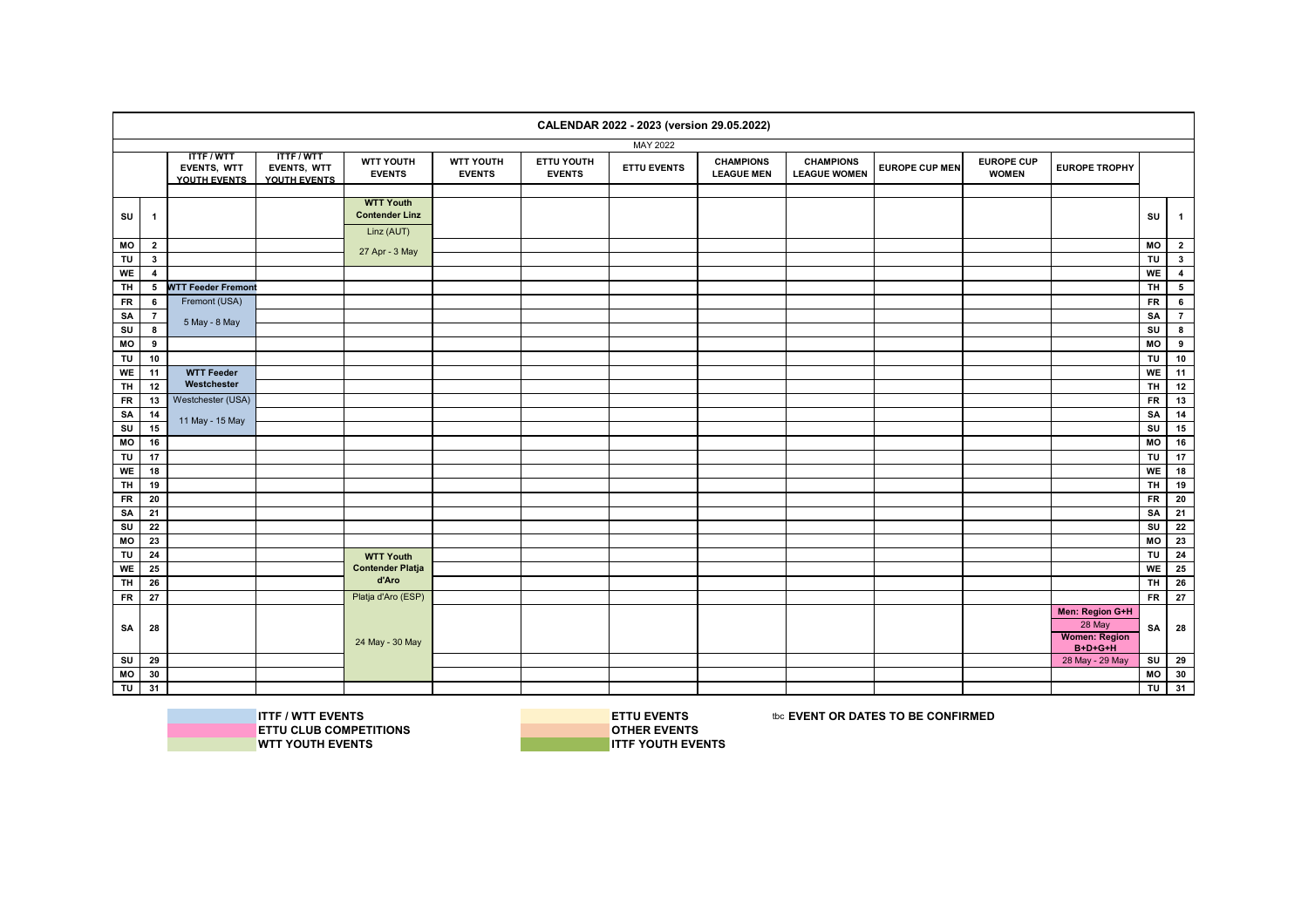|                         |                |                                                |                                                |                                           |                            |                             | CALENDAR 2022 - 2023 (version 29.05.2022) |                                       |                                         |                       |                                   |                                                                |                         |                          |
|-------------------------|----------------|------------------------------------------------|------------------------------------------------|-------------------------------------------|----------------------------|-----------------------------|-------------------------------------------|---------------------------------------|-----------------------------------------|-----------------------|-----------------------------------|----------------------------------------------------------------|-------------------------|--------------------------|
|                         |                |                                                |                                                |                                           |                            |                             | MAY 2022                                  |                                       |                                         |                       |                                   |                                                                |                         |                          |
|                         |                | <b>ITTF/WTT</b><br>EVENTS, WTT<br>YOUTH EVENTS | <b>ITTF/WTT</b><br>EVENTS, WTT<br>YOUTH EVENTS | <b>WTT YOUTH</b><br><b>EVENTS</b>         | WTT YOUTH<br><b>EVENTS</b> | ETTU YOUTH<br><b>EVENTS</b> | <b>ETTU EVENTS</b>                        | <b>CHAMPIONS</b><br><b>LEAGUE MEN</b> | <b>CHAMPIONS</b><br><b>LEAGUE WOMEN</b> | <b>EUROPE CUP MEN</b> | <b>EUROPE CUP</b><br><b>WOMEN</b> | <b>EUROPE TROPHY</b>                                           |                         |                          |
| SU                      | $\mathbf{1}$   |                                                |                                                | <b>WTT Youth</b><br><b>Contender Linz</b> |                            |                             |                                           |                                       |                                         |                       |                                   |                                                                | SU                      | $\blacksquare$           |
|                         |                |                                                |                                                | Linz (AUT)                                |                            |                             |                                           |                                       |                                         |                       |                                   |                                                                |                         |                          |
| MO                      | $\mathbf{2}$   |                                                |                                                |                                           |                            |                             |                                           |                                       |                                         |                       |                                   |                                                                | MO                      | $\overline{\mathbf{2}}$  |
| TU                      | $\mathbf{3}$   |                                                |                                                | 27 Apr - 3 May                            |                            |                             |                                           |                                       |                                         |                       |                                   |                                                                | TU                      | $\overline{\mathbf{3}}$  |
| WE                      | $\overline{4}$ |                                                |                                                |                                           |                            |                             |                                           |                                       |                                         |                       |                                   |                                                                | <b>WE</b>               | $\overline{\mathbf{4}}$  |
| TH                      | 5              | <b>WTT Feeder Fremont</b>                      |                                                |                                           |                            |                             |                                           |                                       |                                         |                       |                                   |                                                                | <b>TH</b>               | $\overline{\phantom{a}}$ |
| <b>FR</b>               | 6              | Fremont (USA)                                  |                                                |                                           |                            |                             |                                           |                                       |                                         |                       |                                   |                                                                | <b>FR</b>               | $6\phantom{.}$           |
| SA                      | $\overline{7}$ | 5 May - 8 May                                  |                                                |                                           |                            |                             |                                           |                                       |                                         |                       |                                   |                                                                | SA                      | $\overline{7}$           |
| su                      | 8              |                                                |                                                |                                           |                            |                             |                                           |                                       |                                         |                       |                                   |                                                                | SU                      | $\overline{\mathbf{8}}$  |
| MO                      | 9              |                                                |                                                |                                           |                            |                             |                                           |                                       |                                         |                       |                                   |                                                                | M <sub>O</sub>          | $\boldsymbol{9}$         |
| TU                      | 10             |                                                |                                                |                                           |                            |                             |                                           |                                       |                                         |                       |                                   |                                                                | TU                      | 10                       |
| WE                      | 11             | <b>WTT Feeder</b>                              |                                                |                                           |                            |                             |                                           |                                       |                                         |                       |                                   |                                                                | WE                      | 11                       |
| TH                      | 12             | Westchester                                    |                                                |                                           |                            |                             |                                           |                                       |                                         |                       |                                   |                                                                | <b>TH</b>               | 12                       |
| <b>FR</b>               | 13             | Westchester (USA)                              |                                                |                                           |                            |                             |                                           |                                       |                                         |                       |                                   |                                                                | <b>FR</b>               | 13                       |
| SA                      | 14             | 11 May - 15 May                                |                                                |                                           |                            |                             |                                           |                                       |                                         |                       |                                   |                                                                | SA                      | 14                       |
| $\mathbf{S}\mathbf{U}$  | 15             |                                                |                                                |                                           |                            |                             |                                           |                                       |                                         |                       |                                   |                                                                | SU                      | 15                       |
| MO                      | 16             |                                                |                                                |                                           |                            |                             |                                           |                                       |                                         |                       |                                   |                                                                | MO                      | 16                       |
| TU<br>WE                | 17<br>18       |                                                |                                                |                                           |                            |                             |                                           |                                       |                                         |                       |                                   |                                                                | TU<br>WE                | 17<br>18                 |
| <b>TH</b>               | 19             |                                                |                                                |                                           |                            |                             |                                           |                                       |                                         |                       |                                   |                                                                | 로                       | 19                       |
| <b>FR</b>               | 20             |                                                |                                                |                                           |                            |                             |                                           |                                       |                                         |                       |                                   |                                                                | <b>FR</b>               | 20                       |
| SA                      | 21             |                                                |                                                |                                           |                            |                             |                                           |                                       |                                         |                       |                                   |                                                                | SA                      | 21                       |
| $\overline{\mathsf{s}}$ | 22             |                                                |                                                |                                           |                            |                             |                                           |                                       |                                         |                       |                                   |                                                                | $\overline{\mathsf{s}}$ | 22                       |
| MO                      | 23             |                                                |                                                |                                           |                            |                             |                                           |                                       |                                         |                       |                                   |                                                                | MO I                    | 23                       |
| TU                      | 24             |                                                |                                                | <b>WTT Youth</b>                          |                            |                             |                                           |                                       |                                         |                       |                                   |                                                                | TU                      | 24                       |
| WE                      | 25             |                                                |                                                | <b>Contender Platja</b>                   |                            |                             |                                           |                                       |                                         |                       |                                   |                                                                | WE                      | 25                       |
| TH                      | 26             |                                                |                                                | d'Aro                                     |                            |                             |                                           |                                       |                                         |                       |                                   |                                                                | <b>TH</b>               | 26                       |
| <b>FR</b>               | 27             |                                                |                                                | Platja d'Aro (ESP)                        |                            |                             |                                           |                                       |                                         |                       |                                   |                                                                | $F$ R                   | 27                       |
| SA                      | 28             |                                                |                                                | 24 May - 30 May                           |                            |                             |                                           |                                       |                                         |                       |                                   | Men: Region G+H<br>28 May<br><b>Women: Region</b><br>$B+D+G+H$ | SA                      | 28                       |
| SU                      | 29             |                                                |                                                |                                           |                            |                             |                                           |                                       |                                         |                       |                                   | 28 May - 29 May                                                | su l                    | 29                       |
| MO                      | 30             |                                                |                                                |                                           |                            |                             |                                           |                                       |                                         |                       |                                   |                                                                | MO                      | 30                       |
| TU                      | 31             |                                                |                                                |                                           |                            |                             |                                           |                                       |                                         |                       |                                   |                                                                | TU                      | 31                       |

**ITTF / WTT EVENTS**<br> **ITTU CLUB COMPETITIONS**<br> **INSPECTIONS ETTU CLUB COMPETITIONS**<br>WTT YOUTH EVENTS

**WTT YOUTH EVENTS ITTF YOUTH EVENTS**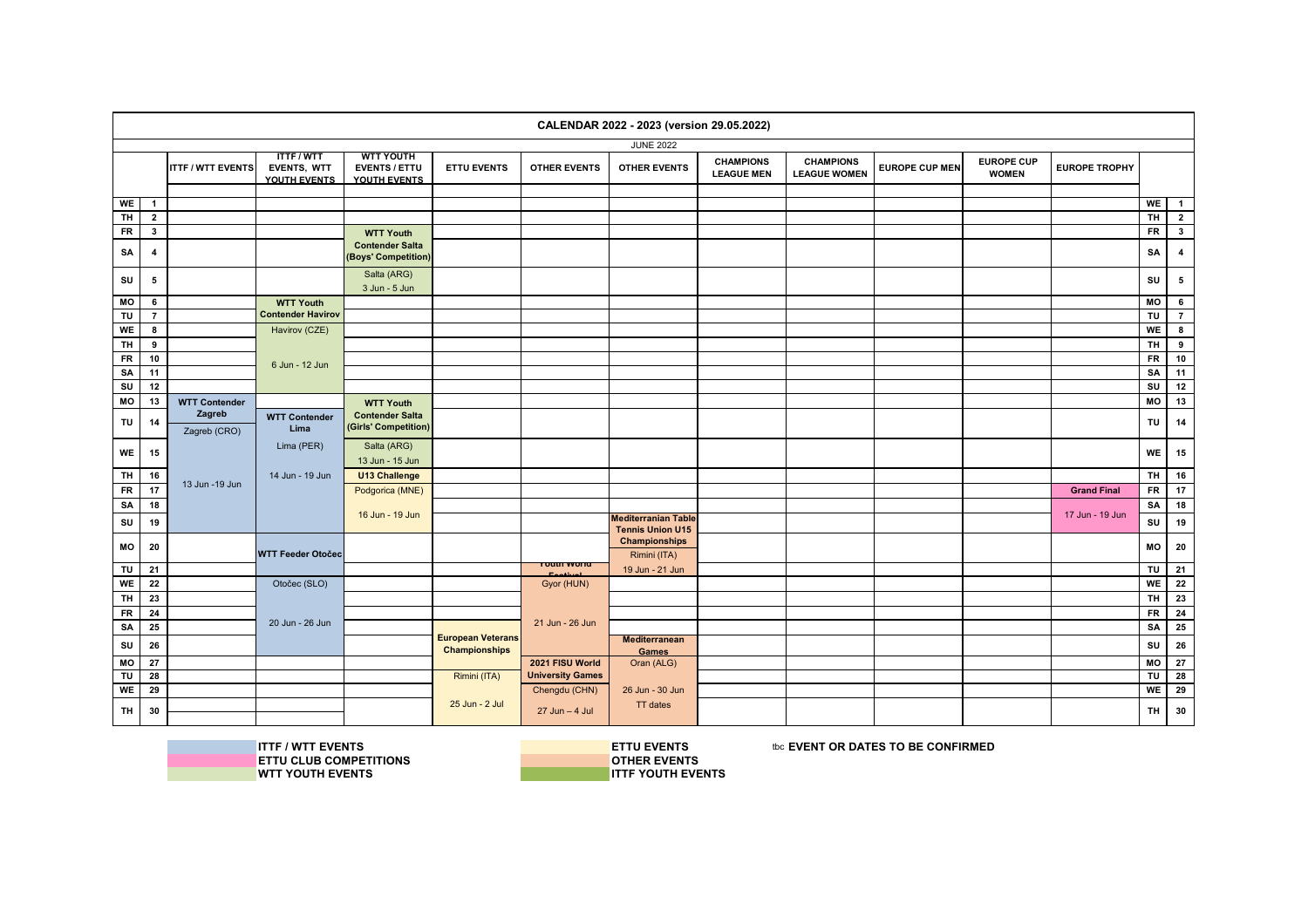|            |                         |                          |                                                       |                                                          |                          |                                            | CALENDAR 2022 - 2023 (version 29.05.2022) |                                       |                                         |                       |                                   |                      |           |                         |
|------------|-------------------------|--------------------------|-------------------------------------------------------|----------------------------------------------------------|--------------------------|--------------------------------------------|-------------------------------------------|---------------------------------------|-----------------------------------------|-----------------------|-----------------------------------|----------------------|-----------|-------------------------|
|            |                         |                          |                                                       |                                                          |                          |                                            | <b>JUNE 2022</b>                          |                                       |                                         |                       |                                   |                      |           |                         |
|            |                         | <b>ITTF / WTT EVENTS</b> | <b>ITTF/WTT</b><br><b>EVENTS, WTT</b><br>YOUTH EVENTS | <b>WTT YOUTH</b><br><b>EVENTS / ETTU</b><br>YOUTH EVENTS | <b>ETTU EVENTS</b>       | <b>OTHER EVENTS</b>                        | <b>OTHER EVENTS</b>                       | <b>CHAMPIONS</b><br><b>LEAGUE MEN</b> | <b>CHAMPIONS</b><br><b>LEAGUE WOMEN</b> | <b>EUROPE CUP MEN</b> | <b>EUROPE CUP</b><br><b>WOMEN</b> | <b>EUROPE TROPHY</b> |           |                         |
| WE         | $\mathbf{1}$            |                          |                                                       |                                                          |                          |                                            |                                           |                                       |                                         |                       |                                   |                      | WE        | $\overline{1}$          |
| <b>TH</b>  | $\mathbf{2}$            |                          |                                                       |                                                          |                          |                                            |                                           |                                       |                                         |                       |                                   |                      | <b>TH</b> | $\overline{2}$          |
| <b>FR</b>  | $\mathbf{3}$            |                          |                                                       | <b>WTT Youth</b>                                         |                          |                                            |                                           |                                       |                                         |                       |                                   |                      | <b>FR</b> | $\mathbf{3}$            |
| SA         | $\overline{\mathbf{4}}$ |                          |                                                       | <b>Contender Salta</b><br>(Boys' Competition)            |                          |                                            |                                           |                                       |                                         |                       |                                   |                      | SA        | $\overline{\mathbf{4}}$ |
|            |                         |                          |                                                       | Salta (ARG)                                              |                          |                                            |                                           |                                       |                                         |                       |                                   |                      |           |                         |
| SU         | 5                       |                          |                                                       | 3 Jun - 5 Jun                                            |                          |                                            |                                           |                                       |                                         |                       |                                   |                      | SU        | $5\overline{5}$         |
| МO         | 6                       |                          | <b>WTT Youth</b>                                      |                                                          |                          |                                            |                                           |                                       |                                         |                       |                                   |                      | MO        | 6                       |
| TU         | $\overline{7}$          |                          | <b>Contender Havirov</b>                              |                                                          |                          |                                            |                                           |                                       |                                         |                       |                                   |                      | TU        | $\overline{7}$          |
| WE         | 8                       |                          | Havirov (CZE)                                         |                                                          |                          |                                            |                                           |                                       |                                         |                       |                                   |                      | <b>WE</b> | $\bf{8}$                |
| <b>TH</b>  | 9                       |                          |                                                       |                                                          |                          |                                            |                                           |                                       |                                         |                       |                                   |                      | <b>TH</b> | 9                       |
| ${\sf FR}$ | 10                      |                          | 6 Jun - 12 Jun                                        |                                                          |                          |                                            |                                           |                                       |                                         |                       |                                   |                      | <b>FR</b> | 10                      |
| SA         | 11                      |                          |                                                       |                                                          |                          |                                            |                                           |                                       |                                         |                       |                                   |                      | SA        | 11                      |
| SU         | 12                      |                          |                                                       |                                                          |                          |                                            |                                           |                                       |                                         |                       |                                   |                      | SU        | 12                      |
| МO         | 13                      | <b>WTT Contender</b>     |                                                       | <b>WTT Youth</b>                                         |                          |                                            |                                           |                                       |                                         |                       |                                   |                      | MO        | 13                      |
| TU         | 14                      | Zagreb<br>Zagreb (CRO)   | <b>WTT Contender</b><br>Lima                          | <b>Contender Salta</b><br>(Girls' Competition)           |                          |                                            |                                           |                                       |                                         |                       |                                   |                      | TU        | 14                      |
| WE         | 15                      |                          | Lima (PER)                                            | Salta (ARG)<br>13 Jun - 15 Jun                           |                          |                                            |                                           |                                       |                                         |                       |                                   |                      | <b>WE</b> | 15                      |
| <b>TH</b>  | 16                      |                          | 14 Jun - 19 Jun                                       | U13 Challenge                                            |                          |                                            |                                           |                                       |                                         |                       |                                   |                      | <b>TH</b> | 16                      |
| $F$ R      | 17                      | 13 Jun - 19 Jun          |                                                       | Podgorica (MNE)                                          |                          |                                            |                                           |                                       |                                         |                       |                                   | <b>Grand Final</b>   | <b>FR</b> | 17                      |
| SA         | 18                      |                          |                                                       |                                                          |                          |                                            |                                           |                                       |                                         |                       |                                   |                      | SA        | 18                      |
| SU         | 19                      |                          |                                                       | 16 Jun - 19 Jun                                          |                          |                                            | <b>Mediterranian Table</b>                |                                       |                                         |                       |                                   | 17 Jun - 19 Jun      | SU        | 19                      |
|            |                         |                          |                                                       |                                                          |                          |                                            | <b>Tennis Union U15</b>                   |                                       |                                         |                       |                                   |                      |           |                         |
| MО         | 20                      |                          | <b>WTT Feeder Otočec</b>                              |                                                          |                          |                                            | <b>Championships</b><br>Rimini (ITA)      |                                       |                                         |                       |                                   |                      | <b>MO</b> | 20                      |
| TU         | 21                      |                          |                                                       |                                                          |                          | <b>TUULII WUITU</b>                        | 19 Jun - 21 Jun                           |                                       |                                         |                       |                                   |                      | TU        | 21                      |
| WE         | 22                      |                          | Otočec (SLO)                                          |                                                          |                          | Gyor (HUN)                                 |                                           |                                       |                                         |                       |                                   |                      | <b>WE</b> | 22                      |
| <b>TH</b>  | 23                      |                          |                                                       |                                                          |                          |                                            |                                           |                                       |                                         |                       |                                   |                      | <b>TH</b> | 23                      |
| ${\sf FR}$ | 24                      |                          |                                                       |                                                          |                          |                                            |                                           |                                       |                                         |                       |                                   |                      | <b>FR</b> | 24                      |
| SA         | 25                      |                          | 20 Jun - 26 Jun                                       |                                                          |                          | 21 Jun - 26 Jun                            |                                           |                                       |                                         |                       |                                   |                      | <b>SA</b> | 25                      |
| SU         | 26                      |                          |                                                       |                                                          | <b>European Veterans</b> |                                            | <b>Mediterranean</b>                      |                                       |                                         |                       |                                   |                      | SU        | 26                      |
|            |                         |                          |                                                       |                                                          | <b>Championships</b>     |                                            | Games                                     |                                       |                                         |                       |                                   |                      |           |                         |
| МO         | 27                      |                          |                                                       |                                                          |                          | 2021 FISU World<br><b>University Games</b> | Oran (ALG)                                |                                       |                                         |                       |                                   |                      | MO        | $\overline{27}$         |
| TU         | 28                      |                          |                                                       |                                                          | Rimini (ITA)             |                                            |                                           |                                       |                                         |                       |                                   |                      | TU        | 28<br>29                |
| WE         | 29                      |                          |                                                       |                                                          | 25 Jun - 2 Jul           | Chengdu (CHN)                              | 26 Jun - 30 Jun<br>TT dates               |                                       |                                         |                       |                                   |                      | WE        |                         |
| TH         | 30                      |                          |                                                       |                                                          |                          | $27$ Jun $-4$ Jul                          |                                           |                                       |                                         |                       |                                   |                      | TH.       | 30                      |

**WTT YOUTH EVENTS** 

**ITTF / WTT EVENTS**<br>
IN ETTU CLUB COMPETITIONS<br> **ETTU CLUB COMPETITIONS ETTU CLUB COMPETITIONS OTHER EVENTS**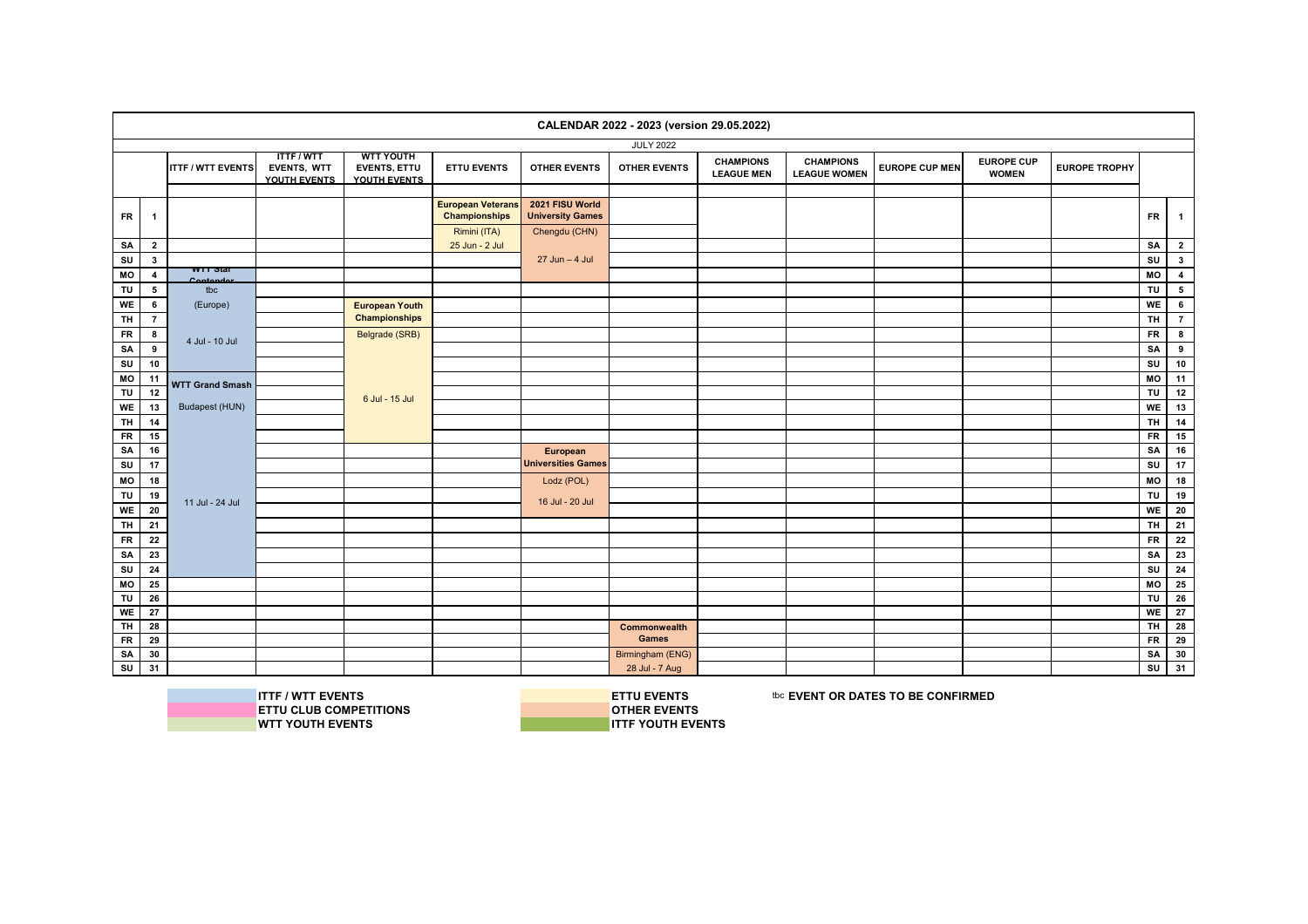|           |                         |                          |                                                |                                                         |                                                  |                                            | CALENDAR 2022 - 2023 (version 29.05.2022) |                                       |                                         |                       |                                   |                      |           |                         |
|-----------|-------------------------|--------------------------|------------------------------------------------|---------------------------------------------------------|--------------------------------------------------|--------------------------------------------|-------------------------------------------|---------------------------------------|-----------------------------------------|-----------------------|-----------------------------------|----------------------|-----------|-------------------------|
|           |                         |                          |                                                |                                                         |                                                  |                                            | <b>JULY 2022</b>                          |                                       |                                         |                       |                                   |                      |           |                         |
|           |                         | <b>ITTF / WTT EVENTS</b> | <b>ITTF/WTT</b><br>EVENTS, WTT<br>YOUTH EVENTS | <b>WTT YOUTH</b><br><b>EVENTS, ETTU</b><br>YOUTH EVENTS | <b>ETTU EVENTS</b>                               | <b>OTHER EVENTS</b>                        | <b>OTHER EVENTS</b>                       | <b>CHAMPIONS</b><br><b>LEAGUE MEN</b> | <b>CHAMPIONS</b><br><b>LEAGUE WOMEN</b> | <b>EUROPE CUP MEN</b> | <b>EUROPE CUP</b><br><b>WOMEN</b> | <b>EUROPE TROPHY</b> |           |                         |
| <b>FR</b> | $\overline{\mathbf{1}}$ |                          |                                                |                                                         | <b>European Veterans</b><br><b>Championships</b> | 2021 FISU World<br><b>University Games</b> |                                           |                                       |                                         |                       |                                   |                      | <b>FR</b> | $\mathbf{1}$            |
|           |                         |                          |                                                |                                                         | Rimini (ITA)                                     | Chengdu (CHN)                              |                                           |                                       |                                         |                       |                                   |                      |           |                         |
| SA        | $\mathbf{2}$            |                          |                                                |                                                         | 25 Jun - 2 Jul                                   |                                            |                                           |                                       |                                         |                       |                                   |                      | <b>SA</b> | $\overline{2}$          |
| <b>SU</b> | $\mathbf{3}$            | <b>WILD</b> Star         |                                                |                                                         |                                                  | $27$ Jun $-4$ Jul                          |                                           |                                       |                                         |                       |                                   |                      | SU        | $\mathbf{3}$            |
| MO        | $\overline{\mathbf{4}}$ | Contender                |                                                |                                                         |                                                  |                                            |                                           |                                       |                                         |                       |                                   |                      | MO        | $\overline{\mathbf{4}}$ |
| TU        | 5                       | tbc                      |                                                |                                                         |                                                  |                                            |                                           |                                       |                                         |                       |                                   |                      | TU        | ${\bf 5}$               |
| WE        | $6\overline{6}$         | (Europe)                 |                                                | <b>European Youth</b>                                   |                                                  |                                            |                                           |                                       |                                         |                       |                                   |                      | WE        | $\bf 6$                 |
| TH        | $\overline{7}$          |                          |                                                | <b>Championships</b>                                    |                                                  |                                            |                                           |                                       |                                         |                       |                                   |                      | <b>TH</b> | $\overline{7}$          |
| <b>FR</b> | 8                       | 4 Jul - 10 Jul           |                                                | Belgrade (SRB)                                          |                                                  |                                            |                                           |                                       |                                         |                       |                                   |                      | <b>FR</b> | $\bf{8}$                |
| SA        | 9                       |                          |                                                |                                                         |                                                  |                                            |                                           |                                       |                                         |                       |                                   |                      | SA        | 9                       |
| SU        | 10                      |                          |                                                |                                                         |                                                  |                                            |                                           |                                       |                                         |                       |                                   |                      | SU        | 10                      |
| МO        | 11                      | <b>WTT Grand Smash</b>   |                                                |                                                         |                                                  |                                            |                                           |                                       |                                         |                       |                                   |                      | MO        | 11                      |
| TU        | 12                      |                          |                                                | 6 Jul - 15 Jul                                          |                                                  |                                            |                                           |                                       |                                         |                       |                                   |                      | TU        | 12                      |
| WE        | 13                      | Budapest (HUN)           |                                                |                                                         |                                                  |                                            |                                           |                                       |                                         |                       |                                   |                      | WE        | 13                      |
| <b>TH</b> | 14                      |                          |                                                |                                                         |                                                  |                                            |                                           |                                       |                                         |                       |                                   |                      | <b>TH</b> | 14                      |
| FR        | 15                      |                          |                                                |                                                         |                                                  |                                            |                                           |                                       |                                         |                       |                                   |                      | <b>FR</b> | 15                      |
| SA        | 16                      |                          |                                                |                                                         |                                                  | European                                   |                                           |                                       |                                         |                       |                                   |                      | SA        | 16                      |
| SU        | 17                      |                          |                                                |                                                         |                                                  | <b>Universities Games</b>                  |                                           |                                       |                                         |                       |                                   |                      | SU        | 17                      |
| MO        | 18                      |                          |                                                |                                                         |                                                  | Lodz (POL)                                 |                                           |                                       |                                         |                       |                                   |                      | MO        | 18                      |
| TU        | 19                      | 11 Jul - 24 Jul          |                                                |                                                         |                                                  | 16 Jul - 20 Jul                            |                                           |                                       |                                         |                       |                                   |                      | TU        | 19                      |
| WE        | 20                      |                          |                                                |                                                         |                                                  |                                            |                                           |                                       |                                         |                       |                                   |                      | <b>WE</b> | 20                      |
| <b>TH</b> | 21                      |                          |                                                |                                                         |                                                  |                                            |                                           |                                       |                                         |                       |                                   |                      | <b>TH</b> | 21                      |
| <b>FR</b> | 22                      |                          |                                                |                                                         |                                                  |                                            |                                           |                                       |                                         |                       |                                   |                      | <b>FR</b> | 22                      |
| SA        | 23                      |                          |                                                |                                                         |                                                  |                                            |                                           |                                       |                                         |                       |                                   |                      | SA        | 23                      |
| SU        | 24                      |                          |                                                |                                                         |                                                  |                                            |                                           |                                       |                                         |                       |                                   |                      | SU        | 24                      |
| MO        | 25                      |                          |                                                |                                                         |                                                  |                                            |                                           |                                       |                                         |                       |                                   |                      | MO        | 25                      |
| TU        | 26                      |                          |                                                |                                                         |                                                  |                                            |                                           |                                       |                                         |                       |                                   |                      | TU        | 26                      |
| WE        | 27                      |                          |                                                |                                                         |                                                  |                                            |                                           |                                       |                                         |                       |                                   |                      | WE        | 27                      |
| <b>TH</b> | 28                      |                          |                                                |                                                         |                                                  |                                            | Commonwealth                              |                                       |                                         |                       |                                   |                      | <b>TH</b> | 28                      |
| <b>FR</b> | 29                      |                          |                                                |                                                         |                                                  |                                            | <b>Games</b>                              |                                       |                                         |                       |                                   |                      | <b>FR</b> | 29                      |
| SA        | 30                      |                          |                                                |                                                         |                                                  |                                            | Birmingham (ENG)                          |                                       |                                         |                       |                                   |                      | SA        | 30                      |
| SU        | 31                      |                          |                                                |                                                         |                                                  |                                            | 28 Jul - 7 Aug                            |                                       |                                         |                       |                                   |                      | SU        | 31                      |

**ETTU CLUB COMPETITIONS**<br>WTT YOUTH EVENTS

**ITTF / WTT EVENTS**<br> **ITTU CLUB COMPETITIONS**<br> **INSPECTIONS WTT YOUTH EVENTS ITTF YOUTH EVENTS**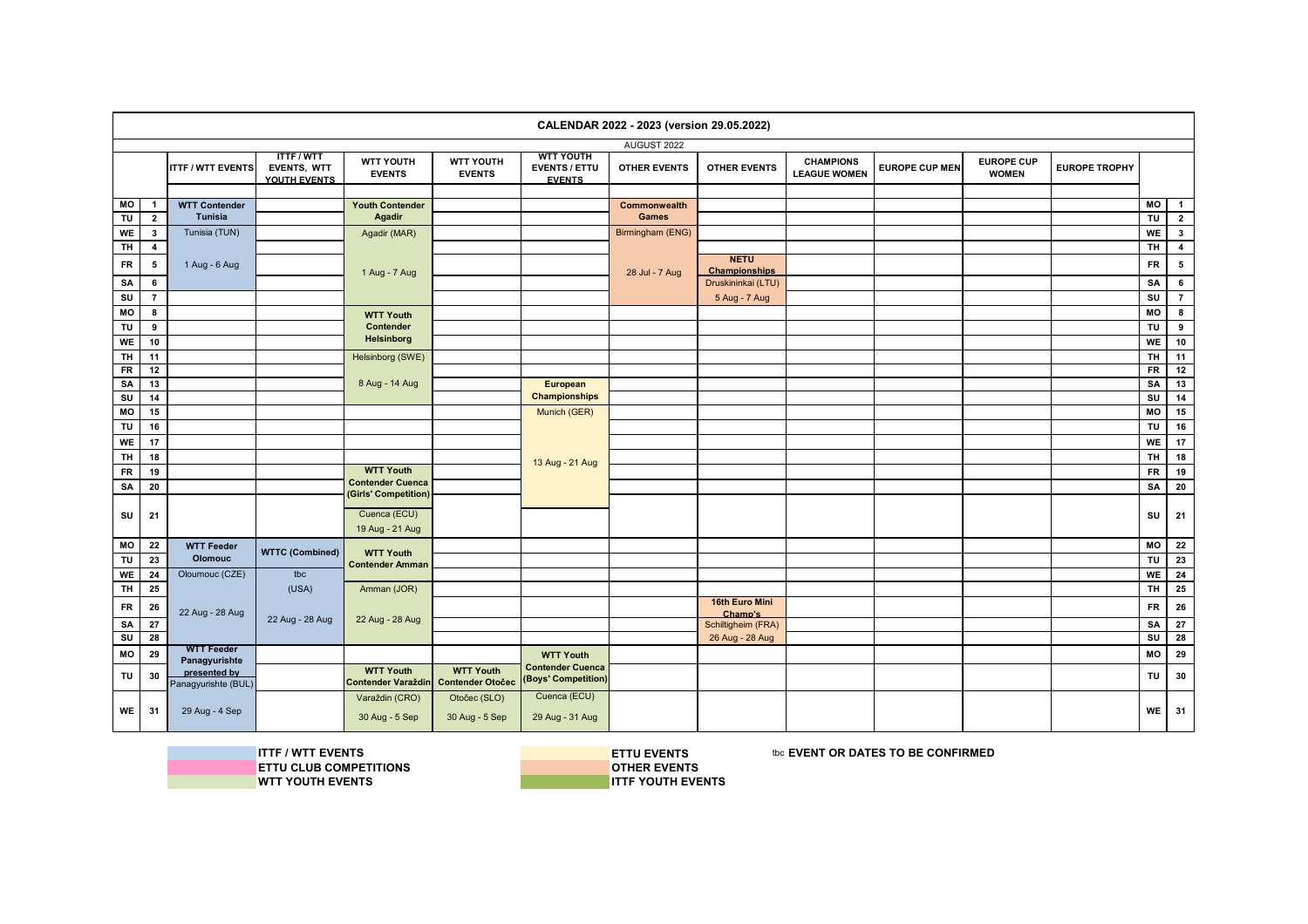|           |                              |                                     |                                                |                                                 |                                   |                                                           | CALENDAR 2022 - 2023 (version 29.05.2022) |                               |                                         |                       |                                   |                      |           |                         |
|-----------|------------------------------|-------------------------------------|------------------------------------------------|-------------------------------------------------|-----------------------------------|-----------------------------------------------------------|-------------------------------------------|-------------------------------|-----------------------------------------|-----------------------|-----------------------------------|----------------------|-----------|-------------------------|
|           |                              |                                     |                                                |                                                 |                                   |                                                           | AUGUST 2022                               |                               |                                         |                       |                                   |                      |           |                         |
|           |                              | <b>ITTF / WTT EVENTS</b>            | <b>ITTF/WTT</b><br>EVENTS, WTT<br>YOUTH EVENTS | <b>WTT YOUTH</b><br><b>EVENTS</b>               | <b>WTT YOUTH</b><br><b>EVENTS</b> | <b>WTT YOUTH</b><br><b>EVENTS / ETTU</b><br><b>EVENTS</b> | <b>OTHER EVENTS</b>                       | <b>OTHER EVENTS</b>           | <b>CHAMPIONS</b><br><b>LEAGUE WOMEN</b> | <b>EUROPE CUP MEN</b> | <b>EUROPE CUP</b><br><b>WOMEN</b> | <b>EUROPE TROPHY</b> |           |                         |
|           |                              |                                     |                                                |                                                 |                                   |                                                           |                                           |                               |                                         |                       |                                   |                      | МO        | $\blacksquare$          |
| MO<br>TU  | $\mathbf{1}$<br>$\mathbf{2}$ | <b>WTT Contender</b><br>Tunisia     |                                                | <b>Youth Contender</b><br><b>Agadir</b>         |                                   |                                                           | Commonwealth<br><b>Games</b>              |                               |                                         |                       |                                   |                      | TU        | $\overline{2}$          |
| <b>WE</b> | $\mathbf{3}$                 | Tunisia (TUN)                       |                                                | Agadir (MAR)                                    |                                   |                                                           | Birmingham (ENG)                          |                               |                                         |                       |                                   |                      | WE        | $\overline{\mathbf{3}}$ |
| <b>TH</b> | $\overline{\mathbf{4}}$      |                                     |                                                |                                                 |                                   |                                                           |                                           |                               |                                         |                       |                                   |                      | <b>TH</b> | $\overline{\mathbf{4}}$ |
|           |                              |                                     |                                                |                                                 |                                   |                                                           |                                           | <b>NETU</b>                   |                                         |                       |                                   |                      |           |                         |
| FR        | 5                            | 1 Aug - 6 Aug                       |                                                | 1 Aug - 7 Aug                                   |                                   |                                                           | 28 Jul - 7 Aug                            | <b>Championships</b>          |                                         |                       |                                   |                      | <b>FR</b> | $5\phantom{.0}$         |
| SA        | 6                            |                                     |                                                |                                                 |                                   |                                                           |                                           | Druskininkai (LTU)            |                                         |                       |                                   |                      | SA        | $6\phantom{.0}$         |
| SU        | $\overline{7}$               |                                     |                                                |                                                 |                                   |                                                           |                                           | 5 Aug - 7 Aug                 |                                         |                       |                                   |                      | SU        | $\overline{7}$          |
| MO        | 8                            |                                     |                                                | <b>WTT Youth</b>                                |                                   |                                                           |                                           |                               |                                         |                       |                                   |                      | МO        | $\bf{8}$                |
| TU        | 9                            |                                     |                                                | Contender                                       |                                   |                                                           |                                           |                               |                                         |                       |                                   |                      | TU        | 9                       |
| <b>WE</b> | 10                           |                                     |                                                | <b>Helsinborg</b>                               |                                   |                                                           |                                           |                               |                                         |                       |                                   |                      | WE        | 10                      |
| <b>TH</b> | 11                           |                                     |                                                | Helsinborg (SWE)                                |                                   |                                                           |                                           |                               |                                         |                       |                                   |                      | <b>TH</b> | 11                      |
| <b>FR</b> | 12                           |                                     |                                                |                                                 |                                   |                                                           |                                           |                               |                                         |                       |                                   |                      | <b>FR</b> | 12                      |
| SA        | 13                           |                                     |                                                | 8 Aug - 14 Aug                                  |                                   | European                                                  |                                           |                               |                                         |                       |                                   |                      | SA        | 13                      |
| SU        | 14                           |                                     |                                                |                                                 |                                   | <b>Championships</b>                                      |                                           |                               |                                         |                       |                                   |                      | SU        | 14                      |
| МO        | 15                           |                                     |                                                |                                                 |                                   | Munich (GER)                                              |                                           |                               |                                         |                       |                                   |                      | МO        | 15                      |
| TU        | 16                           |                                     |                                                |                                                 |                                   |                                                           |                                           |                               |                                         |                       |                                   |                      | <b>TU</b> | 16                      |
| WE        | 17                           |                                     |                                                |                                                 |                                   |                                                           |                                           |                               |                                         |                       |                                   |                      | WE        | 17                      |
| <b>TH</b> | 18                           |                                     |                                                |                                                 |                                   | 13 Aug - 21 Aug                                           |                                           |                               |                                         |                       |                                   |                      | <b>TH</b> | 18                      |
| <b>FR</b> | 19                           |                                     |                                                | <b>WTT Youth</b>                                |                                   |                                                           |                                           |                               |                                         |                       |                                   |                      | <b>FR</b> | 19                      |
| SA        | 20                           |                                     |                                                | <b>Contender Cuenca</b><br>(Girls' Competition) |                                   |                                                           |                                           |                               |                                         |                       |                                   |                      | SA        | 20                      |
|           |                              |                                     |                                                |                                                 |                                   |                                                           |                                           |                               |                                         |                       |                                   |                      |           |                         |
| SU        | 21                           |                                     |                                                | Cuenca (ECU)                                    |                                   |                                                           |                                           |                               |                                         |                       |                                   |                      | SU        | 21                      |
|           |                              |                                     |                                                | 19 Aug - 21 Aug                                 |                                   |                                                           |                                           |                               |                                         |                       |                                   |                      |           |                         |
| МO        | 22                           | <b>WTT Feeder</b>                   | <b>WTTC (Combined)</b>                         | <b>WTT Youth</b>                                |                                   |                                                           |                                           |                               |                                         |                       |                                   |                      | МO        | 22                      |
| TU        | 23                           | <b>Olomouc</b>                      |                                                | <b>Contender Amman</b>                          |                                   |                                                           |                                           |                               |                                         |                       |                                   |                      | <b>TU</b> | 23                      |
| WE        | 24                           | Oloumouc (CZE)                      | tbc                                            |                                                 |                                   |                                                           |                                           |                               |                                         |                       |                                   |                      | <b>WE</b> | 24                      |
| <b>TH</b> | 25                           |                                     | (USA)                                          | Amman (JOR)                                     |                                   |                                                           |                                           |                               |                                         |                       |                                   |                      | <b>TH</b> | 25                      |
| <b>FR</b> | 26                           |                                     |                                                |                                                 |                                   |                                                           |                                           | 16th Euro Mini                |                                         |                       |                                   |                      | <b>FR</b> | 26                      |
| SA        | 27                           | 22 Aug - 28 Aug                     | 22 Aug - 28 Aug                                | 22 Aug - 28 Aug                                 |                                   |                                                           |                                           | Champ's<br>Schiltigheim (FRA) |                                         |                       |                                   |                      | SA        | $\overline{27}$         |
| SU        | 28                           |                                     |                                                |                                                 |                                   |                                                           |                                           | 26 Aug - 28 Aug               |                                         |                       |                                   |                      | SU        | 28                      |
| MO        | 29                           | <b>WTT Feeder</b>                   |                                                |                                                 |                                   | <b>WTT Youth</b>                                          |                                           |                               |                                         |                       |                                   |                      | MO        | 29                      |
|           |                              | Panagyurishte                       |                                                | <b>WTT Youth</b>                                | <b>WTT Youth</b>                  | <b>Contender Cuenca</b>                                   |                                           |                               |                                         |                       |                                   |                      |           |                         |
| TU        | 30                           | presented by<br>Panagyurishte (BUL) |                                                | <b>Contender Varaždin</b>                       | <b>Contender Otočec</b>           | (Boys' Competition)                                       |                                           |                               |                                         |                       |                                   |                      | TU        | 30                      |
|           |                              |                                     |                                                | Varaždin (CRO)                                  | Otočec (SLO)                      | Cuenca (ECU)                                              |                                           |                               |                                         |                       |                                   |                      |           |                         |
| WE        | 31                           | 29 Aug - 4 Sep                      |                                                | 30 Aug - 5 Sep                                  | 30 Aug - 5 Sep                    | 29 Aug - 31 Aug                                           |                                           |                               |                                         |                       |                                   |                      | WE        | 31                      |

**ITTF / WTT EVENTS**<br> **ITTU CLUB COMPETITIONS**<br> **INSPECTIONS ETTU CLUB COMPETITIONS OTHER EVENTS WTT YOUTH EVENTS**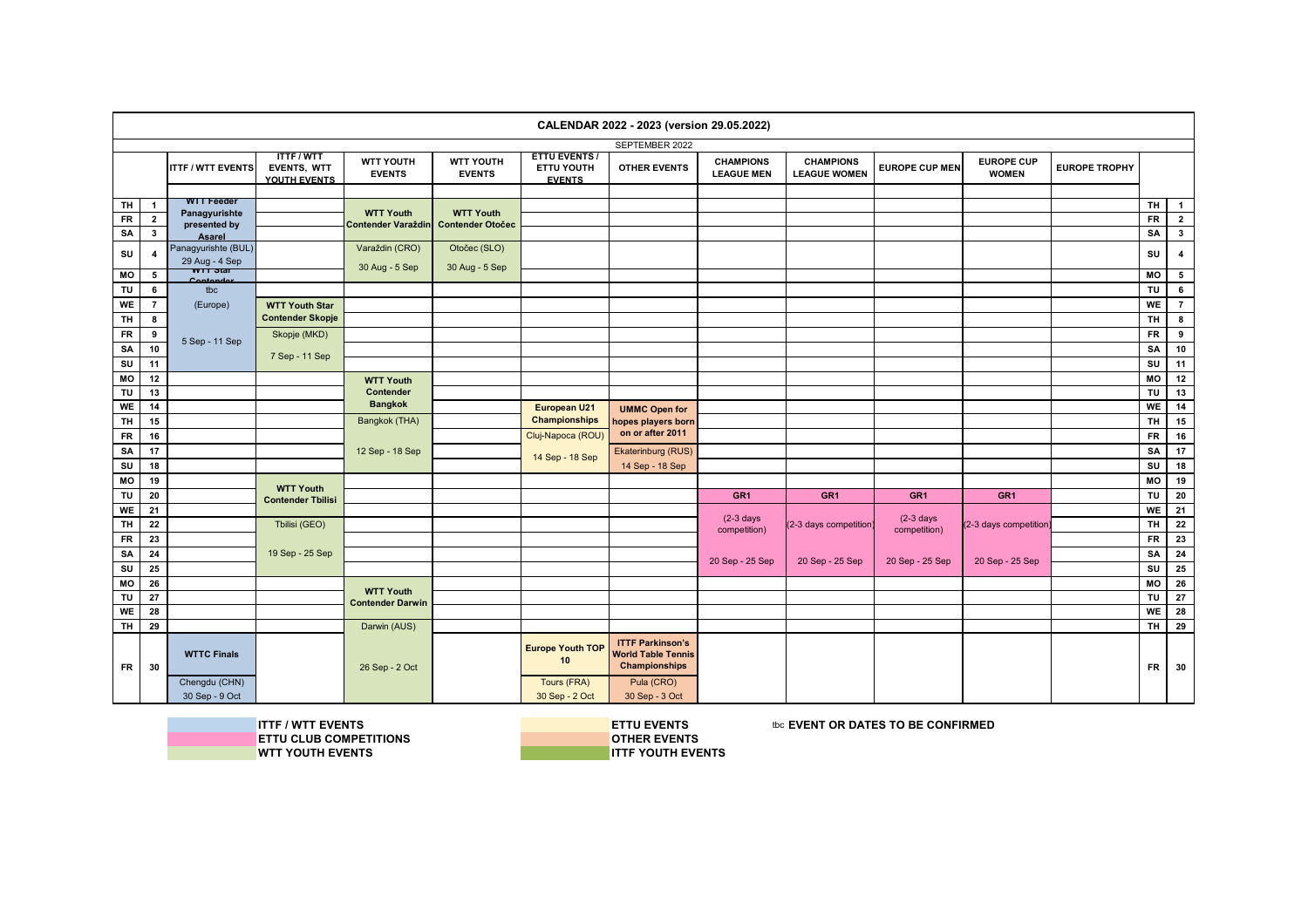|                 |                |                               |                                                |                                   |                                   |                                                     | CALENDAR 2022 - 2023 (version 29.05.2022)                                    |                                       |                                         |                       |                                   |                      |           |                                  |
|-----------------|----------------|-------------------------------|------------------------------------------------|-----------------------------------|-----------------------------------|-----------------------------------------------------|------------------------------------------------------------------------------|---------------------------------------|-----------------------------------------|-----------------------|-----------------------------------|----------------------|-----------|----------------------------------|
|                 |                |                               |                                                |                                   |                                   |                                                     | SEPTEMBER 2022                                                               |                                       |                                         |                       |                                   |                      |           |                                  |
|                 |                | <b>ITTF / WTT EVENTS</b>      | <b>ITTF/WTT</b><br>EVENTS, WTT<br>YOUTH EVENTS | <b>WTT YOUTH</b><br><b>EVENTS</b> | <b>WTT YOUTH</b><br><b>EVENTS</b> | <b>ETTU EVENTS /</b><br>ETTU YOUTH<br><b>EVENTS</b> | <b>OTHER EVENTS</b>                                                          | <b>CHAMPIONS</b><br><b>LEAGUE MEN</b> | <b>CHAMPIONS</b><br><b>LEAGUE WOMEN</b> | <b>EUROPE CUP MEN</b> | <b>EUROPE CUP</b><br><b>WOMEN</b> | <b>EUROPE TROPHY</b> |           |                                  |
|                 | $\mathbf{1}$   | <b>WTT Feeder</b>             |                                                |                                   |                                   |                                                     |                                                                              |                                       |                                         |                       |                                   |                      | <b>TH</b> |                                  |
| TH<br><b>FR</b> | $\overline{2}$ | Panagyurishte                 |                                                | <b>WTT Youth</b>                  | <b>WTT Youth</b>                  |                                                     |                                                                              |                                       |                                         |                       |                                   |                      | <b>FR</b> | $\overline{1}$<br>$\overline{2}$ |
| SA              | $\mathbf{3}$   | presented by                  |                                                | <b>Contender Varaždin</b>         | <b>Contender Otočec</b>           |                                                     |                                                                              |                                       |                                         |                       |                                   |                      | SA        | 3                                |
|                 |                | Asarel<br>Panagyurishte (BUL) |                                                | Varaždin (CRO)                    | Otočec (SLO)                      |                                                     |                                                                              |                                       |                                         |                       |                                   |                      |           |                                  |
| SU              | 4              | 29 Aug - 4 Sep                |                                                | 30 Aug - 5 Sep                    | 30 Aug - 5 Sep                    |                                                     |                                                                              |                                       |                                         |                       |                                   |                      | SU        | $\overline{\mathbf{4}}$          |
| MO              | 5              | <del>wrĭstar</del>            |                                                |                                   |                                   |                                                     |                                                                              |                                       |                                         |                       |                                   |                      | МO        | 5                                |
| TU              | 6              | tbc                           |                                                |                                   |                                   |                                                     |                                                                              |                                       |                                         |                       |                                   |                      | TU        | $6\phantom{a}$                   |
| <b>WE</b>       | $\overline{7}$ | (Europe)                      | <b>WTT Youth Star</b>                          |                                   |                                   |                                                     |                                                                              |                                       |                                         |                       |                                   |                      | WE        | $\overline{7}$                   |
| <b>TH</b>       | 8              |                               | <b>Contender Skopje</b>                        |                                   |                                   |                                                     |                                                                              |                                       |                                         |                       |                                   |                      | <b>TH</b> | 8                                |
| FR              | 9              | 5 Sep - 11 Sep                | Skopje (MKD)                                   |                                   |                                   |                                                     |                                                                              |                                       |                                         |                       |                                   |                      | <b>FR</b> | 9                                |
| SA              | 10             |                               | 7 Sep - 11 Sep                                 |                                   |                                   |                                                     |                                                                              |                                       |                                         |                       |                                   |                      | SA        | 10                               |
| SU              | 11             |                               |                                                |                                   |                                   |                                                     |                                                                              |                                       |                                         |                       |                                   |                      | SU        | 11                               |
| MO              | 12             |                               |                                                | <b>WTT Youth</b>                  |                                   |                                                     |                                                                              |                                       |                                         |                       |                                   |                      | MO        | 12                               |
| TU              | 13             |                               |                                                | Contender                         |                                   |                                                     |                                                                              |                                       |                                         |                       |                                   |                      | TU        | 13                               |
| WE              | 14             |                               |                                                | <b>Bangkok</b>                    |                                   | European U21                                        | <b>UMMC Open for</b>                                                         |                                       |                                         |                       |                                   |                      | <b>WE</b> | 14                               |
| <b>TH</b>       | 15             |                               |                                                | Bangkok (THA)                     |                                   | <b>Championships</b>                                | hopes players born                                                           |                                       |                                         |                       |                                   |                      | <b>TH</b> | 15                               |
| <b>FR</b>       | 16             |                               |                                                |                                   |                                   | Cluj-Napoca (ROU)                                   | on or after 2011                                                             |                                       |                                         |                       |                                   |                      | <b>FR</b> | 16                               |
| SA              | 17             |                               |                                                | 12 Sep - 18 Sep                   |                                   | 14 Sep - 18 Sep                                     | Ekaterinburg (RUS)                                                           |                                       |                                         |                       |                                   |                      | SA        | 17                               |
| SU              | 18             |                               |                                                |                                   |                                   |                                                     | 14 Sep - 18 Sep                                                              |                                       |                                         |                       |                                   |                      | SU        | 18                               |
| MO              | 19             |                               | <b>WTT Youth</b>                               |                                   |                                   |                                                     |                                                                              |                                       |                                         |                       |                                   |                      | МO        | 19                               |
| TU              | 20             |                               | <b>Contender Tbilisi</b>                       |                                   |                                   |                                                     |                                                                              | GR <sub>1</sub>                       | GR <sub>1</sub>                         | GR <sub>1</sub>       | GR <sub>1</sub>                   |                      | TU        | 20                               |
| <b>WE</b>       | 21             |                               |                                                |                                   |                                   |                                                     |                                                                              | $(2-3)$ days                          |                                         | $(2-3)$ days          |                                   |                      | <b>WE</b> | 21                               |
| <b>TH</b>       | 22             |                               | Tbilisi (GEO)                                  |                                   |                                   |                                                     |                                                                              | competition)                          | (2-3 days competition                   | competition)          | (2-3 days competition)            |                      | <b>TH</b> | 22                               |
| <b>FR</b>       | 23             |                               |                                                |                                   |                                   |                                                     |                                                                              |                                       |                                         |                       |                                   |                      | <b>FR</b> | 23                               |
| SA              | 24             |                               | 19 Sep - 25 Sep                                |                                   |                                   |                                                     |                                                                              | 20 Sep - 25 Sep                       | 20 Sep - 25 Sep                         | 20 Sep - 25 Sep       | 20 Sep - 25 Sep                   |                      | SA        | 24                               |
| SU<br>MO        | 25<br>26       |                               |                                                |                                   |                                   |                                                     |                                                                              |                                       |                                         |                       |                                   |                      | SU<br>MO  | 25<br>26                         |
| TU              | 27             |                               |                                                | <b>WTT Youth</b>                  |                                   |                                                     |                                                                              |                                       |                                         |                       |                                   |                      | <b>TU</b> | 27                               |
| WE              | 28             |                               |                                                | <b>Contender Darwin</b>           |                                   |                                                     |                                                                              |                                       |                                         |                       |                                   |                      | <b>WE</b> | 28                               |
| <b>TH</b>       | 29             |                               |                                                | Darwin (AUS)                      |                                   |                                                     |                                                                              |                                       |                                         |                       |                                   |                      | <b>TH</b> | 29                               |
| FR              | 30             | <b>WTTC Finals</b>            |                                                | 26 Sep - 2 Oct                    |                                   | <b>Europe Youth TOP</b><br>10                       | <b>ITTF Parkinson's</b><br><b>World Table Tennis</b><br><b>Championships</b> |                                       |                                         |                       |                                   |                      | <b>FR</b> | 30                               |
|                 |                | Chengdu (CHN)                 |                                                |                                   |                                   | Tours (FRA)                                         | Pula (CRO)                                                                   |                                       |                                         |                       |                                   |                      |           |                                  |
|                 |                | 30 Sep - 9 Oct                |                                                |                                   |                                   | 30 Sep - 2 Oct                                      | 30 Sep - 3 Oct                                                               |                                       |                                         |                       |                                   |                      |           |                                  |

**ITTF / WTT EVENTS**<br> **ITTU CLUB COMPETITIONS**<br> **INSPECTIONS ETTU CLUB COMPETITIONS**<br> **OTHER EVENTS**<br> **OTHER EVENTS WTT YOUTH EVENTS**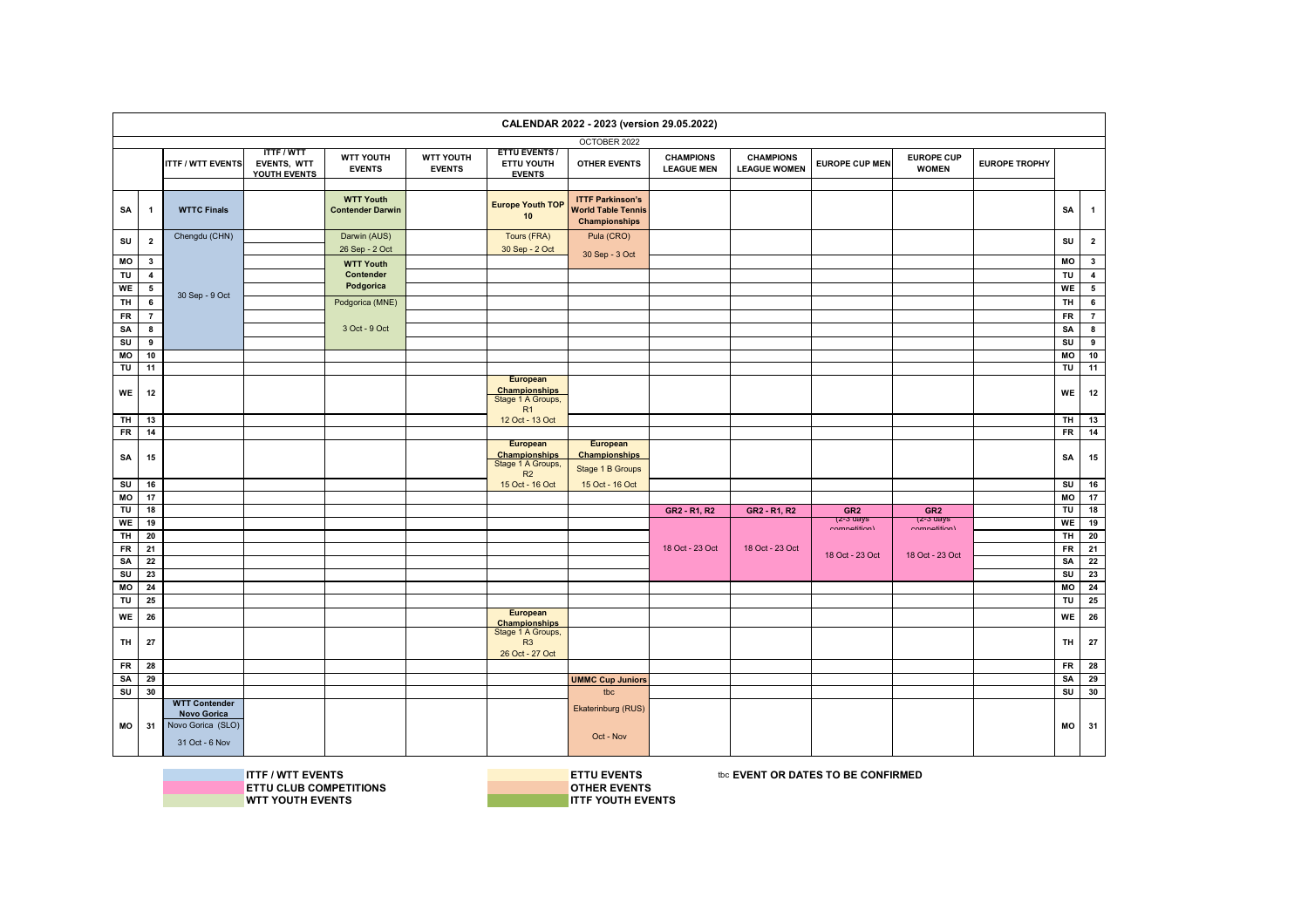|            |                         |                                                           |                                                |                                             |                                   |                                                                    | CALENDAR 2022 - 2023 (version 29.05.2022)                                    |                                       |                                         |                           |                                   |                      |           |                          |
|------------|-------------------------|-----------------------------------------------------------|------------------------------------------------|---------------------------------------------|-----------------------------------|--------------------------------------------------------------------|------------------------------------------------------------------------------|---------------------------------------|-----------------------------------------|---------------------------|-----------------------------------|----------------------|-----------|--------------------------|
|            |                         |                                                           |                                                |                                             |                                   |                                                                    | OCTOBER 2022                                                                 |                                       |                                         |                           |                                   |                      |           |                          |
|            |                         | <b>ITTF / WTT EVENTS</b>                                  | <b>ITTF/WTT</b><br>EVENTS, WTT<br>YOUTH EVENTS | <b>WTT YOUTH</b><br><b>EVENTS</b>           | <b>WTT YOUTH</b><br><b>EVENTS</b> | <b>ETTU EVENTS /</b><br>ETTU YOUTH<br><b>EVENTS</b>                | <b>OTHER EVENTS</b>                                                          | <b>CHAMPIONS</b><br><b>LEAGUE MEN</b> | <b>CHAMPIONS</b><br><b>LEAGUE WOMEN</b> | <b>EUROPE CUP MEN</b>     | <b>EUROPE CUP</b><br><b>WOMEN</b> | <b>EUROPE TROPHY</b> |           |                          |
| SΑ         | $\mathbf{1}$            | <b>WTTC Finals</b>                                        |                                                | <b>WTT Youth</b><br><b>Contender Darwin</b> |                                   | <b>Europe Youth TOP</b><br>10                                      | <b>ITTF Parkinson's</b><br><b>World Table Tennis</b><br><b>Championships</b> |                                       |                                         |                           |                                   |                      | SA        | $\mathbf{1}$             |
| SU         | $\overline{\mathbf{2}}$ | Chengdu (CHN)                                             |                                                | Darwin (AUS)                                |                                   | Tours (FRA)                                                        | Pula (CRO)                                                                   |                                       |                                         |                           |                                   |                      | SU        | $\overline{2}$           |
|            |                         |                                                           |                                                | 26 Sep - 2 Oct                              |                                   | 30 Sep - 2 Oct                                                     | 30 Sep - 3 Oct                                                               |                                       |                                         |                           |                                   |                      |           |                          |
| МO         | 3                       |                                                           |                                                | <b>WTT Youth</b>                            |                                   |                                                                    |                                                                              |                                       |                                         |                           |                                   |                      | MO        | $\overline{\mathbf{3}}$  |
| TU         | $\overline{4}$          |                                                           |                                                | Contender                                   |                                   |                                                                    |                                                                              |                                       |                                         |                           |                                   |                      | TU        | $\overline{4}$           |
| WE         | $5\overline{ }$         | 30 Sep - 9 Oct                                            |                                                | Podgorica                                   |                                   |                                                                    |                                                                              |                                       |                                         |                           |                                   |                      | WE        | $\overline{\phantom{a}}$ |
| TH         | 6                       |                                                           |                                                | Podgorica (MNE)                             |                                   |                                                                    |                                                                              |                                       |                                         |                           |                                   |                      | TH        | 6                        |
| FR         | $\overline{7}$          |                                                           |                                                |                                             |                                   |                                                                    |                                                                              |                                       |                                         |                           |                                   |                      | <b>FR</b> | $\overline{7}$           |
| SA         | 8                       |                                                           |                                                | 3 Oct - 9 Oct                               |                                   |                                                                    |                                                                              |                                       |                                         |                           |                                   |                      | SA        | 8                        |
| SU         | 9                       |                                                           |                                                |                                             |                                   |                                                                    |                                                                              |                                       |                                         |                           |                                   |                      | SU        | 9                        |
| МO         | 10                      |                                                           |                                                |                                             |                                   |                                                                    |                                                                              |                                       |                                         |                           |                                   |                      | MO        | 10                       |
| TU         | 11                      |                                                           |                                                |                                             |                                   |                                                                    |                                                                              |                                       |                                         |                           |                                   |                      | TU        | 11                       |
| WE         | 12                      |                                                           |                                                |                                             |                                   | <b>European</b><br><b>Championships</b><br>Stage 1 A Groups,<br>R1 |                                                                              |                                       |                                         |                           |                                   |                      | WE        | 12                       |
| TH         | 13                      |                                                           |                                                |                                             |                                   | 12 Oct - 13 Oct                                                    |                                                                              |                                       |                                         |                           |                                   |                      | TH        | 13                       |
| ${\sf FR}$ | 14                      |                                                           |                                                |                                             |                                   |                                                                    |                                                                              |                                       |                                         |                           |                                   |                      | <b>FR</b> | 14                       |
| SA         | 15                      |                                                           |                                                |                                             |                                   | European<br><b>Championships</b><br>Stage 1 A Groups,<br>R2        | European<br><b>Championships</b><br>Stage 1 B Groups                         |                                       |                                         |                           |                                   |                      | SA        | 15                       |
| SU         | 16                      |                                                           |                                                |                                             |                                   | 15 Oct - 16 Oct                                                    | 15 Oct - 16 Oct                                                              |                                       |                                         |                           |                                   |                      | SU        | 16                       |
| MO         | 17                      |                                                           |                                                |                                             |                                   |                                                                    |                                                                              |                                       |                                         |                           |                                   |                      | MO        | 17                       |
| TU         | 18                      |                                                           |                                                |                                             |                                   |                                                                    |                                                                              | GR2 - R1, R2                          | GR2 - R1, R2                            | GR <sub>2</sub>           | GR <sub>2</sub>                   |                      | TU        | 18                       |
| WE         | 19                      |                                                           |                                                |                                             |                                   |                                                                    |                                                                              |                                       |                                         | (z-3 days<br>aamnatitian) | (z-3 days<br>aamnatitian)         |                      | WE        | 19                       |
| TH         | 20                      |                                                           |                                                |                                             |                                   |                                                                    |                                                                              |                                       |                                         |                           |                                   |                      | TH        | 20                       |
| FR         | 21                      |                                                           |                                                |                                             |                                   |                                                                    |                                                                              | 18 Oct - 23 Oct                       | 18 Oct - 23 Oct                         | 18 Oct - 23 Oct           | 18 Oct - 23 Oct                   |                      | <b>FR</b> | $\overline{21}$          |
| SA         | 22                      |                                                           |                                                |                                             |                                   |                                                                    |                                                                              |                                       |                                         |                           |                                   |                      | SA        | 22                       |
| SU         | 23                      |                                                           |                                                |                                             |                                   |                                                                    |                                                                              |                                       |                                         |                           |                                   |                      | SU        | 23                       |
| МO         | 24                      |                                                           |                                                |                                             |                                   |                                                                    |                                                                              |                                       |                                         |                           |                                   |                      | MO        | 24                       |
| TU         | 25                      |                                                           |                                                |                                             |                                   |                                                                    |                                                                              |                                       |                                         |                           |                                   |                      | TU        | 25                       |
| WE         | 26                      |                                                           |                                                |                                             |                                   | European                                                           |                                                                              |                                       |                                         |                           |                                   |                      | WE        | 26                       |
| TH         | 27                      |                                                           |                                                |                                             |                                   | Championships<br>Stage 1 A Groups,<br>R3<br>26 Oct - 27 Oct        |                                                                              |                                       |                                         |                           |                                   |                      | TH        | 27                       |
| <b>FR</b>  | 28                      |                                                           |                                                |                                             |                                   |                                                                    |                                                                              |                                       |                                         |                           |                                   |                      | <b>FR</b> | 28                       |
| SA         | 29                      |                                                           |                                                |                                             |                                   |                                                                    | <b>UMMC Cup Juniors</b>                                                      |                                       |                                         |                           |                                   |                      | SA        | 29                       |
| SU         | 30                      |                                                           |                                                |                                             |                                   |                                                                    | tbc                                                                          |                                       |                                         |                           |                                   |                      | SU        | 30                       |
|            |                         | <b>WTT Contender</b>                                      |                                                |                                             |                                   |                                                                    | Ekaterinburg (RUS)                                                           |                                       |                                         |                           |                                   |                      |           |                          |
| МO         | 31                      | <b>Novo Gorica</b><br>Novo Gorica (SLO)<br>31 Oct - 6 Nov |                                                |                                             |                                   |                                                                    | Oct - Nov                                                                    |                                       |                                         |                           |                                   |                      | MO        | 31                       |

**ETTU CLUB COMPETITIONS**<br>WTT YOUTH EVENTS

**ITTF / WTT EVENTS**<br> **ITTU CLUB COMPETITIONS**<br> **INSPECTIONS WTT YOUTH EVENTS ITTF YOUTH EVENTS**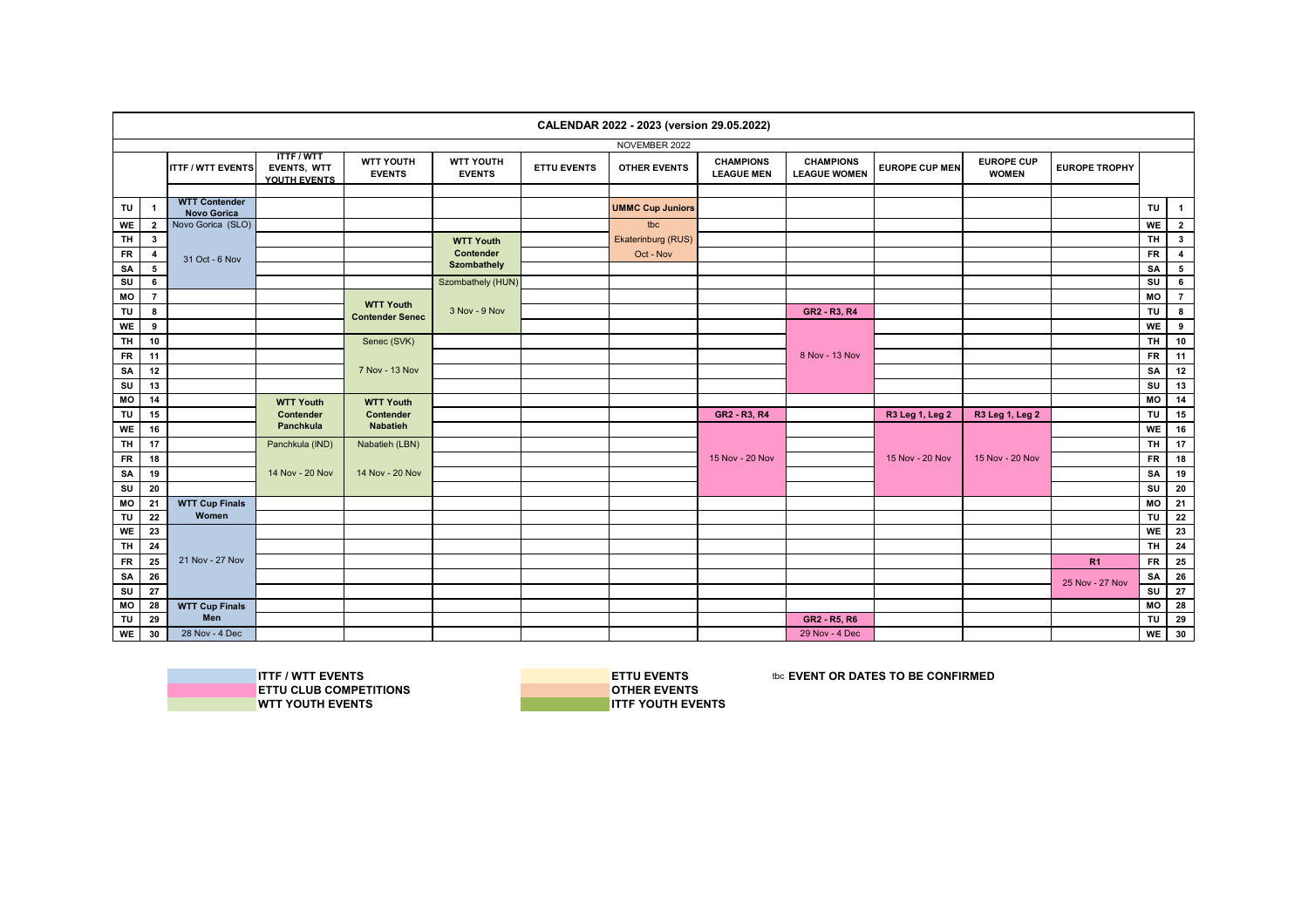|                        |                     |                                         |                                                |                                   |                               |                    | CALENDAR 2022 - 2023 (version 29.05.2022) |                                       |                                         |                       |                                   |                      |                        |                                            |
|------------------------|---------------------|-----------------------------------------|------------------------------------------------|-----------------------------------|-------------------------------|--------------------|-------------------------------------------|---------------------------------------|-----------------------------------------|-----------------------|-----------------------------------|----------------------|------------------------|--------------------------------------------|
|                        |                     |                                         |                                                |                                   |                               |                    | NOVEMBER 2022                             |                                       |                                         |                       |                                   |                      |                        |                                            |
|                        |                     | <b>ITTF / WTT EVENTS</b>                | <b>ITTF/WTT</b><br>EVENTS, WTT<br>YOUTH EVENTS | <b>WTT YOUTH</b><br><b>EVENTS</b> | WTT YOUTH<br><b>EVENTS</b>    | <b>ETTU EVENTS</b> | <b>OTHER EVENTS</b>                       | <b>CHAMPIONS</b><br><b>LEAGUE MEN</b> | <b>CHAMPIONS</b><br><b>LEAGUE WOMEN</b> | <b>EUROPE CUP MEN</b> | <b>EUROPE CUP</b><br><b>WOMEN</b> | <b>EUROPE TROPHY</b> |                        |                                            |
| TU                     | $\mathbf{1}$        | <b>WTT Contender</b>                    |                                                |                                   |                               |                    | <b>UMMC Cup Juniors</b>                   |                                       |                                         |                       |                                   |                      | TU                     | $\mathbf{1}$                               |
|                        |                     | <b>Novo Gorica</b><br>Novo Gorica (SLO) |                                                |                                   |                               |                    | tbc                                       |                                       |                                         |                       |                                   |                      | WE                     |                                            |
| WE<br><b>TH</b>        | $\overline{2}$      |                                         |                                                |                                   |                               |                    | Ekaterinburg (RUS)                        |                                       |                                         |                       |                                   |                      | <b>TH</b>              | $\overline{2}$<br>$3^{\circ}$              |
|                        | $3^{\circ}$         |                                         |                                                |                                   | <b>WTT Youth</b><br>Contender |                    | Oct - Nov                                 |                                       |                                         |                       |                                   |                      |                        |                                            |
| <b>FR</b><br><b>SA</b> | $\overline{4}$<br>5 | 31 Oct - 6 Nov                          |                                                |                                   | Szombathely                   |                    |                                           |                                       |                                         |                       |                                   |                      | <b>FR</b><br><b>SA</b> | $\overline{\mathbf{4}}$<br>$5\overline{5}$ |
| SU                     | 6                   |                                         |                                                |                                   | Szombathely (HUN)             |                    |                                           |                                       |                                         |                       |                                   |                      | SU                     | $6\phantom{.0}$                            |
| MO                     | $\overline{7}$      |                                         |                                                |                                   |                               |                    |                                           |                                       |                                         |                       |                                   |                      | MO                     | $\overline{7}$                             |
| TU                     | 8                   |                                         |                                                | <b>WTT Youth</b>                  | 3 Nov - 9 Nov                 |                    |                                           |                                       | GR2 - R3, R4                            |                       |                                   |                      | TU                     | 8                                          |
| WE                     | 9                   |                                         |                                                | <b>Contender Senec</b>            |                               |                    |                                           |                                       |                                         |                       |                                   |                      | WE                     | 9                                          |
| <b>TH</b>              | 10                  |                                         |                                                | Senec (SVK)                       |                               |                    |                                           |                                       |                                         |                       |                                   |                      | <b>TH</b>              | 10                                         |
| <b>FR</b>              | 11                  |                                         |                                                |                                   |                               |                    |                                           |                                       | 8 Nov - 13 Nov                          |                       |                                   |                      | <b>FR</b>              | 11                                         |
| SA                     | 12                  |                                         |                                                | 7 Nov - 13 Nov                    |                               |                    |                                           |                                       |                                         |                       |                                   |                      | SA                     | 12                                         |
| SU                     | 13                  |                                         |                                                |                                   |                               |                    |                                           |                                       |                                         |                       |                                   |                      | SU                     | 13                                         |
| MO                     | 14                  |                                         | <b>WTT Youth</b>                               | <b>WTT Youth</b>                  |                               |                    |                                           |                                       |                                         |                       |                                   |                      | MO                     | 14                                         |
| TU                     | 15                  |                                         | Contender                                      | Contender                         |                               |                    |                                           | GR2 - R3, R4                          |                                         | R3 Leg 1, Leg 2       | R3 Leg 1, Leg 2                   |                      | TU                     | 15                                         |
| WE                     | 16                  |                                         | Panchkula                                      | <b>Nabatieh</b>                   |                               |                    |                                           |                                       |                                         |                       |                                   |                      | <b>WE</b>              | 16                                         |
| <b>TH</b>              | 17                  |                                         | Panchkula (IND)                                | Nabatieh (LBN)                    |                               |                    |                                           |                                       |                                         |                       |                                   |                      | <b>TH</b>              | 17                                         |
| <b>FR</b>              | 18                  |                                         |                                                |                                   |                               |                    |                                           | 15 Nov - 20 Nov                       |                                         | 15 Nov - 20 Nov       | 15 Nov - 20 Nov                   |                      | <b>FR</b>              | 18                                         |
| SA                     | 19                  |                                         | 14 Nov - 20 Nov                                | 14 Nov - 20 Nov                   |                               |                    |                                           |                                       |                                         |                       |                                   |                      | SA                     | 19                                         |
| SU                     | 20                  |                                         |                                                |                                   |                               |                    |                                           |                                       |                                         |                       |                                   |                      | SU                     | 20                                         |
| MO                     | 21                  | <b>WTT Cup Finals</b>                   |                                                |                                   |                               |                    |                                           |                                       |                                         |                       |                                   |                      | MO                     | 21                                         |
| TU                     | 22                  | Women                                   |                                                |                                   |                               |                    |                                           |                                       |                                         |                       |                                   |                      | TU                     | 22                                         |
| WE                     | 23                  |                                         |                                                |                                   |                               |                    |                                           |                                       |                                         |                       |                                   |                      | WE                     | 23                                         |
| <b>TH</b>              | 24                  |                                         |                                                |                                   |                               |                    |                                           |                                       |                                         |                       |                                   |                      | <b>TH</b>              | 24                                         |
| <b>FR</b>              | 25                  | 21 Nov - 27 Nov                         |                                                |                                   |                               |                    |                                           |                                       |                                         |                       |                                   | R1                   | <b>FR</b>              | 25                                         |
| SA                     | 26                  |                                         |                                                |                                   |                               |                    |                                           |                                       |                                         |                       |                                   | 25 Nov - 27 Nov      | SA                     | 26                                         |
| SU                     | 27                  |                                         |                                                |                                   |                               |                    |                                           |                                       |                                         |                       |                                   |                      | SU                     | 27                                         |
| MO                     | 28                  | <b>WTT Cup Finals</b>                   |                                                |                                   |                               |                    |                                           |                                       |                                         |                       |                                   |                      | МO                     | 28                                         |
| <b>TU</b>              | 29                  | Men                                     |                                                |                                   |                               |                    |                                           |                                       | GR2 - R5, R6                            |                       |                                   |                      | <b>TU</b>              | 29                                         |
| WE                     | 30                  | 28 Nov - 4 Dec                          |                                                |                                   |                               |                    |                                           |                                       | 29 Nov - 4 Dec                          |                       |                                   |                      | WE                     | 30                                         |

**WTT YOUTH EVENTS** 

**ITTF / WTT EVENTS**<br>
IN ETTU CLUB COMPETITIONS<br> **IN ETTU CLUB COMPETITIONS ETTU CLUB COMPETITIONS**<br> **OTHER EVENTS**<br> **OTHER EVENTS**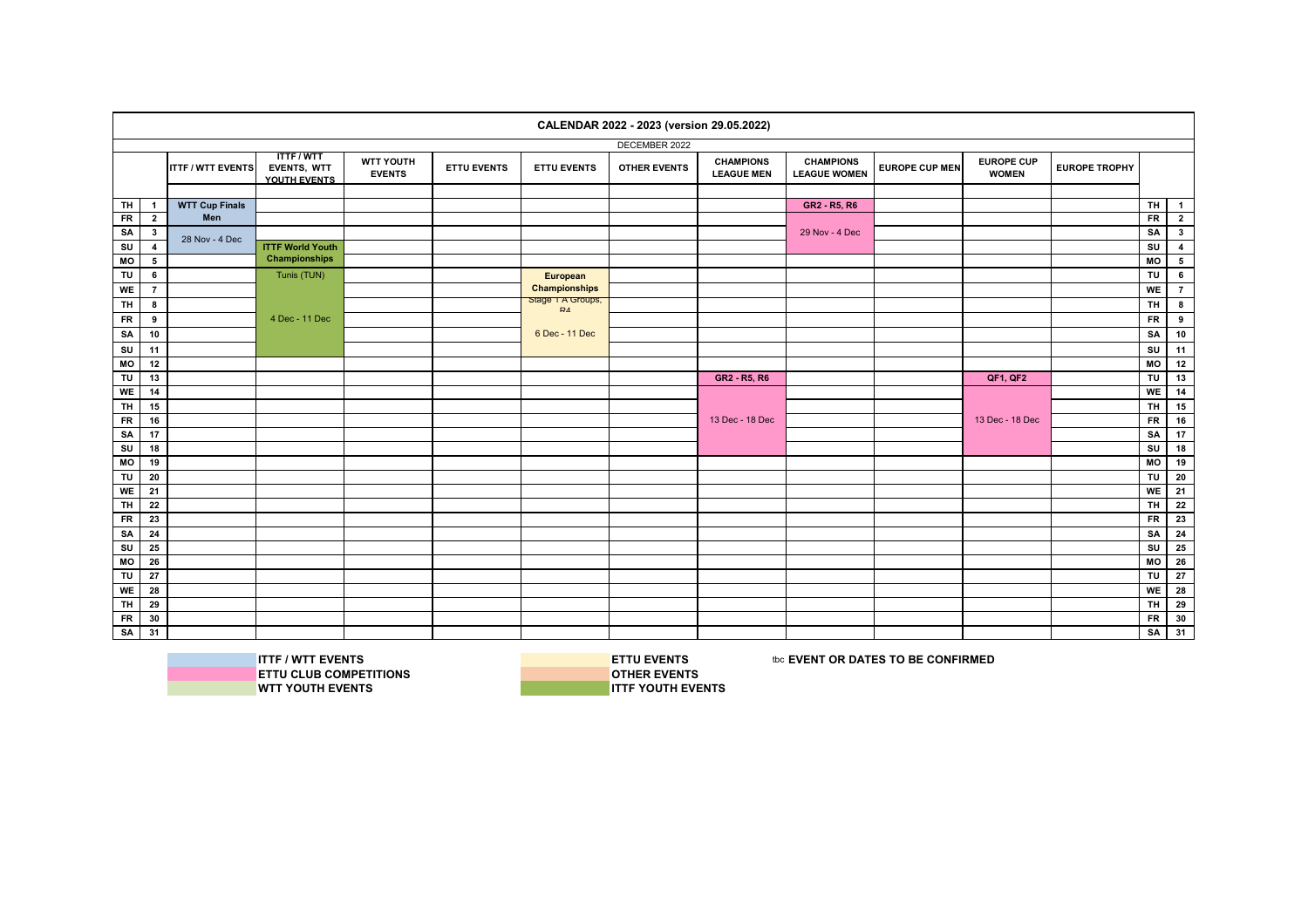|           |                |                          |                                                |                                   |                    |                                    | CALENDAR 2022 - 2023 (version 29.05.2022) |                                       |                                         |                       |                                   |                      |                |                         |
|-----------|----------------|--------------------------|------------------------------------------------|-----------------------------------|--------------------|------------------------------------|-------------------------------------------|---------------------------------------|-----------------------------------------|-----------------------|-----------------------------------|----------------------|----------------|-------------------------|
|           |                |                          |                                                |                                   |                    |                                    | DECEMBER 2022                             |                                       |                                         |                       |                                   |                      |                |                         |
|           |                | <b>ITTF / WTT EVENTS</b> | <b>ITTF/WTT</b><br>EVENTS, WTT<br>YOUTH EVENTS | <b>WTT YOUTH</b><br><b>EVENTS</b> | <b>ETTU EVENTS</b> | <b>ETTU EVENTS</b>                 | <b>OTHER EVENTS</b>                       | <b>CHAMPIONS</b><br><b>LEAGUE MEN</b> | <b>CHAMPIONS</b><br><b>LEAGUE WOMEN</b> | <b>EUROPE CUP MEN</b> | <b>EUROPE CUP</b><br><b>WOMEN</b> | <b>EUROPE TROPHY</b> |                |                         |
|           |                |                          |                                                |                                   |                    |                                    |                                           |                                       |                                         |                       |                                   |                      |                |                         |
| TH        | $\mathbf{1}$   | <b>WTT Cup Finals</b>    |                                                |                                   |                    |                                    |                                           |                                       | GR2 - R5, R6                            |                       |                                   |                      | <b>TH</b>      | $\mathbf{1}$            |
| <b>FR</b> | $\overline{2}$ | Men                      |                                                |                                   |                    |                                    |                                           |                                       |                                         |                       |                                   |                      | <b>FR</b>      | $\overline{2}$          |
| SA        | $\mathbf{3}$   | 28 Nov - 4 Dec           |                                                |                                   |                    |                                    |                                           |                                       | 29 Nov - 4 Dec                          |                       |                                   |                      | SA             | $\mathbf{3}$            |
| SU        | 4              |                          | <b>ITTF World Youth</b>                        |                                   |                    |                                    |                                           |                                       |                                         |                       |                                   |                      | SU             | $\overline{\mathbf{4}}$ |
| MO        | 5              |                          | <b>Championships</b>                           |                                   |                    |                                    |                                           |                                       |                                         |                       |                                   |                      | MO             | $\,$ 5 $\,$             |
| TU        | 6              |                          | Tunis (TUN)                                    |                                   |                    | European                           |                                           |                                       |                                         |                       |                                   |                      | TU             | $\bf 6$                 |
| <b>WE</b> | $\overline{7}$ |                          |                                                |                                   |                    | <b>Championships</b>               |                                           |                                       |                                         |                       |                                   |                      | WE             | $\overline{7}$          |
| TH        | 8              |                          |                                                |                                   |                    | Stage 1 A Groups,<br>$\mathsf{R4}$ |                                           |                                       |                                         |                       |                                   |                      | <b>TH</b>      | $\bf{8}$                |
| <b>FR</b> | 9              |                          | 4 Dec - 11 Dec                                 |                                   |                    |                                    |                                           |                                       |                                         |                       |                                   |                      | <b>FR</b>      | 9                       |
| SA        | 10             |                          |                                                |                                   |                    | 6 Dec - 11 Dec                     |                                           |                                       |                                         |                       |                                   |                      | SA             | 10                      |
| SU        | 11             |                          |                                                |                                   |                    |                                    |                                           |                                       |                                         |                       |                                   |                      | SU             | 11                      |
| MO        | 12             |                          |                                                |                                   |                    |                                    |                                           |                                       |                                         |                       |                                   |                      | M <sub>O</sub> | 12                      |
| TU        | 13             |                          |                                                |                                   |                    |                                    |                                           | GR2 - R5, R6                          |                                         |                       | QF1, QF2                          |                      | TU             | 13                      |
| <b>WE</b> | 14             |                          |                                                |                                   |                    |                                    |                                           |                                       |                                         |                       |                                   |                      | WE             | $\overline{14}$         |
| <b>TH</b> | 15             |                          |                                                |                                   |                    |                                    |                                           |                                       |                                         |                       |                                   |                      | TH.            | 15                      |
| <b>FR</b> | 16             |                          |                                                |                                   |                    |                                    |                                           | 13 Dec - 18 Dec                       |                                         |                       | 13 Dec - 18 Dec                   |                      | <b>FR</b>      | 16                      |
| SA        | 17             |                          |                                                |                                   |                    |                                    |                                           |                                       |                                         |                       |                                   |                      | SA             | 17                      |
| SU        | 18             |                          |                                                |                                   |                    |                                    |                                           |                                       |                                         |                       |                                   |                      | SU             | 18                      |
| MO        | 19             |                          |                                                |                                   |                    |                                    |                                           |                                       |                                         |                       |                                   |                      | MO             | 19                      |
| TU        | 20             |                          |                                                |                                   |                    |                                    |                                           |                                       |                                         |                       |                                   |                      | TU             | 20                      |
| WE        | 21             |                          |                                                |                                   |                    |                                    |                                           |                                       |                                         |                       |                                   |                      | WE             | 21                      |
| <b>TH</b> | $\bf 22$       |                          |                                                |                                   |                    |                                    |                                           |                                       |                                         |                       |                                   |                      | <b>TH</b>      | 22                      |
| <b>FR</b> | 23             |                          |                                                |                                   |                    |                                    |                                           |                                       |                                         |                       |                                   |                      | <b>FR</b>      | 23                      |
| SA        | 24             |                          |                                                |                                   |                    |                                    |                                           |                                       |                                         |                       |                                   |                      | SA             | 24                      |
| SU        | 25             |                          |                                                |                                   |                    |                                    |                                           |                                       |                                         |                       |                                   |                      | SU             | 25                      |
| МO        | 26             |                          |                                                |                                   |                    |                                    |                                           |                                       |                                         |                       |                                   |                      | MO             | 26                      |
| TU        | 27             |                          |                                                |                                   |                    |                                    |                                           |                                       |                                         |                       |                                   |                      | TU             | 27                      |
| WE        | 28             |                          |                                                |                                   |                    |                                    |                                           |                                       |                                         |                       |                                   |                      | WE             | 28                      |
| <b>TH</b> | 29             |                          |                                                |                                   |                    |                                    |                                           |                                       |                                         |                       |                                   |                      | <b>TH</b>      | 29                      |
| <b>FR</b> | 30             |                          |                                                |                                   |                    |                                    |                                           |                                       |                                         |                       |                                   |                      | <b>FR</b>      | 30                      |
| SA        | 31             |                          |                                                |                                   |                    |                                    |                                           |                                       |                                         |                       |                                   |                      | SA             | 31                      |



**ITTF / WTT EVENTS**<br>
IN ETTU CLUB COMPETITIONS<br> **ETTU CLUB COMPETITIONS ETTU CLUB COMPETITIONS**<br> **OTHER EVENTS**<br> **OTHER EVENTS**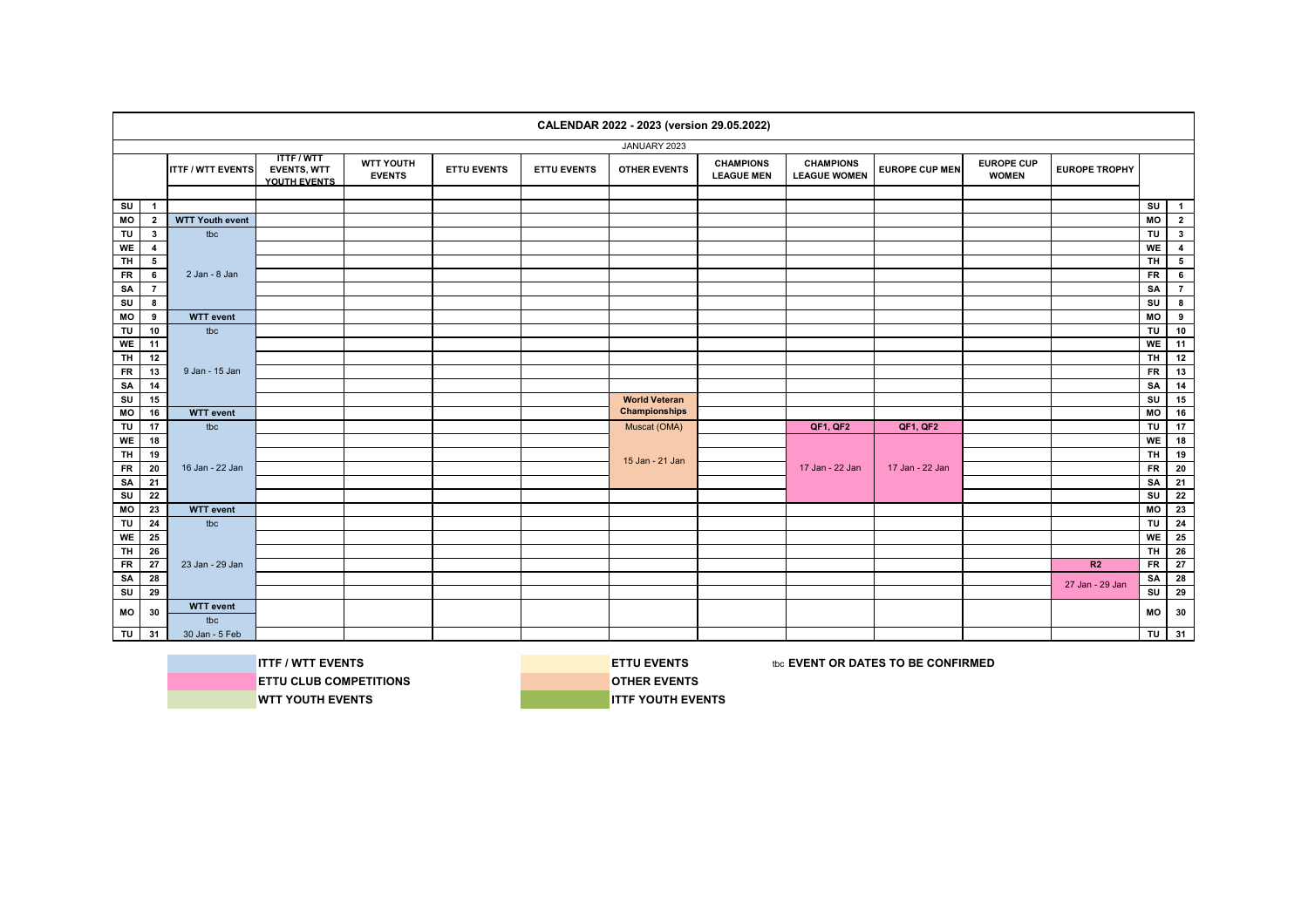|            |                         |                          |                                                       |                                   |                    |                    | CALENDAR 2022 - 2023 (version 29.05.2022) |                                       |                                         |                       |                                   |                      |                         |                         |
|------------|-------------------------|--------------------------|-------------------------------------------------------|-----------------------------------|--------------------|--------------------|-------------------------------------------|---------------------------------------|-----------------------------------------|-----------------------|-----------------------------------|----------------------|-------------------------|-------------------------|
|            |                         |                          |                                                       |                                   |                    |                    | JANUARY 2023                              |                                       |                                         |                       |                                   |                      |                         |                         |
|            |                         | <b>ITTF / WTT EVENTS</b> | <b>TTTF/WTT</b><br><b>EVENTS, WTT</b><br>YOUTH EVENTS | <b>WTT YOUTH</b><br><b>EVENTS</b> | <b>ETTU EVENTS</b> | <b>ETTU EVENTS</b> | <b>OTHER EVENTS</b>                       | <b>CHAMPIONS</b><br><b>LEAGUE MEN</b> | <b>CHAMPIONS</b><br><b>LEAGUE WOMEN</b> | <b>EUROPE CUP MEN</b> | <b>EUROPE CUP</b><br><b>WOMEN</b> | <b>EUROPE TROPHY</b> |                         |                         |
|            |                         |                          |                                                       |                                   |                    |                    |                                           |                                       |                                         |                       |                                   |                      |                         |                         |
| SU         | $\mathbf{1}$            |                          |                                                       |                                   |                    |                    |                                           |                                       |                                         |                       |                                   |                      | $\overline{\mathsf{s}}$ | $\overline{1}$          |
| MO         | $\overline{2}$          | <b>WTT Youth event</b>   |                                                       |                                   |                    |                    |                                           |                                       |                                         |                       |                                   |                      | MO                      | $\overline{\mathbf{2}}$ |
| TU         | $\mathbf{3}$            | tbc                      |                                                       |                                   |                    |                    |                                           |                                       |                                         |                       |                                   |                      | TU                      | 3 <sup>1</sup>          |
| WE         | $\overline{\mathbf{4}}$ |                          |                                                       |                                   |                    |                    |                                           |                                       |                                         |                       |                                   |                      | WE                      | $\overline{4}$          |
| TH         | $5\overline{ }$         |                          |                                                       |                                   |                    |                    |                                           |                                       |                                         |                       |                                   |                      | TH.                     | $5^{\circ}$             |
| <b>FR</b>  | $6\overline{6}$         | 2 Jan - 8 Jan            |                                                       |                                   |                    |                    |                                           |                                       |                                         |                       |                                   |                      | <b>FR</b>               | $6^{\circ}$             |
| SA         | $\overline{7}$          |                          |                                                       |                                   |                    |                    |                                           |                                       |                                         |                       |                                   |                      | SA                      | $\overline{7}$          |
| SU         | 8                       |                          |                                                       |                                   |                    |                    |                                           |                                       |                                         |                       |                                   |                      | SU                      | $\overline{\mathbf{8}}$ |
| MO         | 9                       | <b>WTT</b> event         |                                                       |                                   |                    |                    |                                           |                                       |                                         |                       |                                   |                      | MO                      | 9                       |
| TU         | 10                      | tbc                      |                                                       |                                   |                    |                    |                                           |                                       |                                         |                       |                                   |                      | TU                      | 10                      |
| WE         | 11                      |                          |                                                       |                                   |                    |                    |                                           |                                       |                                         |                       |                                   |                      | WE                      | 11                      |
| TH.        | 12                      |                          |                                                       |                                   |                    |                    |                                           |                                       |                                         |                       |                                   |                      | тн I                    | 12                      |
| ${\sf FR}$ | 13                      | 9 Jan - 15 Jan           |                                                       |                                   |                    |                    |                                           |                                       |                                         |                       |                                   |                      | FR                      | 13                      |
| SA         | 14                      |                          |                                                       |                                   |                    |                    |                                           |                                       |                                         |                       |                                   |                      | SA                      | 14                      |
| SU         | 15                      |                          |                                                       |                                   |                    |                    | <b>World Veteran</b>                      |                                       |                                         |                       |                                   |                      | SU                      | 15                      |
| MO         | 16                      | <b>WTT</b> event         |                                                       |                                   |                    |                    | <b>Championships</b>                      |                                       |                                         |                       |                                   |                      | <b>MO</b>               | 16                      |
| TU         | 17                      | tbc                      |                                                       |                                   |                    |                    | Muscat (OMA)                              |                                       | <b>QF1, QF2</b>                         | QF1, QF2              |                                   |                      | TU                      | 17                      |
| WE         | 18                      |                          |                                                       |                                   |                    |                    |                                           |                                       |                                         |                       |                                   |                      | <b>WE</b>               | 18                      |
| <b>TH</b>  | 19                      |                          |                                                       |                                   |                    |                    | 15 Jan - 21 Jan                           |                                       |                                         |                       |                                   |                      | TH                      | 19                      |
| $F$ R      | 20                      | 16 Jan - 22 Jan          |                                                       |                                   |                    |                    |                                           |                                       | 17 Jan - 22 Jan                         | 17 Jan - 22 Jan       |                                   |                      | $F$ R                   | 20                      |
| SA         | 21                      |                          |                                                       |                                   |                    |                    |                                           |                                       |                                         |                       |                                   |                      | SA                      | 21                      |
| ${\sf SU}$ | 22                      |                          |                                                       |                                   |                    |                    |                                           |                                       |                                         |                       |                                   |                      | SU                      | 22                      |
| MO         | 23                      | <b>WTT</b> event         |                                                       |                                   |                    |                    |                                           |                                       |                                         |                       |                                   |                      | <b>MO</b>               | 23                      |
| TU         | 24                      | tbc                      |                                                       |                                   |                    |                    |                                           |                                       |                                         |                       |                                   |                      | TU                      | 24                      |
| WE         | 25                      |                          |                                                       |                                   |                    |                    |                                           |                                       |                                         |                       |                                   |                      | <b>WE</b>               | 25                      |
| TH.        | 26                      |                          |                                                       |                                   |                    |                    |                                           |                                       |                                         |                       |                                   |                      | тн I                    | 26                      |
| <b>FR</b>  | 27                      | 23 Jan - 29 Jan          |                                                       |                                   |                    |                    |                                           |                                       |                                         |                       |                                   | R2                   | <b>FR</b>               | 27                      |
| SA         | 28                      |                          |                                                       |                                   |                    |                    |                                           |                                       |                                         |                       |                                   | 27 Jan - 29 Jan      | SA                      | 28                      |
| SU         | 29                      |                          |                                                       |                                   |                    |                    |                                           |                                       |                                         |                       |                                   |                      | su l                    | 29                      |
| МO         | 30                      | <b>WTT</b> event         |                                                       |                                   |                    |                    |                                           |                                       |                                         |                       |                                   |                      | <b>MO</b>               | 30                      |
|            |                         | tbc                      |                                                       |                                   |                    |                    |                                           |                                       |                                         |                       |                                   |                      |                         |                         |
| TU         | 31                      | 30 Jan - 5 Feb           |                                                       |                                   |                    |                    |                                           |                                       |                                         |                       |                                   |                      | TU                      | 31                      |



**ITTF / WTT EVENTS ETTU EVENTS ETTU EVENTS EXECUTED BE CONFIRMED**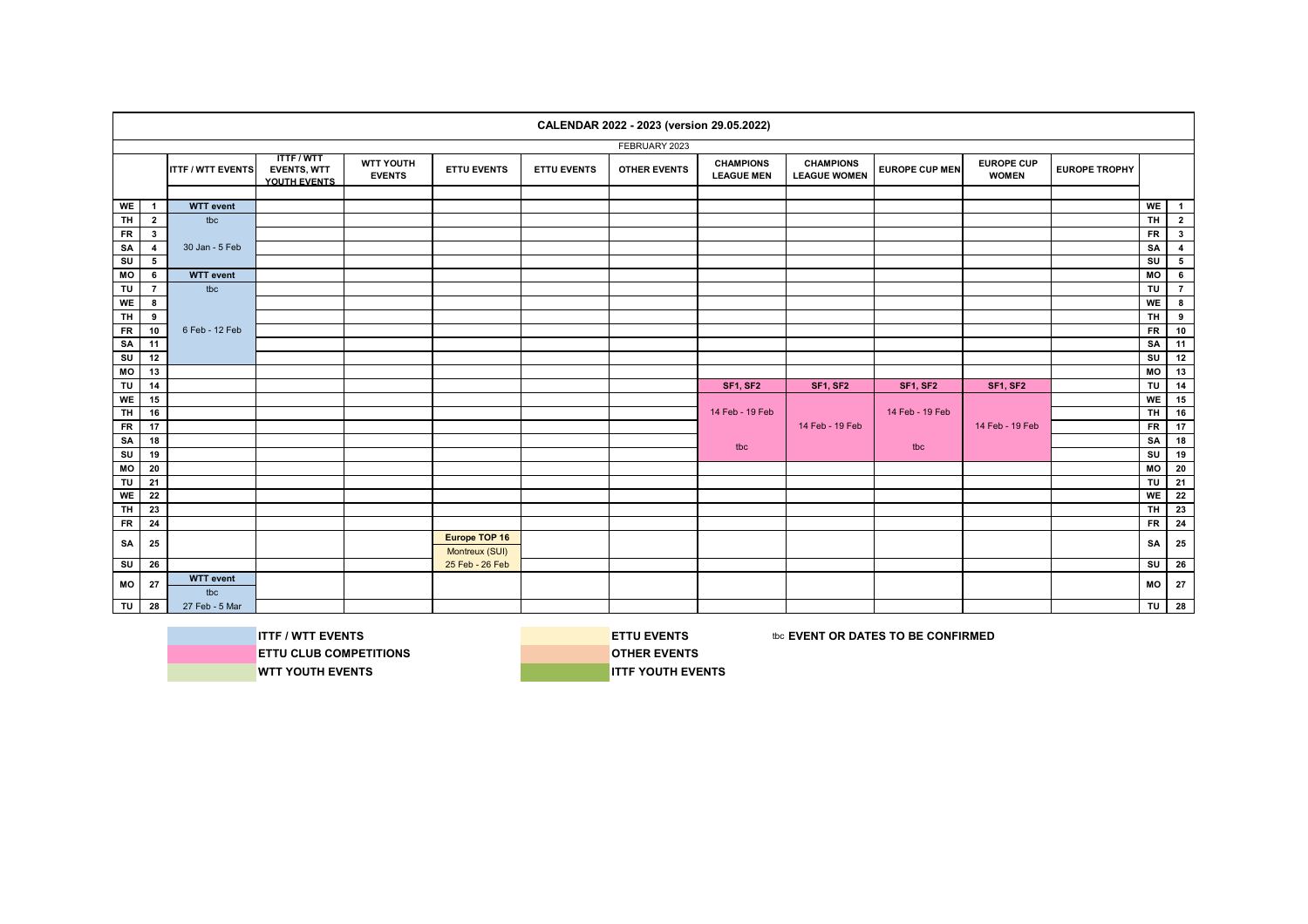|           |                |                          |                                                       |                                   |                                 |                    | CALENDAR 2022 - 2023 (version 29.05.2022) |                                       |                                         |                       |                                   |                      |           |                         |
|-----------|----------------|--------------------------|-------------------------------------------------------|-----------------------------------|---------------------------------|--------------------|-------------------------------------------|---------------------------------------|-----------------------------------------|-----------------------|-----------------------------------|----------------------|-----------|-------------------------|
|           |                |                          |                                                       |                                   |                                 |                    | FEBRUARY 2023                             |                                       |                                         |                       |                                   |                      |           |                         |
|           |                | <b>ITTF / WTT EVENTS</b> | <b>ITTF/WTT</b><br><b>EVENTS, WTT</b><br>YOUTH EVENTS | <b>WTT YOUTH</b><br><b>EVENTS</b> | <b>ETTU EVENTS</b>              | <b>ETTU EVENTS</b> | <b>OTHER EVENTS</b>                       | <b>CHAMPIONS</b><br><b>LEAGUE MEN</b> | <b>CHAMPIONS</b><br><b>LEAGUE WOMEN</b> | <b>EUROPE CUP MEN</b> | <b>EUROPE CUP</b><br><b>WOMEN</b> | <b>EUROPE TROPHY</b> |           |                         |
|           |                |                          |                                                       |                                   |                                 |                    |                                           |                                       |                                         |                       |                                   |                      |           |                         |
| <b>WE</b> | $\mathbf{1}$   | <b>WTT</b> event         |                                                       |                                   |                                 |                    |                                           |                                       |                                         |                       |                                   |                      | WE        | $\overline{1}$          |
| <b>TH</b> | $\overline{2}$ | tbc                      |                                                       |                                   |                                 |                    |                                           |                                       |                                         |                       |                                   |                      | <b>TH</b> | $\overline{2}$          |
| <b>FR</b> | $3^{\circ}$    |                          |                                                       |                                   |                                 |                    |                                           |                                       |                                         |                       |                                   |                      | <b>FR</b> | $\mathbf{3}$            |
| SA        | $\overline{4}$ | 30 Jan - 5 Feb           |                                                       |                                   |                                 |                    |                                           |                                       |                                         |                       |                                   |                      | SA        | $\overline{\mathbf{4}}$ |
| SU        | 5              |                          |                                                       |                                   |                                 |                    |                                           |                                       |                                         |                       |                                   |                      | SU        | $5\overline{5}$         |
| MO        | 6              | <b>WTT</b> event         |                                                       |                                   |                                 |                    |                                           |                                       |                                         |                       |                                   |                      | MO        | $6\phantom{.0}$         |
| TU        | $\overline{7}$ | tbc                      |                                                       |                                   |                                 |                    |                                           |                                       |                                         |                       |                                   |                      | TU        | $\overline{7}$          |
| <b>WE</b> | 8              |                          |                                                       |                                   |                                 |                    |                                           |                                       |                                         |                       |                                   |                      | WE        | 8                       |
| <b>TH</b> | 9              |                          |                                                       |                                   |                                 |                    |                                           |                                       |                                         |                       |                                   |                      | <b>TH</b> | 9                       |
| <b>FR</b> | 10             | 6 Feb - 12 Feb           |                                                       |                                   |                                 |                    |                                           |                                       |                                         |                       |                                   |                      | <b>FR</b> | 10                      |
| SA        | 11             |                          |                                                       |                                   |                                 |                    |                                           |                                       |                                         |                       |                                   |                      | SA        | 11                      |
| SU        | 12             |                          |                                                       |                                   |                                 |                    |                                           |                                       |                                         |                       |                                   |                      | SU        | 12                      |
| MO        | 13             |                          |                                                       |                                   |                                 |                    |                                           |                                       |                                         |                       |                                   |                      | MO        | 13                      |
| TU        | 14             |                          |                                                       |                                   |                                 |                    |                                           | <b>SF1, SF2</b>                       | <b>SF1, SF2</b>                         | <b>SF1, SF2</b>       | <b>SF1, SF2</b>                   |                      | TU        | 14                      |
| <b>WE</b> | 15             |                          |                                                       |                                   |                                 |                    |                                           |                                       |                                         |                       |                                   |                      | WE        | 15                      |
| TH        | 16             |                          |                                                       |                                   |                                 |                    |                                           | 14 Feb - 19 Feb                       |                                         | 14 Feb - 19 Feb       |                                   |                      | TH.       | 16                      |
| <b>FR</b> | 17             |                          |                                                       |                                   |                                 |                    |                                           |                                       | 14 Feb - 19 Feb                         |                       | 14 Feb - 19 Feb                   |                      | FR        | 17                      |
| SA        | 18             |                          |                                                       |                                   |                                 |                    |                                           | tbc                                   |                                         | tbc                   |                                   |                      | SA        | 18                      |
| SU        | 19             |                          |                                                       |                                   |                                 |                    |                                           |                                       |                                         |                       |                                   |                      | SU        | 19                      |
| МO        | 20             |                          |                                                       |                                   |                                 |                    |                                           |                                       |                                         |                       |                                   |                      | MO        | 20                      |
| TU        | 21             |                          |                                                       |                                   |                                 |                    |                                           |                                       |                                         |                       |                                   |                      | TU        | 21                      |
| <b>WE</b> | 22             |                          |                                                       |                                   |                                 |                    |                                           |                                       |                                         |                       |                                   |                      | <b>WE</b> | 22                      |
| <b>TH</b> | 23             |                          |                                                       |                                   |                                 |                    |                                           |                                       |                                         |                       |                                   |                      | <b>TH</b> | $\overline{23}$         |
| <b>FR</b> | 24             |                          |                                                       |                                   |                                 |                    |                                           |                                       |                                         |                       |                                   |                      | <b>FR</b> | 24                      |
| SA        | 25             |                          |                                                       |                                   | Europe TOP 16<br>Montreux (SUI) |                    |                                           |                                       |                                         |                       |                                   |                      | SA        | 25                      |
| SU        | 26             |                          |                                                       |                                   | 25 Feb - 26 Feb                 |                    |                                           |                                       |                                         |                       |                                   |                      | su        | 26                      |
| МO        | 27             | <b>WTT</b> event<br>tbc  |                                                       |                                   |                                 |                    |                                           |                                       |                                         |                       |                                   |                      | MO        | 27                      |
| TU        | 28             | 27 Feb - 5 Mar           |                                                       |                                   |                                 |                    |                                           |                                       |                                         |                       |                                   |                      | TU I      | 28                      |

**ITTF / WTT EVENTS ETTU EVENTS ETTU EVENTS EXECUTED ASSESSED AT A LIGA CONFIRMED ETTU CLUB COMPETITIONS COMPETITIONS WTT YOUTH EVENTS INTERVENTS**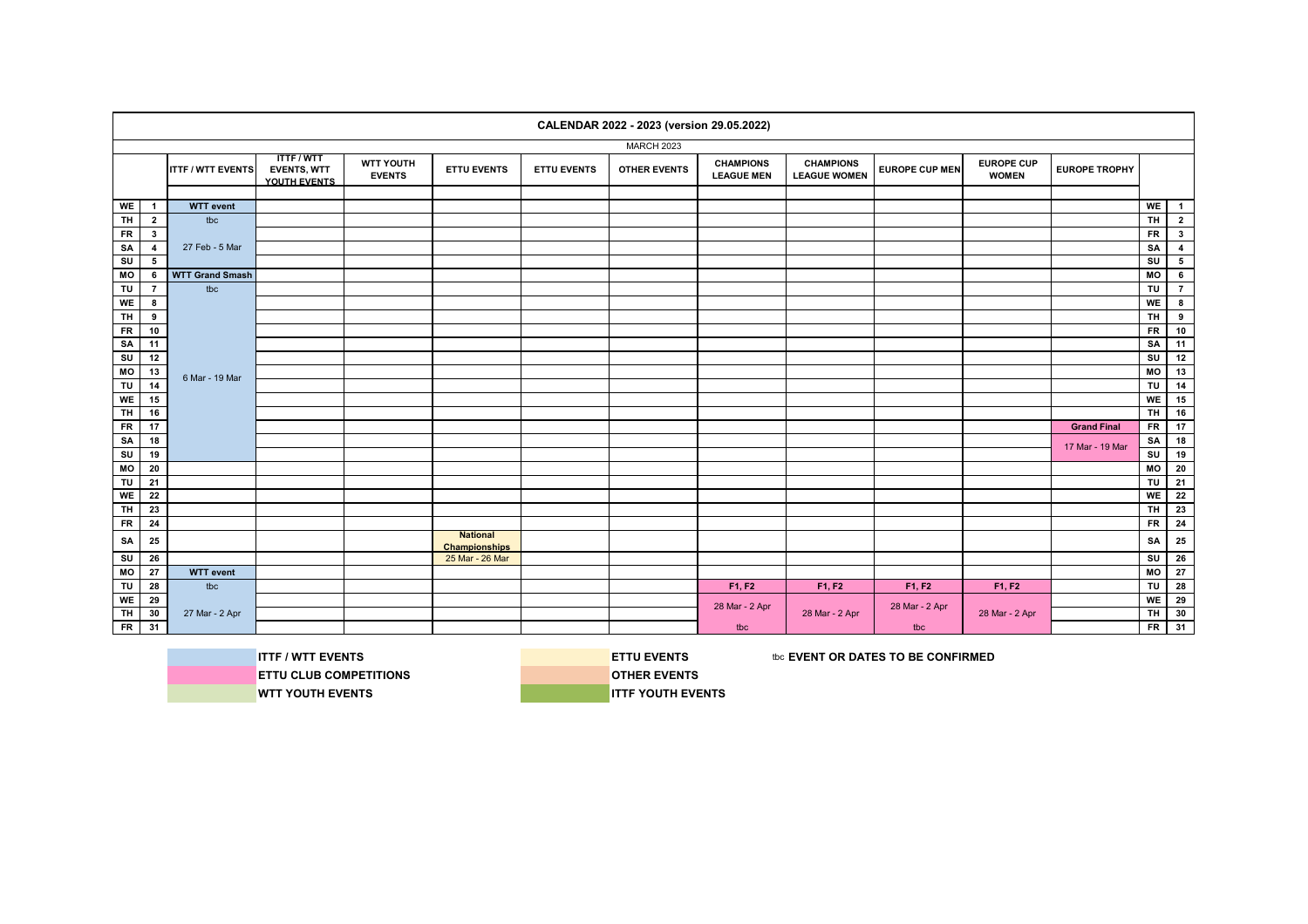|           |                         |                          |                                                       |                            |                                         |                    | CALENDAR 2022 - 2023 (version 29.05.2022) |                                       |                                         |                       |                                   |                      |           |                         |
|-----------|-------------------------|--------------------------|-------------------------------------------------------|----------------------------|-----------------------------------------|--------------------|-------------------------------------------|---------------------------------------|-----------------------------------------|-----------------------|-----------------------------------|----------------------|-----------|-------------------------|
|           |                         |                          |                                                       |                            |                                         |                    | MARCH 2023                                |                                       |                                         |                       |                                   |                      |           |                         |
|           |                         | <b>ITTF / WTT EVENTS</b> | <b>TTTF/WTT</b><br><b>EVENTS, WTT</b><br>YOUTH EVENTS | WTT YOUTH<br><b>EVENTS</b> | <b>ETTU EVENTS</b>                      | <b>ETTU EVENTS</b> | <b>OTHER EVENTS</b>                       | <b>CHAMPIONS</b><br><b>LEAGUE MEN</b> | <b>CHAMPIONS</b><br><b>LEAGUE WOMEN</b> | <b>EUROPE CUP MEN</b> | <b>EUROPE CUP</b><br><b>WOMEN</b> | <b>EUROPE TROPHY</b> |           |                         |
|           |                         |                          |                                                       |                            |                                         |                    |                                           |                                       |                                         |                       |                                   |                      |           |                         |
| <b>WE</b> | $\mathbf{1}$            | <b>WTT</b> event         |                                                       |                            |                                         |                    |                                           |                                       |                                         |                       |                                   |                      | WE        | $\blacksquare$          |
| <b>TH</b> | $\mathbf{2}$            | tbc                      |                                                       |                            |                                         |                    |                                           |                                       |                                         |                       |                                   |                      | <b>TH</b> | $\mathbf{2}$            |
| <b>FR</b> | $\mathbf{3}$            |                          |                                                       |                            |                                         |                    |                                           |                                       |                                         |                       |                                   |                      | <b>FR</b> | $\overline{\mathbf{a}}$ |
| SA        | $\overline{\mathbf{4}}$ | 27 Feb - 5 Mar           |                                                       |                            |                                         |                    |                                           |                                       |                                         |                       |                                   |                      | SA        | $\overline{4}$          |
| SU        | 5                       |                          |                                                       |                            |                                         |                    |                                           |                                       |                                         |                       |                                   |                      | SU        | 5 <sub>5</sub>          |
| MO        | 6                       | <b>WTT Grand Smash</b>   |                                                       |                            |                                         |                    |                                           |                                       |                                         |                       |                                   |                      | MO        | $6\phantom{.0}$         |
| TU        | $\overline{7}$          | tbc                      |                                                       |                            |                                         |                    |                                           |                                       |                                         |                       |                                   |                      | TU        | $7^{\circ}$             |
| <b>WE</b> | 8                       |                          |                                                       |                            |                                         |                    |                                           |                                       |                                         |                       |                                   |                      | WE        | 8                       |
| <b>TH</b> | 9                       |                          |                                                       |                            |                                         |                    |                                           |                                       |                                         |                       |                                   |                      | <b>TH</b> | 9                       |
| <b>FR</b> | 10                      |                          |                                                       |                            |                                         |                    |                                           |                                       |                                         |                       |                                   |                      | $F$ R     | 10                      |
| SA        | 11                      |                          |                                                       |                            |                                         |                    |                                           |                                       |                                         |                       |                                   |                      | SA        | 11                      |
| SU        | 12                      |                          |                                                       |                            |                                         |                    |                                           |                                       |                                         |                       |                                   |                      | SU        | 12                      |
| MO        | 13                      | 6 Mar - 19 Mar           |                                                       |                            |                                         |                    |                                           |                                       |                                         |                       |                                   |                      | MO        | 13                      |
| $T$ U     | 14                      |                          |                                                       |                            |                                         |                    |                                           |                                       |                                         |                       |                                   |                      | TU        | 14                      |
| <b>WE</b> | 15                      |                          |                                                       |                            |                                         |                    |                                           |                                       |                                         |                       |                                   |                      | WE        | 15                      |
| TH        | 16                      |                          |                                                       |                            |                                         |                    |                                           |                                       |                                         |                       |                                   |                      | <b>TH</b> | 16                      |
| $F$ R     | 17                      |                          |                                                       |                            |                                         |                    |                                           |                                       |                                         |                       |                                   | <b>Grand Final</b>   | <b>FR</b> | 17                      |
| SA        | 18                      |                          |                                                       |                            |                                         |                    |                                           |                                       |                                         |                       |                                   |                      | SA        | 18                      |
| SU        | 19                      |                          |                                                       |                            |                                         |                    |                                           |                                       |                                         |                       |                                   | 17 Mar - 19 Mar      | SU        | 19                      |
| MO        | 20                      |                          |                                                       |                            |                                         |                    |                                           |                                       |                                         |                       |                                   |                      | МO        | 20                      |
| TU        | 21                      |                          |                                                       |                            |                                         |                    |                                           |                                       |                                         |                       |                                   |                      | TU        | 21                      |
| <b>WE</b> | 22                      |                          |                                                       |                            |                                         |                    |                                           |                                       |                                         |                       |                                   |                      | <b>WE</b> | 22                      |
| <b>TH</b> | 23                      |                          |                                                       |                            |                                         |                    |                                           |                                       |                                         |                       |                                   |                      | <b>TH</b> | 23                      |
| <b>FR</b> | 24                      |                          |                                                       |                            |                                         |                    |                                           |                                       |                                         |                       |                                   |                      | <b>FR</b> | 24                      |
| SA        | 25                      |                          |                                                       |                            | <b>National</b><br><b>Championships</b> |                    |                                           |                                       |                                         |                       |                                   |                      | SA        | 25                      |
| SU        | 26                      |                          |                                                       |                            | 25 Mar - 26 Mar                         |                    |                                           |                                       |                                         |                       |                                   |                      | SU        | 26                      |
| MO        | 27                      | <b>WTT</b> event         |                                                       |                            |                                         |                    |                                           |                                       |                                         |                       |                                   |                      | MO        | 27                      |
| TU        | 28                      | tbc                      |                                                       |                            |                                         |                    |                                           | F1, F2                                | F1, F2                                  | F1, F2                | F1, F2                            |                      | TU        | 28                      |
| <b>WE</b> | 29                      |                          |                                                       |                            |                                         |                    |                                           | 28 Mar - 2 Apr                        |                                         |                       |                                   |                      | WE        | 29                      |
| <b>TH</b> | 30                      | 27 Mar - 2 Apr           |                                                       |                            |                                         |                    |                                           |                                       | 28 Mar - 2 Apr                          | 28 Mar - 2 Apr        | 28 Mar - 2 Apr                    |                      | <b>TH</b> | 30                      |
| <b>FR</b> | 31                      |                          |                                                       |                            |                                         |                    |                                           | tbc                                   |                                         | tbc                   |                                   |                      | <b>FR</b> | 31                      |

**ETTU CLUB COMPETITIONS COMPETITIONS WTT YOUTH EVENTS INTERVENTS** 

**ITTF / WTT EVENTS ETTU EVENTS ETTU EVENTS the EVENT OR DATES TO BE CONFIRMED**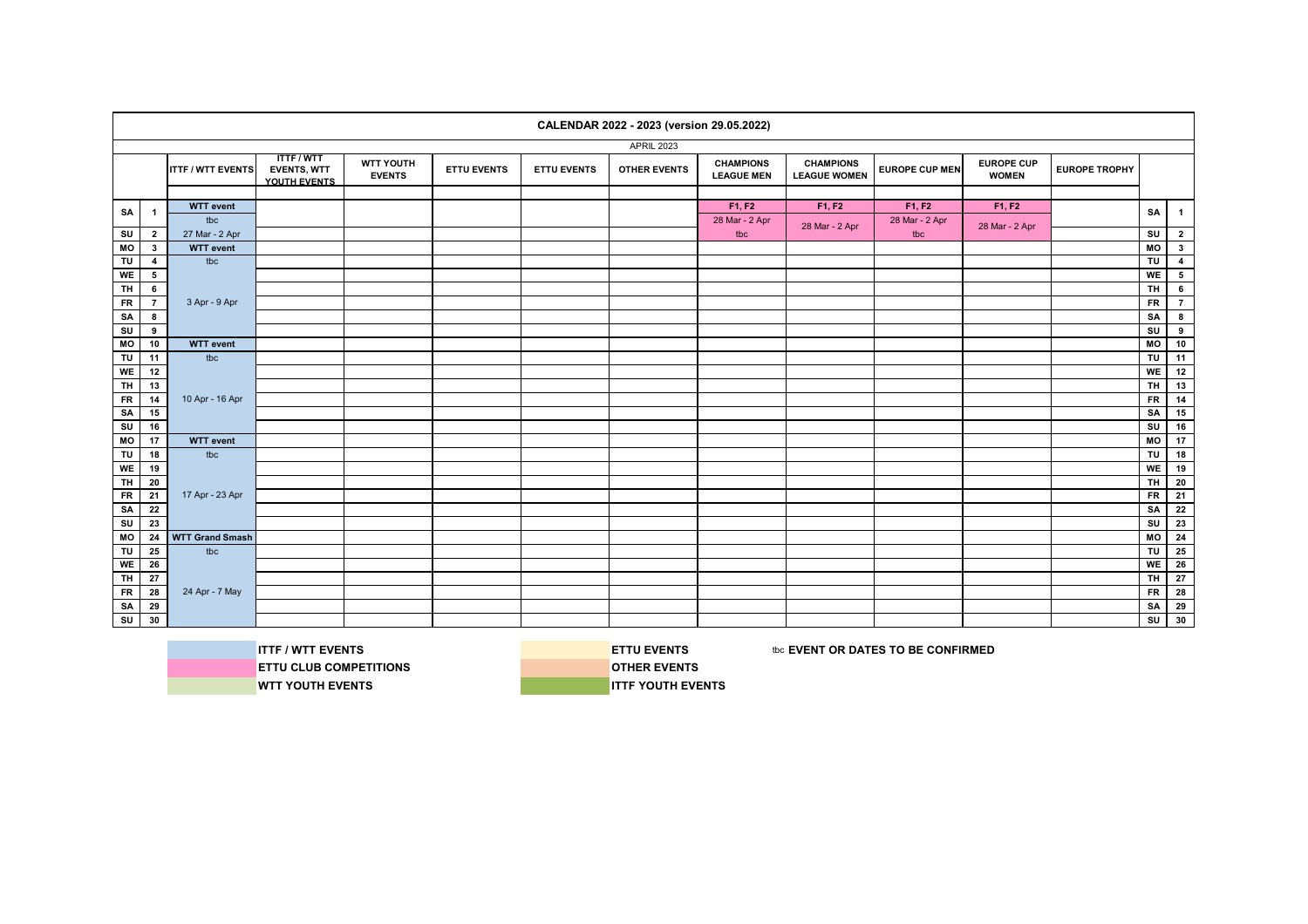|                |                         |                          |                                                       |                            |                    |                    | CALENDAR 2022 - 2023 (version 29.05.2022) |                                       |                                         |                       |                                   |                      |                |                         |
|----------------|-------------------------|--------------------------|-------------------------------------------------------|----------------------------|--------------------|--------------------|-------------------------------------------|---------------------------------------|-----------------------------------------|-----------------------|-----------------------------------|----------------------|----------------|-------------------------|
|                |                         |                          |                                                       |                            |                    |                    | <b>APRIL 2023</b>                         |                                       |                                         |                       |                                   |                      |                |                         |
|                |                         | <b>ITTF / WTT EVENTS</b> | <b>ITTF/WTT</b><br><b>EVENTS, WTT</b><br>YOUTH EVENTS | WTT YOUTH<br><b>EVENTS</b> | <b>ETTU EVENTS</b> | <b>ETTU EVENTS</b> | <b>OTHER EVENTS</b>                       | <b>CHAMPIONS</b><br><b>LEAGUE MEN</b> | <b>CHAMPIONS</b><br><b>LEAGUE WOMEN</b> | <b>EUROPE CUP MEN</b> | <b>EUROPE CUP</b><br><b>WOMEN</b> | <b>EUROPE TROPHY</b> |                |                         |
|                |                         |                          |                                                       |                            |                    |                    |                                           |                                       |                                         |                       |                                   |                      |                |                         |
| SA             | $\mathbf{1}$            | <b>WTT</b> event         |                                                       |                            |                    |                    |                                           | F1, F2                                | F1, F2                                  | F1, F2                | F1, F2                            |                      | SA             | $\mathbf{1}$            |
|                |                         | tbc                      |                                                       |                            |                    |                    |                                           | 28 Mar - 2 Apr                        | 28 Mar - 2 Apr                          | 28 Mar - 2 Apr        | 28 Mar - 2 Apr                    |                      |                |                         |
| SU             | $\overline{2}$          | 27 Mar - 2 Apr           |                                                       |                            |                    |                    |                                           | tbc                                   |                                         | tbc                   |                                   |                      | SU             | $\overline{\mathbf{2}}$ |
| MO             | $\mathbf{3}$            | <b>WTT</b> event         |                                                       |                            |                    |                    |                                           |                                       |                                         |                       |                                   |                      | MO             | $\overline{\mathbf{3}}$ |
| TU             | $\overline{4}$          | tbc                      |                                                       |                            |                    |                    |                                           |                                       |                                         |                       |                                   |                      | TU             | $\overline{\mathbf{4}}$ |
| WE             | $5\overline{5}$         |                          |                                                       |                            |                    |                    |                                           |                                       |                                         |                       |                                   |                      | WE             | 5                       |
| <b>TH</b>      | 6                       |                          |                                                       |                            |                    |                    |                                           |                                       |                                         |                       |                                   |                      | TH.            | $6\phantom{.0}$         |
| $F$ R          | $\overline{7}$          | 3 Apr - 9 Apr            |                                                       |                            |                    |                    |                                           |                                       |                                         |                       |                                   |                      | $F$ R          | $\overline{7}$          |
| SA             | 8                       |                          |                                                       |                            |                    |                    |                                           |                                       |                                         |                       |                                   |                      | SA             | $\bf{8}$                |
| su             | $\overline{\mathbf{9}}$ |                          |                                                       |                            |                    |                    |                                           |                                       |                                         |                       |                                   |                      | SU             | 9                       |
| $\overline{M}$ | 10                      | <b>WTT</b> event         |                                                       |                            |                    |                    |                                           |                                       |                                         |                       |                                   |                      | MO             | 10                      |
| TU             | 11                      | tbc                      |                                                       |                            |                    |                    |                                           |                                       |                                         |                       |                                   |                      | TU             | 11                      |
| WE             | 12                      |                          |                                                       |                            |                    |                    |                                           |                                       |                                         |                       |                                   |                      | <b>WE</b>      | 12                      |
| $T$ H          | 13                      |                          |                                                       |                            |                    |                    |                                           |                                       |                                         |                       |                                   |                      | $\overline{H}$ | 13                      |
| ${\sf FR}$     | 14                      | 10 Apr - 16 Apr          |                                                       |                            |                    |                    |                                           |                                       |                                         |                       |                                   |                      | <b>FR</b>      | $\overline{14}$         |
| SA             | 15                      |                          |                                                       |                            |                    |                    |                                           |                                       |                                         |                       |                                   |                      | SA             | 15                      |
| SU             | 16                      |                          |                                                       |                            |                    |                    |                                           |                                       |                                         |                       |                                   |                      | SU             | 16                      |
| МO             | 17                      | <b>WTT</b> event         |                                                       |                            |                    |                    |                                           |                                       |                                         |                       |                                   |                      | МO             | 17                      |
| TU             | 18                      | tbc                      |                                                       |                            |                    |                    |                                           |                                       |                                         |                       |                                   |                      | TU             | 18                      |
| WE             | 19                      |                          |                                                       |                            |                    |                    |                                           |                                       |                                         |                       |                                   |                      | WE             | 19                      |
| <b>TH</b>      | 20                      |                          |                                                       |                            |                    |                    |                                           |                                       |                                         |                       |                                   |                      | <b>TH</b>      | 20                      |
| ${\sf FR}$     | 21                      | 17 Apr - 23 Apr          |                                                       |                            |                    |                    |                                           |                                       |                                         |                       |                                   |                      | <b>FR</b>      | $\mathbf{21}$           |
| SA             | 22                      |                          |                                                       |                            |                    |                    |                                           |                                       |                                         |                       |                                   |                      | SA             | $\overline{22}$         |
| SU             | 23                      |                          |                                                       |                            |                    |                    |                                           |                                       |                                         |                       |                                   |                      | SU             | 23                      |
| MO             | 24                      | <b>WTT Grand Smash</b>   |                                                       |                            |                    |                    |                                           |                                       |                                         |                       |                                   |                      | МO             | 24                      |
| TU             | 25                      | tbc                      |                                                       |                            |                    |                    |                                           |                                       |                                         |                       |                                   |                      | TU             | 25                      |
| WE             | 26                      |                          |                                                       |                            |                    |                    |                                           |                                       |                                         |                       |                                   |                      | WE             | 26                      |
| <b>TH</b>      | 27                      |                          |                                                       |                            |                    |                    |                                           |                                       |                                         |                       |                                   |                      | <b>TH</b>      | 27                      |
| $F$ R          | 28                      | 24 Apr - 7 May           |                                                       |                            |                    |                    |                                           |                                       |                                         |                       |                                   |                      | <b>FR</b>      | 28                      |
| SA             | 29                      |                          |                                                       |                            |                    |                    |                                           |                                       |                                         |                       |                                   |                      | SA             | $\overline{29}$         |
| SU             | 30                      |                          |                                                       |                            |                    |                    |                                           |                                       |                                         |                       |                                   |                      | SU             | 30                      |
|                |                         |                          |                                                       |                            |                    |                    |                                           |                                       |                                         |                       |                                   |                      |                |                         |

**ETTU CLUB COMPETITIONS DESCRIPTIONS WTT YOUTH EVENTS INTERPRISE IN THE VOUTH EVENTS** 

**ITTF / WTT EVENTS ETTU EVENTS ETTU EVENTS EXECUTED ASSESS** to **EVENT OR DATES TO BE CONFIRMED**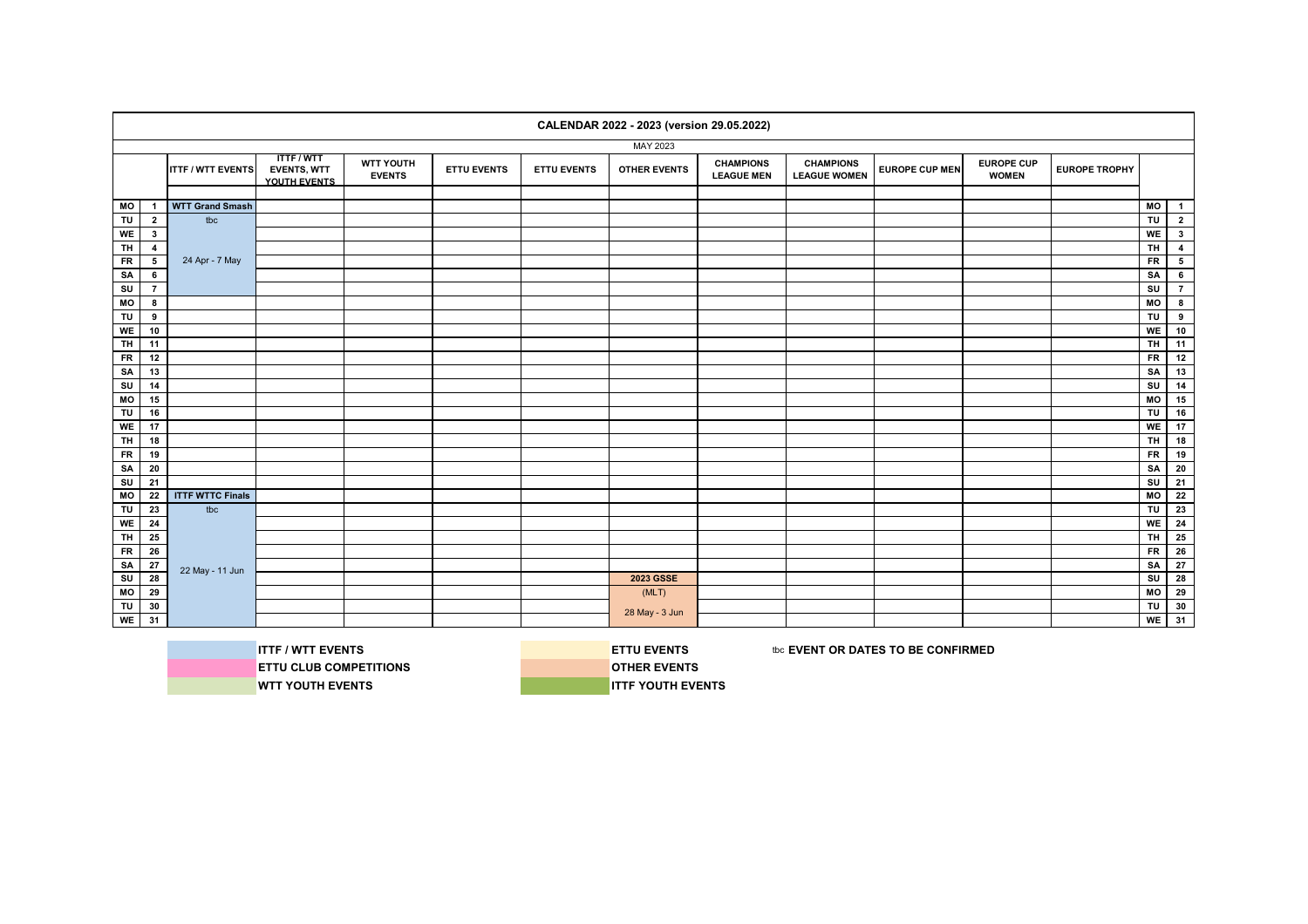|                                  |                          |                                                       |                                   |                    |                    | CALENDAR 2022 - 2023 (version 29.05.2022) |                                       |                                         |                       |                                   |                      |                        |                         |
|----------------------------------|--------------------------|-------------------------------------------------------|-----------------------------------|--------------------|--------------------|-------------------------------------------|---------------------------------------|-----------------------------------------|-----------------------|-----------------------------------|----------------------|------------------------|-------------------------|
|                                  |                          |                                                       |                                   |                    |                    | MAY 2023                                  |                                       |                                         |                       |                                   |                      |                        |                         |
|                                  | <b>ITTF / WTT EVENTS</b> | <b>ITTF/WTT</b><br><b>EVENTS, WTT</b><br>YOUTH EVENTS | <b>WTT YOUTH</b><br><b>EVENTS</b> | <b>ETTU EVENTS</b> | <b>ETTU EVENTS</b> | <b>OTHER EVENTS</b>                       | <b>CHAMPIONS</b><br><b>LEAGUE MEN</b> | <b>CHAMPIONS</b><br><b>LEAGUE WOMEN</b> | <b>EUROPE CUP MEN</b> | <b>EUROPE CUP</b><br><b>WOMEN</b> | <b>EUROPE TROPHY</b> |                        |                         |
|                                  |                          |                                                       |                                   |                    |                    |                                           |                                       |                                         |                       |                                   |                      |                        |                         |
| МO<br>$\mathbf{1}$               | <b>WTT Grand Smash</b>   |                                                       |                                   |                    |                    |                                           |                                       |                                         |                       |                                   |                      | MO                     | $\overline{1}$          |
| TU<br>$\overline{2}$             | tbc                      |                                                       |                                   |                    |                    |                                           |                                       |                                         |                       |                                   |                      | TU                     | $\mathbf{2}$            |
| WE<br>$\mathbf{3}$               |                          |                                                       |                                   |                    |                    |                                           |                                       |                                         |                       |                                   |                      | WE                     | $\mathbf{3}$            |
| TH <sub></sub><br>$\overline{4}$ |                          |                                                       |                                   |                    |                    |                                           |                                       |                                         |                       |                                   |                      | $\overline{H}$         | $\overline{\mathbf{4}}$ |
| $5\phantom{a}$<br>${\sf FR}$     | 24 Apr - 7 May           |                                                       |                                   |                    |                    |                                           |                                       |                                         |                       |                                   |                      | <b>FR</b>              | ${\bf 5}$               |
| $\bf 6$<br>SA                    |                          |                                                       |                                   |                    |                    |                                           |                                       |                                         |                       |                                   |                      | SA                     | $\bf 6$                 |
| SU<br>$\overline{7}$             |                          |                                                       |                                   |                    |                    |                                           |                                       |                                         |                       |                                   |                      | $\mathsf{S}\mathsf{U}$ | $\overline{7}$          |
| 8<br>МO                          |                          |                                                       |                                   |                    |                    |                                           |                                       |                                         |                       |                                   |                      | M <sub>O</sub>         | $\overline{\mathbf{8}}$ |
| TU<br>9                          |                          |                                                       |                                   |                    |                    |                                           |                                       |                                         |                       |                                   |                      | TU                     | $\pmb{9}$               |
| WE<br>10                         |                          |                                                       |                                   |                    |                    |                                           |                                       |                                         |                       |                                   |                      | WE                     | 10                      |
| <b>TH</b><br>11                  |                          |                                                       |                                   |                    |                    |                                           |                                       |                                         |                       |                                   |                      | $\overline{H}$         | $\overline{11}$         |
| <b>FR</b><br>12                  |                          |                                                       |                                   |                    |                    |                                           |                                       |                                         |                       |                                   |                      | <b>FR</b>              | 12                      |
| SA<br>13                         |                          |                                                       |                                   |                    |                    |                                           |                                       |                                         |                       |                                   |                      | SA                     | 13                      |
| SU<br>14                         |                          |                                                       |                                   |                    |                    |                                           |                                       |                                         |                       |                                   |                      | SU                     | 14                      |
| МO<br>15                         |                          |                                                       |                                   |                    |                    |                                           |                                       |                                         |                       |                                   |                      | MO                     | 15                      |
| TU<br>16                         |                          |                                                       |                                   |                    |                    |                                           |                                       |                                         |                       |                                   |                      | TU                     | 16                      |
| WE<br>17                         |                          |                                                       |                                   |                    |                    |                                           |                                       |                                         |                       |                                   |                      | WE                     | 17                      |
| <b>TH</b><br>18                  |                          |                                                       |                                   |                    |                    |                                           |                                       |                                         |                       |                                   |                      | <b>TH</b>              | 18                      |
| <b>FR</b><br>19                  |                          |                                                       |                                   |                    |                    |                                           |                                       |                                         |                       |                                   |                      | <b>FR</b>              | 19                      |
| SA<br>20                         |                          |                                                       |                                   |                    |                    |                                           |                                       |                                         |                       |                                   |                      | SA                     | 20                      |
| SU<br>21                         |                          |                                                       |                                   |                    |                    |                                           |                                       |                                         |                       |                                   |                      | SU                     | 21                      |
| 22<br>MO                         | <b>ITTF WTTC Finals</b>  |                                                       |                                   |                    |                    |                                           |                                       |                                         |                       |                                   |                      | MO                     | $\overline{22}$         |
| TU<br>23                         | tbc                      |                                                       |                                   |                    |                    |                                           |                                       |                                         |                       |                                   |                      | TU                     | 23                      |
| WE<br>24                         |                          |                                                       |                                   |                    |                    |                                           |                                       |                                         |                       |                                   |                      | <b>WE</b>              | 24                      |
| <b>TH</b><br>25                  |                          |                                                       |                                   |                    |                    |                                           |                                       |                                         |                       |                                   |                      | TH.                    | 25                      |
| 26<br>${\sf FR}$                 |                          |                                                       |                                   |                    |                    |                                           |                                       |                                         |                       |                                   |                      | <b>FR</b>              | 26                      |
| SA<br>${\bf 27}$                 |                          |                                                       |                                   |                    |                    |                                           |                                       |                                         |                       |                                   |                      | SA                     | 27                      |
| 28<br>$\overline{\mathsf{s}}$    | 22 May - 11 Jun          |                                                       |                                   |                    |                    | 2023 GSSE                                 |                                       |                                         |                       |                                   |                      | SU                     | 28                      |
| 29<br>МO                         |                          |                                                       |                                   |                    |                    | (MLT)                                     |                                       |                                         |                       |                                   |                      | MO                     | 29                      |
| TU<br>30                         |                          |                                                       |                                   |                    |                    |                                           |                                       |                                         |                       |                                   |                      | TU                     | 30                      |
| WE<br>31                         |                          |                                                       |                                   |                    |                    | 28 May - 3 Jun                            |                                       |                                         |                       |                                   |                      | <b>WE</b>              | 31                      |
|                                  |                          |                                                       |                                   |                    |                    |                                           |                                       |                                         |                       |                                   |                      |                        |                         |



**ITTF / WTT EVENTS EXECUTES EXECUTES ETTU EVENTS** the series to be confirmed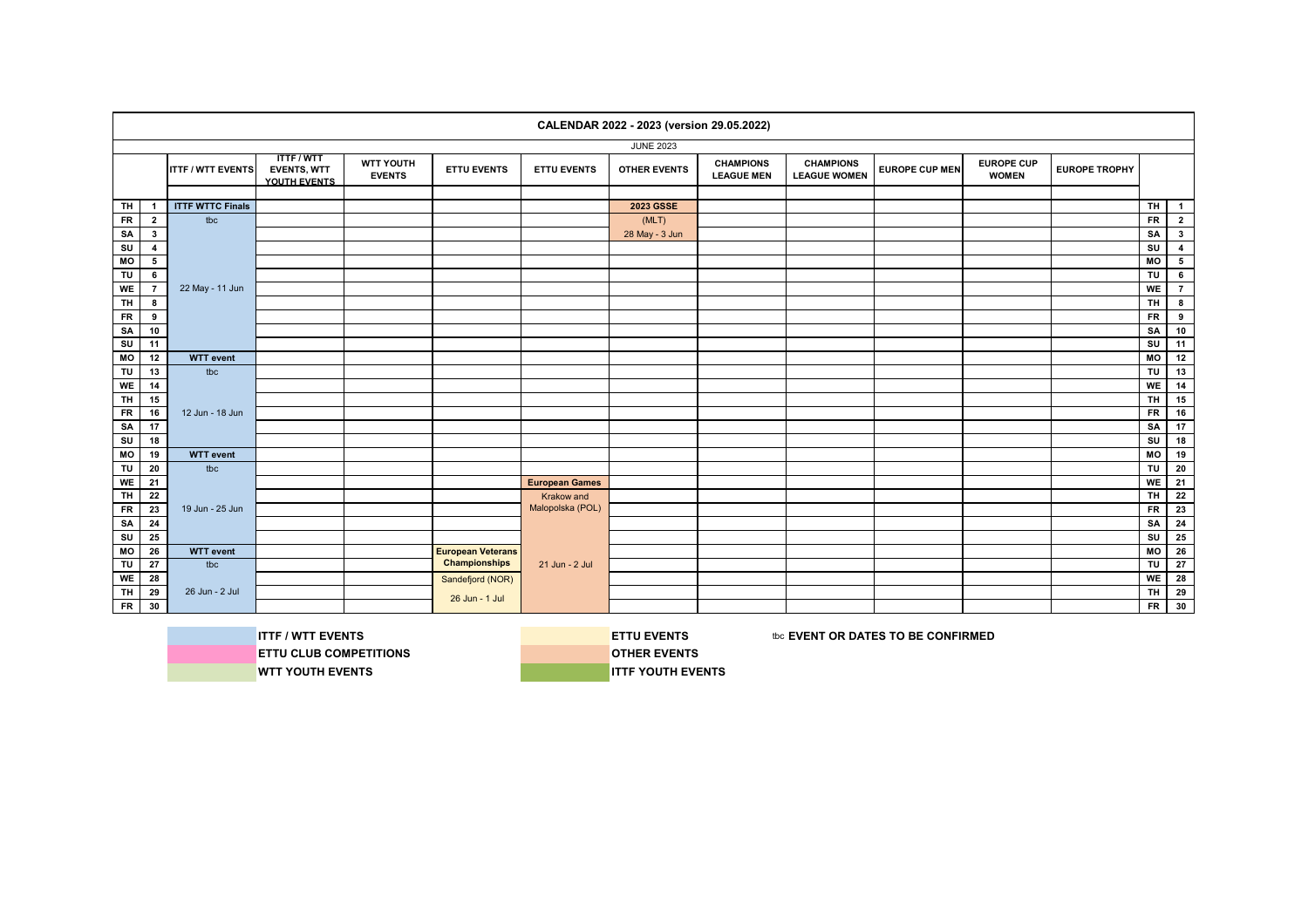|           |                 |                          |                                                       |                                   |                          |                       | CALENDAR 2022 - 2023 (version 29.05.2022) |                                       |                                         |                       |                                   |                      |                         |                 |
|-----------|-----------------|--------------------------|-------------------------------------------------------|-----------------------------------|--------------------------|-----------------------|-------------------------------------------|---------------------------------------|-----------------------------------------|-----------------------|-----------------------------------|----------------------|-------------------------|-----------------|
|           |                 |                          |                                                       |                                   |                          |                       | <b>JUNE 2023</b>                          |                                       |                                         |                       |                                   |                      |                         |                 |
|           |                 | <b>ITTF / WTT EVENTS</b> | <b>ITTF/WTT</b><br><b>EVENTS, WTT</b><br>YOUTH EVENTS | <b>WTT YOUTH</b><br><b>EVENTS</b> | <b>ETTU EVENTS</b>       | <b>ETTU EVENTS</b>    | <b>OTHER EVENTS</b>                       | <b>CHAMPIONS</b><br><b>LEAGUE MEN</b> | <b>CHAMPIONS</b><br><b>LEAGUE WOMEN</b> | <b>EUROPE CUP MEN</b> | <b>EUROPE CUP</b><br><b>WOMEN</b> | <b>EUROPE TROPHY</b> |                         |                 |
|           |                 |                          |                                                       |                                   |                          |                       |                                           |                                       |                                         |                       |                                   |                      |                         |                 |
| <b>TH</b> | - 1             | <b>ITTF WTTC Finals</b>  |                                                       |                                   |                          |                       | 2023 GSSE                                 |                                       |                                         |                       |                                   |                      | TH.                     | $\overline{1}$  |
| <b>FR</b> | $\overline{2}$  | tbc                      |                                                       |                                   |                          |                       | (MLT)                                     |                                       |                                         |                       |                                   |                      | <b>FR</b>               | $\overline{2}$  |
| SA        | $\mathbf{3}$    |                          |                                                       |                                   |                          |                       | 28 May - 3 Jun                            |                                       |                                         |                       |                                   |                      | SA                      | 3 <sup>1</sup>  |
| SU        | $\overline{4}$  |                          |                                                       |                                   |                          |                       |                                           |                                       |                                         |                       |                                   |                      | $\overline{\mathsf{s}}$ | $\overline{4}$  |
| MO        | 5               |                          |                                                       |                                   |                          |                       |                                           |                                       |                                         |                       |                                   |                      | MO                      | $5\overline{ }$ |
| TU        | 6               |                          |                                                       |                                   |                          |                       |                                           |                                       |                                         |                       |                                   |                      | TU                      | 6               |
| WE        | $\overline{7}$  | 22 May - 11 Jun          |                                                       |                                   |                          |                       |                                           |                                       |                                         |                       |                                   |                      | <b>WE</b>               | $7^{\circ}$     |
| <b>TH</b> | 8               |                          |                                                       |                                   |                          |                       |                                           |                                       |                                         |                       |                                   |                      | <b>TH</b>               | 8               |
| <b>FR</b> | 9               |                          |                                                       |                                   |                          |                       |                                           |                                       |                                         |                       |                                   |                      | <b>FR</b>               | 9               |
| SA        | 10              |                          |                                                       |                                   |                          |                       |                                           |                                       |                                         |                       |                                   |                      | SA                      | 10              |
| SU        | 11              |                          |                                                       |                                   |                          |                       |                                           |                                       |                                         |                       |                                   |                      | SU                      | 11              |
| MO        | 12              | <b>WTT</b> event         |                                                       |                                   |                          |                       |                                           |                                       |                                         |                       |                                   |                      | МO                      | 12              |
| TU        | 13              | tbc                      |                                                       |                                   |                          |                       |                                           |                                       |                                         |                       |                                   |                      | TU                      | 13              |
| WE        | 14              |                          |                                                       |                                   |                          |                       |                                           |                                       |                                         |                       |                                   |                      | <b>WE</b>               | 14              |
| TH.       | 15              |                          |                                                       |                                   |                          |                       |                                           |                                       |                                         |                       |                                   |                      | <b>TH</b>               | 15              |
| <b>FR</b> | 16              | 12 Jun - 18 Jun          |                                                       |                                   |                          |                       |                                           |                                       |                                         |                       |                                   |                      | <b>FR</b>               | 16              |
| SA        | 17              |                          |                                                       |                                   |                          |                       |                                           |                                       |                                         |                       |                                   |                      | SA                      | 17              |
| SU        | 18              |                          |                                                       |                                   |                          |                       |                                           |                                       |                                         |                       |                                   |                      | SU                      | 18              |
| MO        | 19              | <b>WTT</b> event         |                                                       |                                   |                          |                       |                                           |                                       |                                         |                       |                                   |                      | МO                      | 19              |
| TU        | 20              | tbc                      |                                                       |                                   |                          |                       |                                           |                                       |                                         |                       |                                   |                      | TU                      | 20              |
| WE        | 21              |                          |                                                       |                                   |                          | <b>European Games</b> |                                           |                                       |                                         |                       |                                   |                      | <b>WE</b>               | 21              |
| TH.       | $\overline{22}$ |                          |                                                       |                                   |                          | Krakow and            |                                           |                                       |                                         |                       |                                   |                      | <b>TH</b>               | 22              |
| <b>FR</b> | 23              | 19 Jun - 25 Jun          |                                                       |                                   |                          | Malopolska (POL)      |                                           |                                       |                                         |                       |                                   |                      | <b>FR</b>               | 23              |
| SA        | 24              |                          |                                                       |                                   |                          |                       |                                           |                                       |                                         |                       |                                   |                      | SA                      | 24              |
| SU        | 25              |                          |                                                       |                                   |                          |                       |                                           |                                       |                                         |                       |                                   |                      | SU                      | 25              |
| MO        | 26              | <b>WTT</b> event         |                                                       |                                   | <b>European Veterans</b> |                       |                                           |                                       |                                         |                       |                                   |                      | МO                      | 26              |
| TU        | 27              | tbc                      |                                                       |                                   | <b>Championships</b>     | 21 Jun - 2 Jul        |                                           |                                       |                                         |                       |                                   |                      | TU                      | 27              |
| WE        | 28              |                          |                                                       |                                   | Sandefjord (NOR)         |                       |                                           |                                       |                                         |                       |                                   |                      | <b>WE</b>               | 28              |
| TH        | 29              | 26 Jun - 2 Jul           |                                                       |                                   |                          |                       |                                           |                                       |                                         |                       |                                   |                      | TH.                     | 29              |
| $F$ R     | 30              |                          |                                                       |                                   | 26 Jun - 1 Jul           |                       |                                           |                                       |                                         |                       |                                   |                      | <b>FR</b>               | 30              |
|           |                 |                          |                                                       |                                   |                          |                       |                                           |                                       |                                         |                       |                                   |                      |                         |                 |

**ITTF / WTT EVENTS ETTU EVENTS ETTU EVENTS EXECUTED ASSESSED AT A LIGA CONFIRMED ETTU CLUB COMPETITIONS COMPETITIONS WTT YOUTH EVENTS INTERVENTS**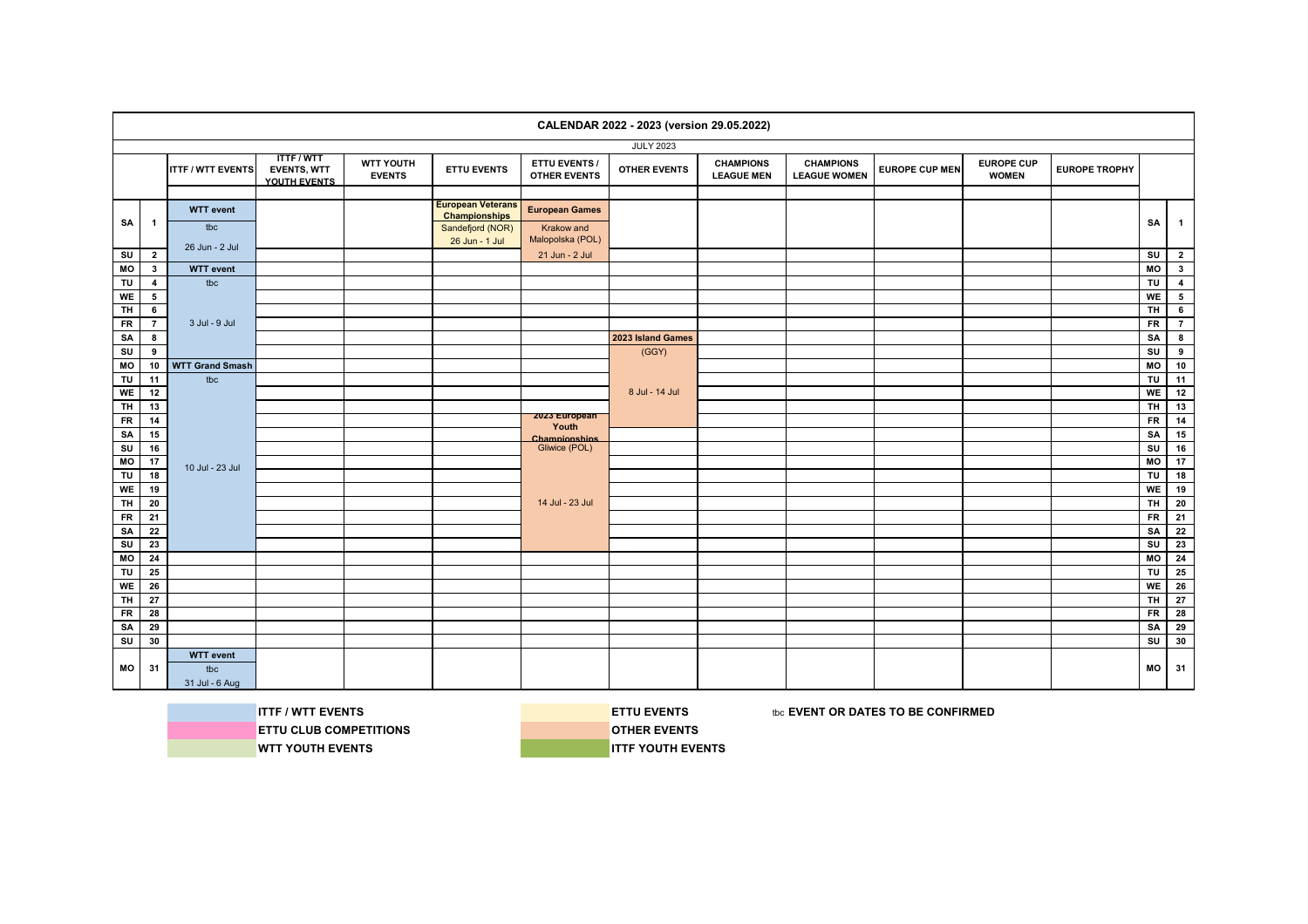|                         |                         |                          |                                                       |                            |                                                  |                                             | CALENDAR 2022 - 2023 (version 29.05.2022) |                                       |                                         |                       |                                   |                      |                |                          |
|-------------------------|-------------------------|--------------------------|-------------------------------------------------------|----------------------------|--------------------------------------------------|---------------------------------------------|-------------------------------------------|---------------------------------------|-----------------------------------------|-----------------------|-----------------------------------|----------------------|----------------|--------------------------|
|                         |                         |                          |                                                       |                            |                                                  |                                             | <b>JULY 2023</b>                          |                                       |                                         |                       |                                   |                      |                |                          |
|                         |                         | <b>ITTF / WTT EVENTS</b> | <b>ITTF/WTT</b><br><b>EVENTS, WTT</b><br>YOUTH EVENTS | WTT YOUTH<br><b>EVENTS</b> | <b>ETTU EVENTS</b>                               | <b>ETTU EVENTS /</b><br><b>OTHER EVENTS</b> | <b>OTHER EVENTS</b>                       | <b>CHAMPIONS</b><br><b>LEAGUE MEN</b> | <b>CHAMPIONS</b><br><b>LEAGUE WOMEN</b> | <b>EUROPE CUP MEN</b> | <b>EUROPE CUP</b><br><b>WOMEN</b> | <b>EUROPE TROPHY</b> |                |                          |
|                         |                         |                          |                                                       |                            |                                                  |                                             |                                           |                                       |                                         |                       |                                   |                      |                |                          |
|                         |                         | <b>WTT</b> event         |                                                       |                            | <b>European Veterans</b><br><b>Championships</b> | <b>European Games</b>                       |                                           |                                       |                                         |                       |                                   |                      |                |                          |
| SA                      | $\mathbf{1}$            | tbc                      |                                                       |                            | Sandefjord (NOR)                                 | Krakow and                                  |                                           |                                       |                                         |                       |                                   |                      | SA             | $\overline{1}$           |
|                         |                         |                          |                                                       |                            | 26 Jun - 1 Jul                                   | Malopolska (POL)                            |                                           |                                       |                                         |                       |                                   |                      |                |                          |
| SU                      | $\overline{2}$          | 26 Jun - 2 Jul           |                                                       |                            |                                                  | 21 Jun - 2 Jul                              |                                           |                                       |                                         |                       |                                   |                      | SU             | $\overline{2}$           |
| MO                      | $\mathbf{3}$            | <b>WTT</b> event         |                                                       |                            |                                                  |                                             |                                           |                                       |                                         |                       |                                   |                      | MO             | 3 <sup>1</sup>           |
| TU                      | $\overline{\mathbf{4}}$ | tbc                      |                                                       |                            |                                                  |                                             |                                           |                                       |                                         |                       |                                   |                      | TU             | $\overline{4}$           |
| WE                      | 5                       |                          |                                                       |                            |                                                  |                                             |                                           |                                       |                                         |                       |                                   |                      | <b>WE</b>      | $\overline{\phantom{0}}$ |
| <b>TH</b>               | $6\overline{6}$         |                          |                                                       |                            |                                                  |                                             |                                           |                                       |                                         |                       |                                   |                      | TH.            | 6                        |
| <b>FR</b>               | $\overline{7}$          | 3 Jul - 9 Jul            |                                                       |                            |                                                  |                                             |                                           |                                       |                                         |                       |                                   |                      | <b>FR</b>      | $\overline{7}$           |
| SA                      | 8                       |                          |                                                       |                            |                                                  |                                             | 2023 Island Games                         |                                       |                                         |                       |                                   |                      | SA             | 8                        |
| SU                      | 9                       |                          |                                                       |                            |                                                  |                                             | (GGY)                                     |                                       |                                         |                       |                                   |                      | SU             | 9                        |
| MO                      | 10                      | <b>WTT Grand Smash</b>   |                                                       |                            |                                                  |                                             |                                           |                                       |                                         |                       |                                   |                      | <b>MO</b>      | 10                       |
| TU                      | 11                      | tbc                      |                                                       |                            |                                                  |                                             |                                           |                                       |                                         |                       |                                   |                      | TU             | 11                       |
| WE                      | 12                      |                          |                                                       |                            |                                                  |                                             | 8 Jul - 14 Jul                            |                                       |                                         |                       |                                   |                      | WE I           | 12                       |
| $\overline{H}$          | 13                      |                          |                                                       |                            |                                                  |                                             |                                           |                                       |                                         |                       |                                   |                      | TH             | 13                       |
| <b>FR</b>               | 14                      |                          |                                                       |                            |                                                  | zuzs European<br>Youth                      |                                           |                                       |                                         |                       |                                   |                      | <b>FR</b>      | 14                       |
| SA                      | 15                      |                          |                                                       |                            |                                                  | Chamnionshins                               |                                           |                                       |                                         |                       |                                   |                      | SA             | 15                       |
| SU                      | 16                      |                          |                                                       |                            |                                                  | Gliwice (POL)                               |                                           |                                       |                                         |                       |                                   |                      | SU             | 16                       |
| M <sub>O</sub>          | 17                      | 10 Jul - 23 Jul          |                                                       |                            |                                                  |                                             |                                           |                                       |                                         |                       |                                   |                      | $\overline{M}$ | 17                       |
| TU                      | 18                      |                          |                                                       |                            |                                                  |                                             |                                           |                                       |                                         |                       |                                   |                      | TU             | 18                       |
| WE                      | 19                      |                          |                                                       |                            |                                                  |                                             |                                           |                                       |                                         |                       |                                   |                      | WE             | 19                       |
| <b>TH</b>               | 20                      |                          |                                                       |                            |                                                  | 14 Jul - 23 Jul                             |                                           |                                       |                                         |                       |                                   |                      | TH I           | 20                       |
| ${\sf FR}$              | 21                      |                          |                                                       |                            |                                                  |                                             |                                           |                                       |                                         |                       |                                   |                      | <b>FR</b>      | 21                       |
| SA                      | 22                      |                          |                                                       |                            |                                                  |                                             |                                           |                                       |                                         |                       |                                   |                      | SA             | 22                       |
| SU                      | 23                      |                          |                                                       |                            |                                                  |                                             |                                           |                                       |                                         |                       |                                   |                      | SU             | 23                       |
| MO                      | 24                      |                          |                                                       |                            |                                                  |                                             |                                           |                                       |                                         |                       |                                   |                      | <b>MO</b>      | 24                       |
| TU                      | 25                      |                          |                                                       |                            |                                                  |                                             |                                           |                                       |                                         |                       |                                   |                      | <b>TU</b>      | 25                       |
| WE                      | 26                      |                          |                                                       |                            |                                                  |                                             |                                           |                                       |                                         |                       |                                   |                      | <b>WE</b>      | 26                       |
| $\overline{\mathsf{H}}$ | 27                      |                          |                                                       |                            |                                                  |                                             |                                           |                                       |                                         |                       |                                   |                      | TH             | 27                       |
| <b>FR</b>               | 28                      |                          |                                                       |                            |                                                  |                                             |                                           |                                       |                                         |                       |                                   |                      | <b>FR</b>      | 28                       |
| SA                      | 29                      |                          |                                                       |                            |                                                  |                                             |                                           |                                       |                                         |                       |                                   |                      | SA             | 29                       |
| SU                      | 30                      |                          |                                                       |                            |                                                  |                                             |                                           |                                       |                                         |                       |                                   |                      |                | 30                       |
|                         |                         | <b>WTT</b> event         |                                                       |                            |                                                  |                                             |                                           |                                       |                                         |                       |                                   |                      |                |                          |
| МO                      | 31                      | tbc                      |                                                       |                            |                                                  |                                             |                                           |                                       |                                         |                       |                                   |                      | МO             | 31                       |
|                         |                         | 31 Jul - 6 Aug           |                                                       |                            |                                                  |                                             |                                           |                                       |                                         |                       |                                   |                      |                |                          |



**ETTU CLUB COMPETITIONS DESCRIPTIONS WTT YOUTH EVENTS ITTF YOUTH EVENTS** 

**ITTF / WTT EVENTS ETTU EVENTS ETTU EVENTS EXECUTED ASSESSED AT A LIGA CONFIRMED**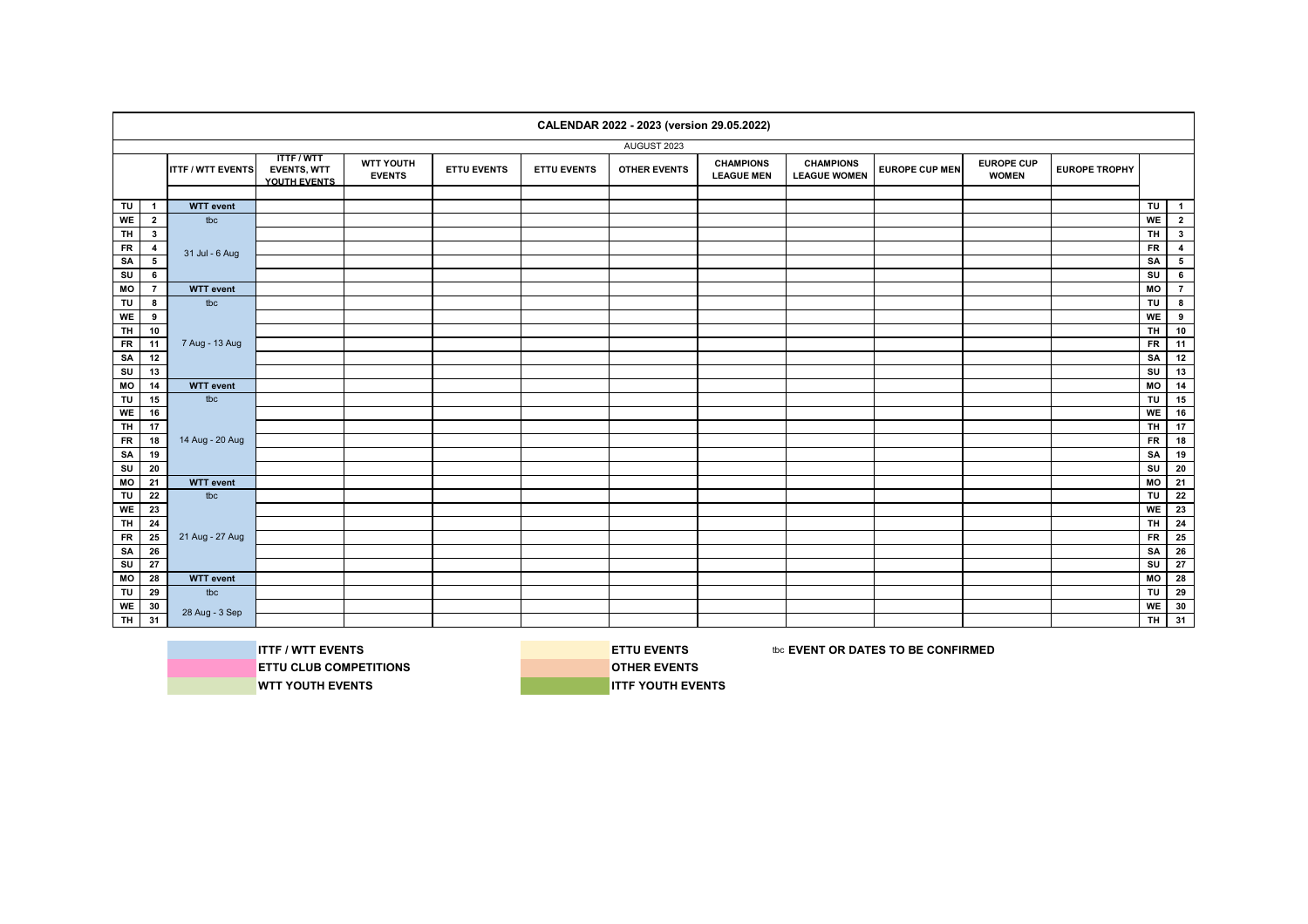|                         |                 |                          |                                                       |                                   |                    |                    | CALENDAR 2022 - 2023 (version 29.05.2022) |                                       |                                         |                       |                                   |                      |                         |                 |
|-------------------------|-----------------|--------------------------|-------------------------------------------------------|-----------------------------------|--------------------|--------------------|-------------------------------------------|---------------------------------------|-----------------------------------------|-----------------------|-----------------------------------|----------------------|-------------------------|-----------------|
|                         |                 |                          |                                                       |                                   |                    |                    | AUGUST 2023                               |                                       |                                         |                       |                                   |                      |                         |                 |
|                         |                 | <b>ITTF / WTT EVENTS</b> | <b>ITTF/WTT</b><br><b>EVENTS, WTT</b><br>YOUTH EVENTS | <b>WTT YOUTH</b><br><b>EVENTS</b> | <b>ETTU EVENTS</b> | <b>ETTU EVENTS</b> | <b>OTHER EVENTS</b>                       | <b>CHAMPIONS</b><br><b>LEAGUE MEN</b> | <b>CHAMPIONS</b><br><b>LEAGUE WOMEN</b> | <b>EUROPE CUP MEN</b> | <b>EUROPE CUP</b><br><b>WOMEN</b> | <b>EUROPE TROPHY</b> |                         |                 |
|                         |                 |                          |                                                       |                                   |                    |                    |                                           |                                       |                                         |                       |                                   |                      |                         |                 |
| TU                      | $\mathbf{1}$    | <b>WTT</b> event         |                                                       |                                   |                    |                    |                                           |                                       |                                         |                       |                                   |                      | $\overline{\mathsf{r}}$ | $\overline{1}$  |
| WE                      | $\overline{2}$  | tbc                      |                                                       |                                   |                    |                    |                                           |                                       |                                         |                       |                                   |                      | WE                      | $\overline{2}$  |
| <b>TH</b>               | $3^{\circ}$     |                          |                                                       |                                   |                    |                    |                                           |                                       |                                         |                       |                                   |                      | <b>TH</b>               | $3^{\circ}$     |
| FR                      | $\overline{4}$  | 31 Jul - 6 Aug           |                                                       |                                   |                    |                    |                                           |                                       |                                         |                       |                                   |                      | <b>FR</b>               | $\overline{4}$  |
| SA                      | $5\phantom{a}$  |                          |                                                       |                                   |                    |                    |                                           |                                       |                                         |                       |                                   |                      | SA                      | $5\phantom{a}$  |
| su                      | $6\phantom{a}$  |                          |                                                       |                                   |                    |                    |                                           |                                       |                                         |                       |                                   |                      | SU                      | $\bf 6$         |
| M <sub>O</sub>          | $\overline{7}$  | <b>WTT</b> event         |                                                       |                                   |                    |                    |                                           |                                       |                                         |                       |                                   |                      | M <sub>O</sub>          | $\overline{7}$  |
| TU                      | 8               | tbc                      |                                                       |                                   |                    |                    |                                           |                                       |                                         |                       |                                   |                      | $\overline{\mathsf{r}}$ | 8               |
| WE                      | 9               |                          |                                                       |                                   |                    |                    |                                           |                                       |                                         |                       |                                   |                      | WE                      | 9               |
| <b>TH</b>               | 10              |                          |                                                       |                                   |                    |                    |                                           |                                       |                                         |                       |                                   |                      | <b>TH</b>               | $10$            |
| $F$ R                   | 11              | 7 Aug - 13 Aug           |                                                       |                                   |                    |                    |                                           |                                       |                                         |                       |                                   |                      | <b>FR</b>               | 11              |
| SA                      | 12              |                          |                                                       |                                   |                    |                    |                                           |                                       |                                         |                       |                                   |                      | SA                      | 12              |
| SU                      | 13              |                          |                                                       |                                   |                    |                    |                                           |                                       |                                         |                       |                                   |                      | SU                      | 13              |
| $\overline{M}$          | 14              | <b>WTT</b> event         |                                                       |                                   |                    |                    |                                           |                                       |                                         |                       |                                   |                      | M <sub>O</sub>          | $\overline{14}$ |
| TU                      | 15              | tbc                      |                                                       |                                   |                    |                    |                                           |                                       |                                         |                       |                                   |                      | TU                      | 15              |
| WE                      | 16              |                          |                                                       |                                   |                    |                    |                                           |                                       |                                         |                       |                                   |                      | <b>WE</b>               | 16              |
| <b>TH</b>               | 17              |                          |                                                       |                                   |                    |                    |                                           |                                       |                                         |                       |                                   |                      | $T$ H                   | 17              |
| <b>FR</b>               | 18              | 14 Aug - 20 Aug          |                                                       |                                   |                    |                    |                                           |                                       |                                         |                       |                                   |                      | <b>FR</b>               | $\overline{18}$ |
| SA                      | 19              |                          |                                                       |                                   |                    |                    |                                           |                                       |                                         |                       |                                   |                      | SA                      | 19              |
| $\overline{\mathsf{s}}$ | 20              |                          |                                                       |                                   |                    |                    |                                           |                                       |                                         |                       |                                   |                      | $\overline{\mathsf{s}}$ | 20              |
| MO                      | 21              | <b>WTT</b> event         |                                                       |                                   |                    |                    |                                           |                                       |                                         |                       |                                   |                      | MO                      | 21              |
| TU                      | 22              | tbc                      |                                                       |                                   |                    |                    |                                           |                                       |                                         |                       |                                   |                      | TU                      | 22              |
| <b>WE</b>               | 23              |                          |                                                       |                                   |                    |                    |                                           |                                       |                                         |                       |                                   |                      | <b>WE</b>               | 23              |
| <b>TH</b>               | $\overline{24}$ |                          |                                                       |                                   |                    |                    |                                           |                                       |                                         |                       |                                   |                      | TH.                     | 24              |
| <b>FR</b>               | 25              | 21 Aug - 27 Aug          |                                                       |                                   |                    |                    |                                           |                                       |                                         |                       |                                   |                      | <b>FR</b>               | 25              |
| SA                      | 26              |                          |                                                       |                                   |                    |                    |                                           |                                       |                                         |                       |                                   |                      | SA                      | 26              |
| SU                      | $\overline{27}$ |                          |                                                       |                                   |                    |                    |                                           |                                       |                                         |                       |                                   |                      | SU                      | 27              |
| MO                      | 28              | <b>WTT</b> event         |                                                       |                                   |                    |                    |                                           |                                       |                                         |                       |                                   |                      | MO                      | 28              |
| TU                      | 29              | tbc                      |                                                       |                                   |                    |                    |                                           |                                       |                                         |                       |                                   |                      | TU                      | 29              |
|                         | 30              |                          |                                                       |                                   |                    |                    |                                           |                                       |                                         |                       |                                   |                      | WE                      | 30              |
| WE<br>TH                | 31              | 28 Aug - 3 Sep           |                                                       |                                   |                    |                    |                                           |                                       |                                         |                       |                                   |                      | тн І                    | 31              |
|                         |                 |                          |                                                       |                                   |                    |                    |                                           |                                       |                                         |                       |                                   |                      |                         |                 |



**ITTF / WTT EVENTS EXECUTES EXECUTES ETTU EVENTS** the series to be confirmed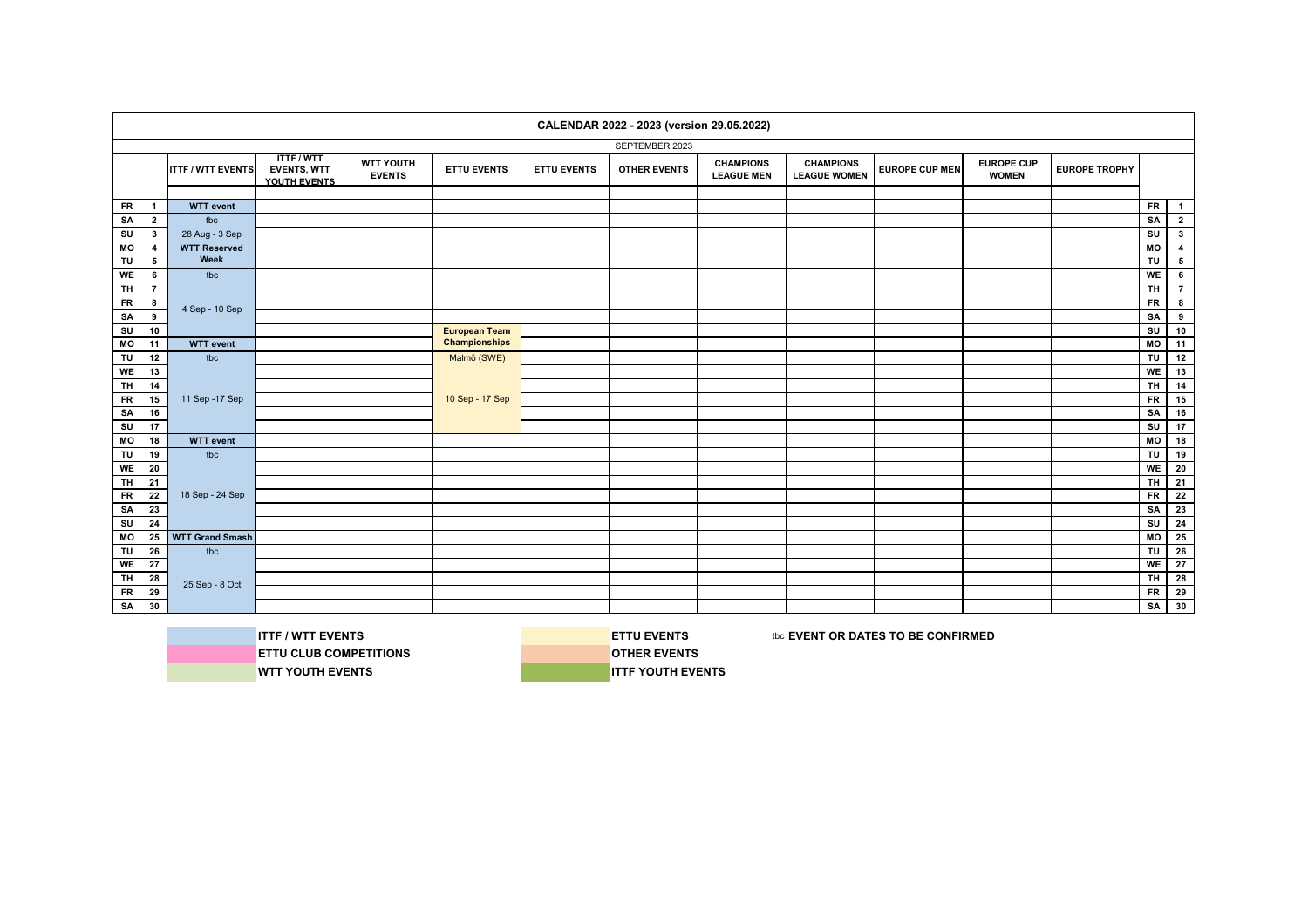|                         |                |                          |                                                       |                                   |                      |                    | CALENDAR 2022 - 2023 (version 29.05.2022) |                                       |                                         |                       |                                   |                      |                |                 |
|-------------------------|----------------|--------------------------|-------------------------------------------------------|-----------------------------------|----------------------|--------------------|-------------------------------------------|---------------------------------------|-----------------------------------------|-----------------------|-----------------------------------|----------------------|----------------|-----------------|
|                         |                |                          |                                                       |                                   |                      |                    | SEPTEMBER 2023                            |                                       |                                         |                       |                                   |                      |                |                 |
|                         |                | <b>ITTF / WTT EVENTS</b> | <b>ITTF/WTT</b><br><b>EVENTS, WTT</b><br>YOUTH EVENTS | <b>WTT YOUTH</b><br><b>EVENTS</b> | <b>ETTU EVENTS</b>   | <b>ETTU EVENTS</b> | <b>OTHER EVENTS</b>                       | <b>CHAMPIONS</b><br><b>LEAGUE MEN</b> | <b>CHAMPIONS</b><br><b>LEAGUE WOMEN</b> | <b>EUROPE CUP MEN</b> | <b>EUROPE CUP</b><br><b>WOMEN</b> | <b>EUROPE TROPHY</b> |                |                 |
|                         |                |                          |                                                       |                                   |                      |                    |                                           |                                       |                                         |                       |                                   |                      |                |                 |
| <b>FR</b>               | $\mathbf{1}$   | <b>WTT</b> event         |                                                       |                                   |                      |                    |                                           |                                       |                                         |                       |                                   |                      | <b>FR</b>      | $\overline{1}$  |
| SA                      | $\overline{2}$ | tbc                      |                                                       |                                   |                      |                    |                                           |                                       |                                         |                       |                                   |                      | SA             | $\overline{2}$  |
| SU                      | $3^{\circ}$    | 28 Aug - 3 Sep           |                                                       |                                   |                      |                    |                                           |                                       |                                         |                       |                                   |                      | SU             | 3 <sup>1</sup>  |
| MO                      | $\overline{4}$ | <b>WTT Reserved</b>      |                                                       |                                   |                      |                    |                                           |                                       |                                         |                       |                                   |                      | MO             | $\overline{4}$  |
| TU                      | 5              | Week                     |                                                       |                                   |                      |                    |                                           |                                       |                                         |                       |                                   |                      | TU             | $5\overline{ }$ |
| WE                      | 6              | tbc                      |                                                       |                                   |                      |                    |                                           |                                       |                                         |                       |                                   |                      | WE             | $6\phantom{.}$  |
| $\overline{H}$          | $\overline{7}$ |                          |                                                       |                                   |                      |                    |                                           |                                       |                                         |                       |                                   |                      | <b>TH</b>      | $\overline{7}$  |
| <b>FR</b>               | 8              |                          |                                                       |                                   |                      |                    |                                           |                                       |                                         |                       |                                   |                      | <b>FR</b>      | 8               |
| SA                      | 9              | 4 Sep - 10 Sep           |                                                       |                                   |                      |                    |                                           |                                       |                                         |                       |                                   |                      | SA             | 9               |
| SU                      | 10             |                          |                                                       |                                   | <b>European Team</b> |                    |                                           |                                       |                                         |                       |                                   |                      | SU             | 10              |
| $\overline{M}$          | 11             | <b>WTT</b> event         |                                                       |                                   | <b>Championships</b> |                    |                                           |                                       |                                         |                       |                                   |                      | M <sub>O</sub> | 11              |
| TU                      | 12             | tbc                      |                                                       |                                   | Malmö (SWE)          |                    |                                           |                                       |                                         |                       |                                   |                      | TU             | 12              |
| WE                      | 13             |                          |                                                       |                                   |                      |                    |                                           |                                       |                                         |                       |                                   |                      | WE             | 13              |
| <b>TH</b>               | 14             |                          |                                                       |                                   |                      |                    |                                           |                                       |                                         |                       |                                   |                      | <b>TH</b>      | 14              |
| <b>FR</b>               | 15             | 11 Sep - 17 Sep          |                                                       |                                   | 10 Sep - 17 Sep      |                    |                                           |                                       |                                         |                       |                                   |                      | <b>FR</b>      | 15              |
| SA                      | 16             |                          |                                                       |                                   |                      |                    |                                           |                                       |                                         |                       |                                   |                      | SA             | 16              |
| $\overline{\mathsf{s}}$ | 17             |                          |                                                       |                                   |                      |                    |                                           |                                       |                                         |                       |                                   |                      | SU             | 17              |
| MO                      | 18             | <b>WTT</b> event         |                                                       |                                   |                      |                    |                                           |                                       |                                         |                       |                                   |                      | MO             | 18              |
| TU                      | 19             | tbc                      |                                                       |                                   |                      |                    |                                           |                                       |                                         |                       |                                   |                      | TU             | 19              |
| WE                      | 20             |                          |                                                       |                                   |                      |                    |                                           |                                       |                                         |                       |                                   |                      | WE             | 20              |
| <b>TH</b>               | 21             |                          |                                                       |                                   |                      |                    |                                           |                                       |                                         |                       |                                   |                      | <b>TH</b>      | 21              |
| <b>FR</b>               | 22             | 18 Sep - 24 Sep          |                                                       |                                   |                      |                    |                                           |                                       |                                         |                       |                                   |                      | <b>FR</b>      | 22              |
| SA                      | 23             |                          |                                                       |                                   |                      |                    |                                           |                                       |                                         |                       |                                   |                      | SA             | 23              |
| $\overline{\mathsf{s}}$ | 24             |                          |                                                       |                                   |                      |                    |                                           |                                       |                                         |                       |                                   |                      | SU             | 24              |
| MO                      | 25             | <b>WTT Grand Smash</b>   |                                                       |                                   |                      |                    |                                           |                                       |                                         |                       |                                   |                      | MO             | 25              |
| TU                      | 26             | tbc                      |                                                       |                                   |                      |                    |                                           |                                       |                                         |                       |                                   |                      | TU             | 26              |
| WE                      | 27             |                          |                                                       |                                   |                      |                    |                                           |                                       |                                         |                       |                                   |                      | WE             | 27              |
| TH                      | 28             |                          |                                                       |                                   |                      |                    |                                           |                                       |                                         |                       |                                   |                      | <b>TH</b>      | 28              |
| <b>FR</b>               | 29             | 25 Sep - 8 Oct           |                                                       |                                   |                      |                    |                                           |                                       |                                         |                       |                                   |                      | <b>FR</b>      | 29              |
| SA                      | 30             |                          |                                                       |                                   |                      |                    |                                           |                                       |                                         |                       |                                   |                      | SA             | 30              |
|                         |                |                          |                                                       |                                   |                      |                    |                                           |                                       |                                         |                       |                                   |                      |                |                 |

**ITTF / WTT EVENTS ETTU EVENTS ETTU EVENTS EXECUTED ASSESSED AT A LIGA CONFIRMED ETTU CLUB COMPETITIONS COMPETITIONS WTT YOUTH EVENTS INTERVENTS**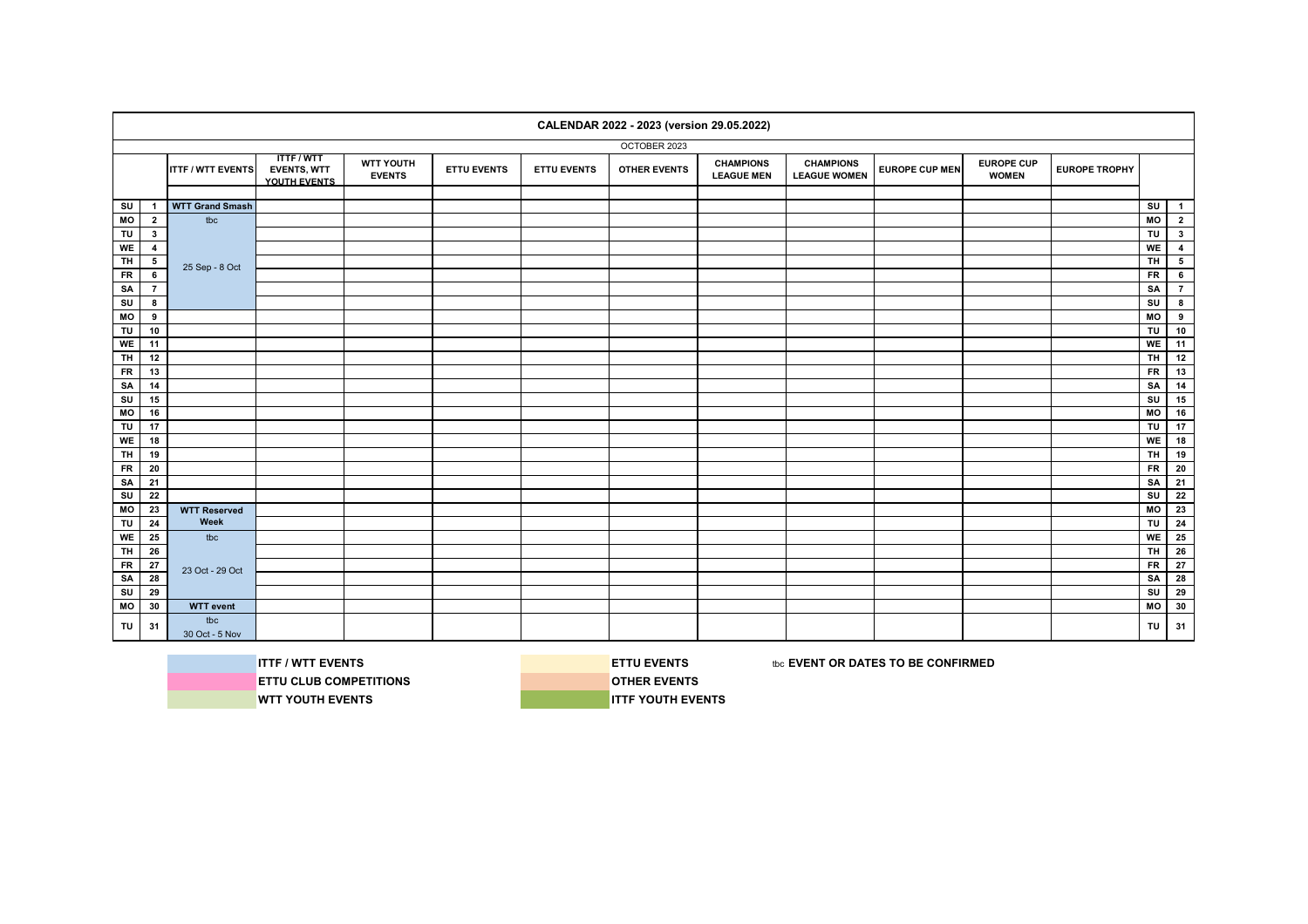|           |                |                          |                                                       |                            |                    |                    | CALENDAR 2022 - 2023 (version 29.05.2022) |                                       |                                         |                       |                                   |                      |                         |                 |
|-----------|----------------|--------------------------|-------------------------------------------------------|----------------------------|--------------------|--------------------|-------------------------------------------|---------------------------------------|-----------------------------------------|-----------------------|-----------------------------------|----------------------|-------------------------|-----------------|
|           |                |                          |                                                       |                            |                    |                    | OCTOBER 2023                              |                                       |                                         |                       |                                   |                      |                         |                 |
|           |                | <b>ITTF / WTT EVENTS</b> | <b>ITTF/WTT</b><br><b>EVENTS, WTT</b><br>YOUTH EVENTS | WTT YOUTH<br><b>EVENTS</b> | <b>ETTU EVENTS</b> | <b>ETTU EVENTS</b> | <b>OTHER EVENTS</b>                       | <b>CHAMPIONS</b><br><b>LEAGUE MEN</b> | <b>CHAMPIONS</b><br><b>LEAGUE WOMEN</b> | <b>EUROPE CUP MEN</b> | <b>EUROPE CUP</b><br><b>WOMEN</b> | <b>EUROPE TROPHY</b> |                         |                 |
|           |                |                          |                                                       |                            |                    |                    |                                           |                                       |                                         |                       |                                   |                      |                         |                 |
| SU        | $\mathbf{1}$   | <b>WTT Grand Smash</b>   |                                                       |                            |                    |                    |                                           |                                       |                                         |                       |                                   |                      | SU                      | $\blacksquare$  |
| МO        | $\overline{2}$ | tbc                      |                                                       |                            |                    |                    |                                           |                                       |                                         |                       |                                   |                      | MO                      | $\overline{2}$  |
| TU        | $\mathbf{3}$   |                          |                                                       |                            |                    |                    |                                           |                                       |                                         |                       |                                   |                      | TU                      | $\mathbf{3}$    |
| <b>WE</b> | $\overline{4}$ |                          |                                                       |                            |                    |                    |                                           |                                       |                                         |                       |                                   |                      | WE                      | $\overline{4}$  |
| <b>TH</b> | 5              | 25 Sep - 8 Oct           |                                                       |                            |                    |                    |                                           |                                       |                                         |                       |                                   |                      | <b>TH</b>               | $5\phantom{.0}$ |
| <b>FR</b> | 6              |                          |                                                       |                            |                    |                    |                                           |                                       |                                         |                       |                                   |                      | <b>FR</b>               | $6\phantom{a}$  |
| SA        | $\overline{7}$ |                          |                                                       |                            |                    |                    |                                           |                                       |                                         |                       |                                   |                      | SA                      | $\overline{7}$  |
| SU        | 8              |                          |                                                       |                            |                    |                    |                                           |                                       |                                         |                       |                                   |                      | $\overline{\mathsf{s}}$ | 8               |
| MO        | 9              |                          |                                                       |                            |                    |                    |                                           |                                       |                                         |                       |                                   |                      | <b>MO</b>               | 9               |
| TU        | 10             |                          |                                                       |                            |                    |                    |                                           |                                       |                                         |                       |                                   |                      | TU                      | 10              |
| WE        | 11             |                          |                                                       |                            |                    |                    |                                           |                                       |                                         |                       |                                   |                      | WE                      | 11              |
| <b>TH</b> | 12             |                          |                                                       |                            |                    |                    |                                           |                                       |                                         |                       |                                   |                      | <b>TH</b>               | 12              |
| <b>FR</b> | 13             |                          |                                                       |                            |                    |                    |                                           |                                       |                                         |                       |                                   |                      | <b>FR</b>               | 13              |
| SA        | 14             |                          |                                                       |                            |                    |                    |                                           |                                       |                                         |                       |                                   |                      | SA                      | 14              |
| SU        | 15             |                          |                                                       |                            |                    |                    |                                           |                                       |                                         |                       |                                   |                      | SU                      | 15              |
| MO        | 16             |                          |                                                       |                            |                    |                    |                                           |                                       |                                         |                       |                                   |                      | MO                      | 16              |
| TU        | 17             |                          |                                                       |                            |                    |                    |                                           |                                       |                                         |                       |                                   |                      | TU                      | 17              |
| <b>WE</b> | 18             |                          |                                                       |                            |                    |                    |                                           |                                       |                                         |                       |                                   |                      | WE                      | 18              |
| <b>TH</b> | 19             |                          |                                                       |                            |                    |                    |                                           |                                       |                                         |                       |                                   |                      | <b>TH</b>               | 19              |
| <b>FR</b> | 20             |                          |                                                       |                            |                    |                    |                                           |                                       |                                         |                       |                                   |                      | <b>FR</b>               | 20              |
| SA        | 21             |                          |                                                       |                            |                    |                    |                                           |                                       |                                         |                       |                                   |                      | SA                      | 21              |
| SU        | 22             |                          |                                                       |                            |                    |                    |                                           |                                       |                                         |                       |                                   |                      | SU                      | 22              |
| MO        | 23             | <b>WTT Reserved</b>      |                                                       |                            |                    |                    |                                           |                                       |                                         |                       |                                   |                      | MO                      | 23              |
| TU        | 24             | Week                     |                                                       |                            |                    |                    |                                           |                                       |                                         |                       |                                   |                      | $\overline{\mathsf{r}}$ | 24              |
| WE        | 25             | tbc                      |                                                       |                            |                    |                    |                                           |                                       |                                         |                       |                                   |                      | WE                      | 25              |
| <b>TH</b> | 26             |                          |                                                       |                            |                    |                    |                                           |                                       |                                         |                       |                                   |                      | <b>TH</b>               | 26              |
| <b>FR</b> | 27             | 23 Oct - 29 Oct          |                                                       |                            |                    |                    |                                           |                                       |                                         |                       |                                   |                      | <b>FR</b>               | 27              |
| SA        | 28             |                          |                                                       |                            |                    |                    |                                           |                                       |                                         |                       |                                   |                      | SA                      | 28              |
| SU        | 29             |                          |                                                       |                            |                    |                    |                                           |                                       |                                         |                       |                                   |                      | SU                      | 29              |
| MO        | 30             | <b>WTT</b> event         |                                                       |                            |                    |                    |                                           |                                       |                                         |                       |                                   |                      | MO                      | 30              |
| TU        | 31             | tbc<br>30 Oct - 5 Nov    |                                                       |                            |                    |                    |                                           |                                       |                                         |                       |                                   |                      | TU                      | 31              |



**ITTF / WTT EVENTS ETTU EVENTS ETTU EVENTS EXECUTED BE CONFIRMED**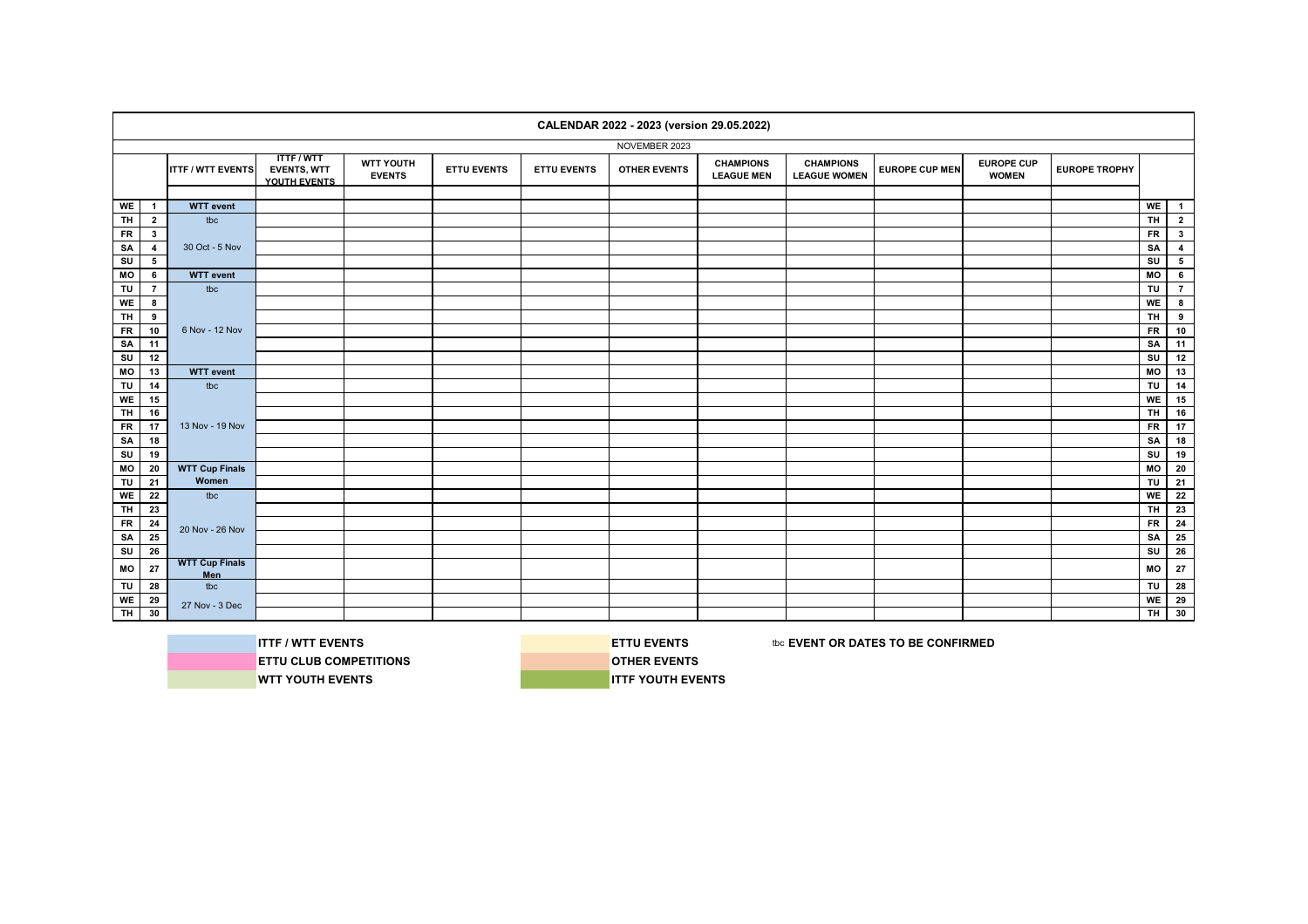|                |                 |                              |                                                       |                                   |                    |                    | CALENDAR 2022 - 2023 (version 29.05.2022) |                                       |                                         |                       |                                   |                      |                |                         |
|----------------|-----------------|------------------------------|-------------------------------------------------------|-----------------------------------|--------------------|--------------------|-------------------------------------------|---------------------------------------|-----------------------------------------|-----------------------|-----------------------------------|----------------------|----------------|-------------------------|
|                |                 |                              |                                                       |                                   |                    |                    | NOVEMBER 2023                             |                                       |                                         |                       |                                   |                      |                |                         |
|                |                 | <b>ITTF / WTT EVENTS</b>     | <b>ITTF/WTT</b><br><b>EVENTS, WTT</b><br>YOUTH EVENTS | <b>WTT YOUTH</b><br><b>EVENTS</b> | <b>ETTU EVENTS</b> | <b>ETTU EVENTS</b> | <b>OTHER EVENTS</b>                       | <b>CHAMPIONS</b><br><b>LEAGUE MEN</b> | <b>CHAMPIONS</b><br><b>LEAGUE WOMEN</b> | <b>EUROPE CUP MEN</b> | <b>EUROPE CUP</b><br><b>WOMEN</b> | <b>EUROPE TROPHY</b> |                |                         |
|                |                 |                              |                                                       |                                   |                    |                    |                                           |                                       |                                         |                       |                                   |                      |                |                         |
| WE             | $\mathbf{1}$    | <b>WTT</b> event             |                                                       |                                   |                    |                    |                                           |                                       |                                         |                       |                                   |                      | WE             | $\blacksquare$          |
| <b>TH</b>      | $\overline{2}$  | tbc                          |                                                       |                                   |                    |                    |                                           |                                       |                                         |                       |                                   |                      | <b>TH</b>      | $\overline{2}$          |
| <b>FR</b>      | $\mathbf{3}$    |                              |                                                       |                                   |                    |                    |                                           |                                       |                                         |                       |                                   |                      | <b>FR</b>      | 3 <sup>1</sup>          |
| SA             | $\overline{4}$  | 30 Oct - 5 Nov               |                                                       |                                   |                    |                    |                                           |                                       |                                         |                       |                                   |                      | SA             | $\overline{\mathbf{4}}$ |
| SU             | 5               |                              |                                                       |                                   |                    |                    |                                           |                                       |                                         |                       |                                   |                      | SU             | $5\overline{5}$         |
| MO             | 6               | <b>WTT</b> event             |                                                       |                                   |                    |                    |                                           |                                       |                                         |                       |                                   |                      | MO             | $6\phantom{.0}$         |
| TU             | $\overline{7}$  | tbc                          |                                                       |                                   |                    |                    |                                           |                                       |                                         |                       |                                   |                      | TU             | $\overline{7}$          |
| WE             | 8               |                              |                                                       |                                   |                    |                    |                                           |                                       |                                         |                       |                                   |                      | WE             | $\bf{8}$                |
| TH             | 9               |                              |                                                       |                                   |                    |                    |                                           |                                       |                                         |                       |                                   |                      | <b>TH</b>      | 9                       |
| <b>FR</b>      | 10              | 6 Nov - 12 Nov               |                                                       |                                   |                    |                    |                                           |                                       |                                         |                       |                                   |                      | $F$ R          | 10                      |
| SA             | 11              |                              |                                                       |                                   |                    |                    |                                           |                                       |                                         |                       |                                   |                      | SA             | 11                      |
| SU             | 12              |                              |                                                       |                                   |                    |                    |                                           |                                       |                                         |                       |                                   |                      | SU             | 12                      |
| MO             | 13              | <b>WTT</b> event             |                                                       |                                   |                    |                    |                                           |                                       |                                         |                       |                                   |                      | MO             | 13                      |
| TU             | 14              | tbc                          |                                                       |                                   |                    |                    |                                           |                                       |                                         |                       |                                   |                      | TU             | 14                      |
| WE             | 15              |                              |                                                       |                                   |                    |                    |                                           |                                       |                                         |                       |                                   |                      | WE             | 15                      |
| <b>TH</b>      | 16              |                              |                                                       |                                   |                    |                    |                                           |                                       |                                         |                       |                                   |                      | TH.            | 16                      |
| $F$ R          | 17              | 13 Nov - 19 Nov              |                                                       |                                   |                    |                    |                                           |                                       |                                         |                       |                                   |                      | $F$ R          | 17                      |
| SA             | 18              |                              |                                                       |                                   |                    |                    |                                           |                                       |                                         |                       |                                   |                      | SA             | 18                      |
| SU             | 19              |                              |                                                       |                                   |                    |                    |                                           |                                       |                                         |                       |                                   |                      | SU             | 19                      |
| MO             | 20              | <b>WTT Cup Finals</b>        |                                                       |                                   |                    |                    |                                           |                                       |                                         |                       |                                   |                      | M <sub>O</sub> | $\overline{20}$         |
| TU             | 21              | Women                        |                                                       |                                   |                    |                    |                                           |                                       |                                         |                       |                                   |                      | TU             | 21                      |
| <b>WE</b>      | 22              | tbc                          |                                                       |                                   |                    |                    |                                           |                                       |                                         |                       |                                   |                      | WE             | 22                      |
| <b>TH</b>      | 23              |                              |                                                       |                                   |                    |                    |                                           |                                       |                                         |                       |                                   |                      | <b>TH</b>      | 23                      |
| <b>FR</b>      | 24              | 20 Nov - 26 Nov              |                                                       |                                   |                    |                    |                                           |                                       |                                         |                       |                                   |                      | <b>FR</b>      | 24                      |
| SA             | 25              |                              |                                                       |                                   |                    |                    |                                           |                                       |                                         |                       |                                   |                      | SA             | 25                      |
| SU             | 26              |                              |                                                       |                                   |                    |                    |                                           |                                       |                                         |                       |                                   |                      | SU             | 26                      |
| MO             | 27              | <b>WTT Cup Finals</b><br>Men |                                                       |                                   |                    |                    |                                           |                                       |                                         |                       |                                   |                      | MO             | ${\bf 27}$              |
| TU             | 28              | tbc                          |                                                       |                                   |                    |                    |                                           |                                       |                                         |                       |                                   |                      | TU             | 28                      |
| WE             | $\overline{29}$ | 27 Nov - 3 Dec               |                                                       |                                   |                    |                    |                                           |                                       |                                         |                       |                                   |                      | WE             | 29                      |
| $\overline{H}$ | 30              |                              |                                                       |                                   |                    |                    |                                           |                                       |                                         |                       |                                   |                      | <b>TH</b>      | 30                      |



**ETTU CLUB COMPETITIONS OTHER EVENTS** 

**ITTF / WTT EVENTS ETTU EVENTS ETTU EVENTS EXECUTED ASSESS** to **EVENT OR DATES TO BE CONFIRMED**